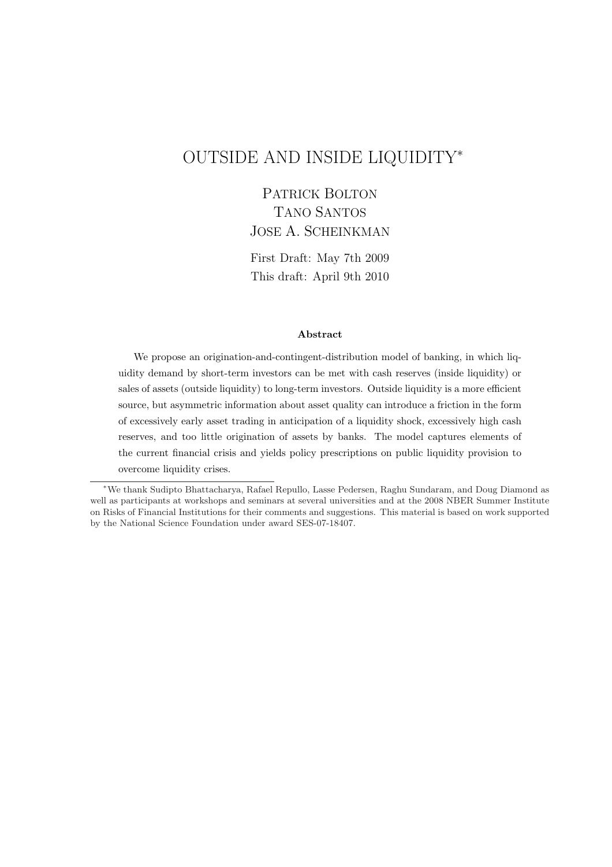# OUTSIDE AND INSIDE LIQUIDITY<sup>∗</sup>

# PATRICK BOLTON TANO SANTOS JOSE A. SCHEINKMAN

First Draft: May 7th 2009 This draft: April 9th 2010

### Abstract

We propose an origination-and-contingent-distribution model of banking, in which liquidity demand by short-term investors can be met with cash reserves (inside liquidity) or sales of assets (outside liquidity) to long-term investors. Outside liquidity is a more efficient source, but asymmetric information about asset quality can introduce a friction in the form of excessively early asset trading in anticipation of a liquidity shock, excessively high cash reserves, and too little origination of assets by banks. The model captures elements of the current financial crisis and yields policy prescriptions on public liquidity provision to overcome liquidity crises.

<sup>∗</sup>We thank Sudipto Bhattacharya, Rafael Repullo, Lasse Pedersen, Raghu Sundaram, and Doug Diamond as well as participants at workshops and seminars at several universities and at the 2008 NBER Summer Institute on Risks of Financial Institutions for their comments and suggestions. This material is based on work supported by the National Science Foundation under award SES-07-18407.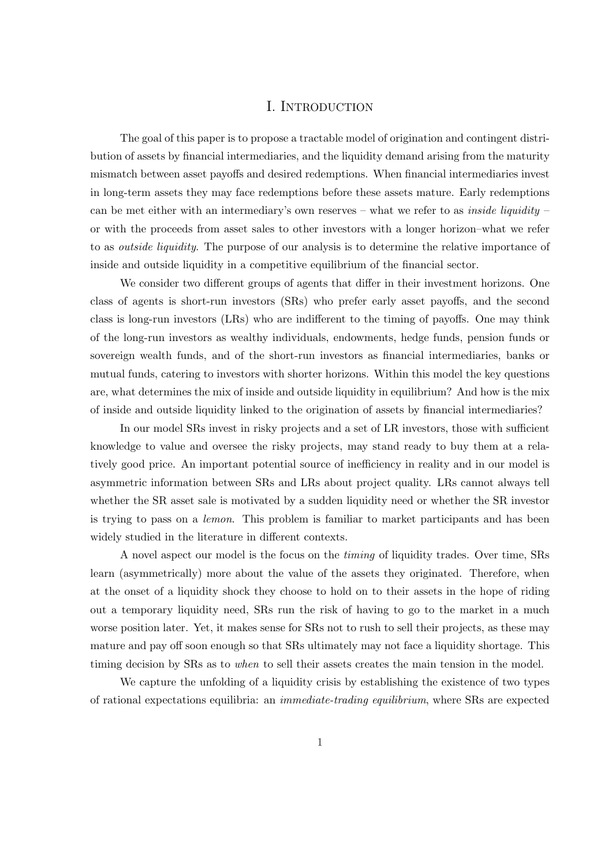# I. INTRODUCTION

The goal of this paper is to propose a tractable model of origination and contingent distribution of assets by financial intermediaries, and the liquidity demand arising from the maturity mismatch between asset payoffs and desired redemptions. When financial intermediaries invest in long-term assets they may face redemptions before these assets mature. Early redemptions can be met either with an intermediary's own reserves – what we refer to as *inside liquidity* – or with the proceeds from asset sales to other investors with a longer horizon–what we refer to as outside liquidity. The purpose of our analysis is to determine the relative importance of inside and outside liquidity in a competitive equilibrium of the financial sector.

We consider two different groups of agents that differ in their investment horizons. One class of agents is short-run investors (SRs) who prefer early asset payoffs, and the second class is long-run investors (LRs) who are indifferent to the timing of payoffs. One may think of the long-run investors as wealthy individuals, endowments, hedge funds, pension funds or sovereign wealth funds, and of the short-run investors as financial intermediaries, banks or mutual funds, catering to investors with shorter horizons. Within this model the key questions are, what determines the mix of inside and outside liquidity in equilibrium? And how is the mix of inside and outside liquidity linked to the origination of assets by financial intermediaries?

In our model SRs invest in risky projects and a set of LR investors, those with sufficient knowledge to value and oversee the risky projects, may stand ready to buy them at a relatively good price. An important potential source of inefficiency in reality and in our model is asymmetric information between SRs and LRs about project quality. LRs cannot always tell whether the SR asset sale is motivated by a sudden liquidity need or whether the SR investor is trying to pass on a lemon. This problem is familiar to market participants and has been widely studied in the literature in different contexts.

A novel aspect our model is the focus on the timing of liquidity trades. Over time, SRs learn (asymmetrically) more about the value of the assets they originated. Therefore, when at the onset of a liquidity shock they choose to hold on to their assets in the hope of riding out a temporary liquidity need, SRs run the risk of having to go to the market in a much worse position later. Yet, it makes sense for SRs not to rush to sell their projects, as these may mature and pay off soon enough so that SRs ultimately may not face a liquidity shortage. This timing decision by SRs as to when to sell their assets creates the main tension in the model.

We capture the unfolding of a liquidity crisis by establishing the existence of two types of rational expectations equilibria: an immediate-trading equilibrium, where SRs are expected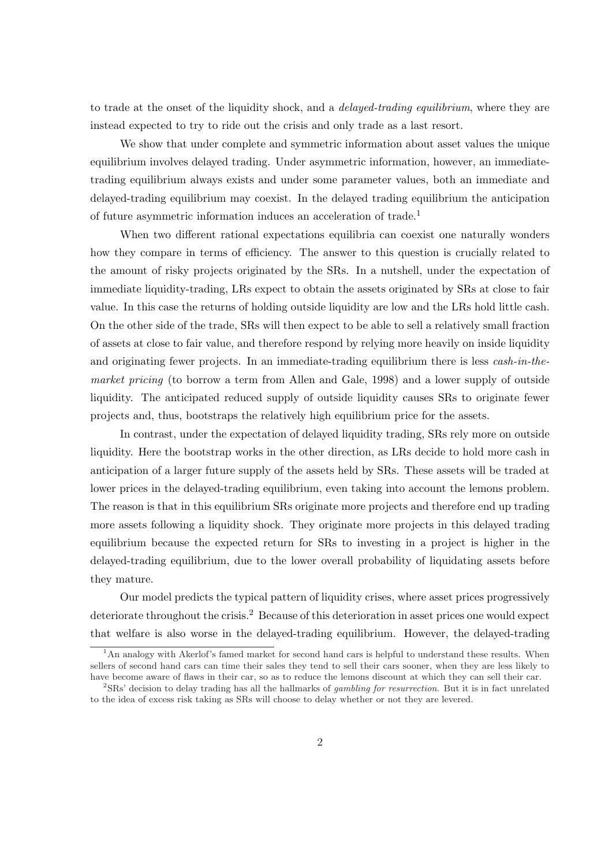to trade at the onset of the liquidity shock, and a *delayed-trading equilibrium*, where they are instead expected to try to ride out the crisis and only trade as a last resort.

We show that under complete and symmetric information about asset values the unique equilibrium involves delayed trading. Under asymmetric information, however, an immediatetrading equilibrium always exists and under some parameter values, both an immediate and delayed-trading equilibrium may coexist. In the delayed trading equilibrium the anticipation of future asymmetric information induces an acceleration of trade.<sup>1</sup>

When two different rational expectations equilibria can coexist one naturally wonders how they compare in terms of efficiency. The answer to this question is crucially related to the amount of risky projects originated by the SRs. In a nutshell, under the expectation of immediate liquidity-trading, LRs expect to obtain the assets originated by SRs at close to fair value. In this case the returns of holding outside liquidity are low and the LRs hold little cash. On the other side of the trade, SRs will then expect to be able to sell a relatively small fraction of assets at close to fair value, and therefore respond by relying more heavily on inside liquidity and originating fewer projects. In an immediate-trading equilibrium there is less *cash-in-the*market pricing (to borrow a term from Allen and Gale, 1998) and a lower supply of outside liquidity. The anticipated reduced supply of outside liquidity causes SRs to originate fewer projects and, thus, bootstraps the relatively high equilibrium price for the assets.

In contrast, under the expectation of delayed liquidity trading, SRs rely more on outside liquidity. Here the bootstrap works in the other direction, as LRs decide to hold more cash in anticipation of a larger future supply of the assets held by SRs. These assets will be traded at lower prices in the delayed-trading equilibrium, even taking into account the lemons problem. The reason is that in this equilibrium SRs originate more projects and therefore end up trading more assets following a liquidity shock. They originate more projects in this delayed trading equilibrium because the expected return for SRs to investing in a project is higher in the delayed-trading equilibrium, due to the lower overall probability of liquidating assets before they mature.

Our model predicts the typical pattern of liquidity crises, where asset prices progressively deteriorate throughout the crisis.<sup>2</sup> Because of this deterioration in asset prices one would expect that welfare is also worse in the delayed-trading equilibrium. However, the delayed-trading

<sup>&</sup>lt;sup>1</sup>An analogy with Akerlof's famed market for second hand cars is helpful to understand these results. When sellers of second hand cars can time their sales they tend to sell their cars sooner, when they are less likely to have become aware of flaws in their car, so as to reduce the lemons discount at which they can sell their car.

 ${}^{2}$ SRs' decision to delay trading has all the hallmarks of *gambling for resurrection*. But it is in fact unrelated to the idea of excess risk taking as SRs will choose to delay whether or not they are levered.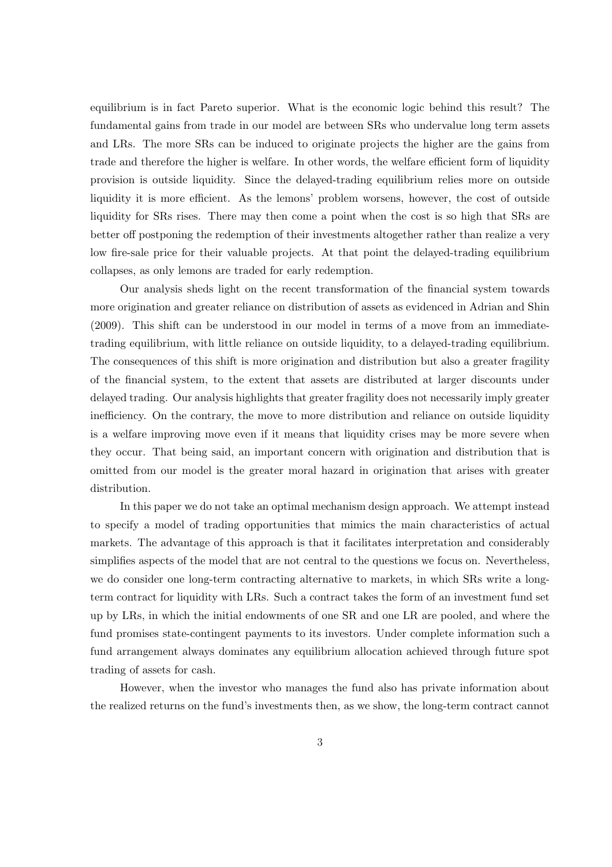equilibrium is in fact Pareto superior. What is the economic logic behind this result? The fundamental gains from trade in our model are between SRs who undervalue long term assets and LRs. The more SRs can be induced to originate projects the higher are the gains from trade and therefore the higher is welfare. In other words, the welfare efficient form of liquidity provision is outside liquidity. Since the delayed-trading equilibrium relies more on outside liquidity it is more efficient. As the lemons' problem worsens, however, the cost of outside liquidity for SRs rises. There may then come a point when the cost is so high that SRs are better off postponing the redemption of their investments altogether rather than realize a very low fire-sale price for their valuable projects. At that point the delayed-trading equilibrium collapses, as only lemons are traded for early redemption.

Our analysis sheds light on the recent transformation of the financial system towards more origination and greater reliance on distribution of assets as evidenced in Adrian and Shin (2009). This shift can be understood in our model in terms of a move from an immediatetrading equilibrium, with little reliance on outside liquidity, to a delayed-trading equilibrium. The consequences of this shift is more origination and distribution but also a greater fragility of the financial system, to the extent that assets are distributed at larger discounts under delayed trading. Our analysis highlights that greater fragility does not necessarily imply greater inefficiency. On the contrary, the move to more distribution and reliance on outside liquidity is a welfare improving move even if it means that liquidity crises may be more severe when they occur. That being said, an important concern with origination and distribution that is omitted from our model is the greater moral hazard in origination that arises with greater distribution.

In this paper we do not take an optimal mechanism design approach. We attempt instead to specify a model of trading opportunities that mimics the main characteristics of actual markets. The advantage of this approach is that it facilitates interpretation and considerably simplifies aspects of the model that are not central to the questions we focus on. Nevertheless, we do consider one long-term contracting alternative to markets, in which SRs write a longterm contract for liquidity with LRs. Such a contract takes the form of an investment fund set up by LRs, in which the initial endowments of one SR and one LR are pooled, and where the fund promises state-contingent payments to its investors. Under complete information such a fund arrangement always dominates any equilibrium allocation achieved through future spot trading of assets for cash.

However, when the investor who manages the fund also has private information about the realized returns on the fund's investments then, as we show, the long-term contract cannot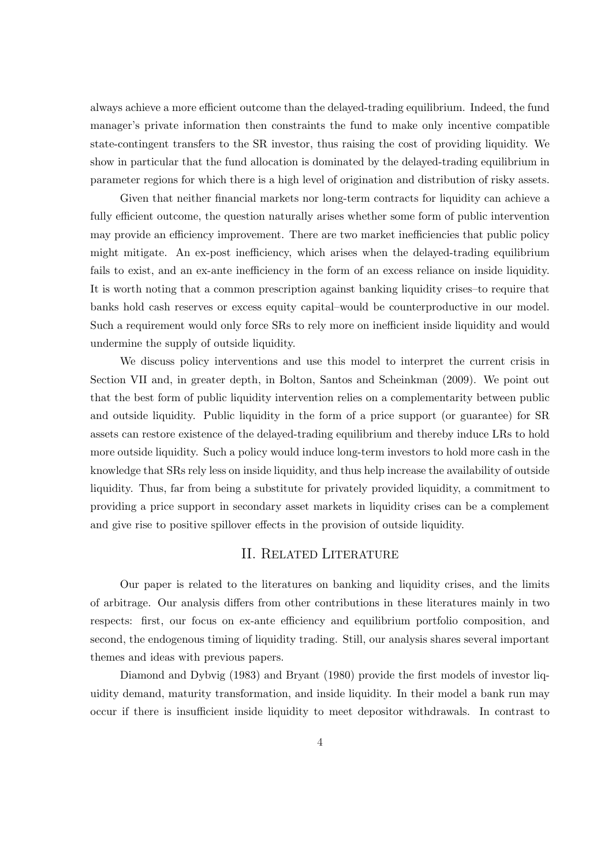always achieve a more efficient outcome than the delayed-trading equilibrium. Indeed, the fund manager's private information then constraints the fund to make only incentive compatible state-contingent transfers to the SR investor, thus raising the cost of providing liquidity. We show in particular that the fund allocation is dominated by the delayed-trading equilibrium in parameter regions for which there is a high level of origination and distribution of risky assets.

Given that neither financial markets nor long-term contracts for liquidity can achieve a fully efficient outcome, the question naturally arises whether some form of public intervention may provide an efficiency improvement. There are two market inefficiencies that public policy might mitigate. An ex-post inefficiency, which arises when the delayed-trading equilibrium fails to exist, and an ex-ante inefficiency in the form of an excess reliance on inside liquidity. It is worth noting that a common prescription against banking liquidity crises–to require that banks hold cash reserves or excess equity capital–would be counterproductive in our model. Such a requirement would only force SRs to rely more on inefficient inside liquidity and would undermine the supply of outside liquidity.

We discuss policy interventions and use this model to interpret the current crisis in Section VII and, in greater depth, in Bolton, Santos and Scheinkman (2009). We point out that the best form of public liquidity intervention relies on a complementarity between public and outside liquidity. Public liquidity in the form of a price support (or guarantee) for SR assets can restore existence of the delayed-trading equilibrium and thereby induce LRs to hold more outside liquidity. Such a policy would induce long-term investors to hold more cash in the knowledge that SRs rely less on inside liquidity, and thus help increase the availability of outside liquidity. Thus, far from being a substitute for privately provided liquidity, a commitment to providing a price support in secondary asset markets in liquidity crises can be a complement and give rise to positive spillover effects in the provision of outside liquidity.

# II. RELATED LITERATURE

Our paper is related to the literatures on banking and liquidity crises, and the limits of arbitrage. Our analysis differs from other contributions in these literatures mainly in two respects: first, our focus on ex-ante efficiency and equilibrium portfolio composition, and second, the endogenous timing of liquidity trading. Still, our analysis shares several important themes and ideas with previous papers.

Diamond and Dybvig (1983) and Bryant (1980) provide the first models of investor liquidity demand, maturity transformation, and inside liquidity. In their model a bank run may occur if there is insufficient inside liquidity to meet depositor withdrawals. In contrast to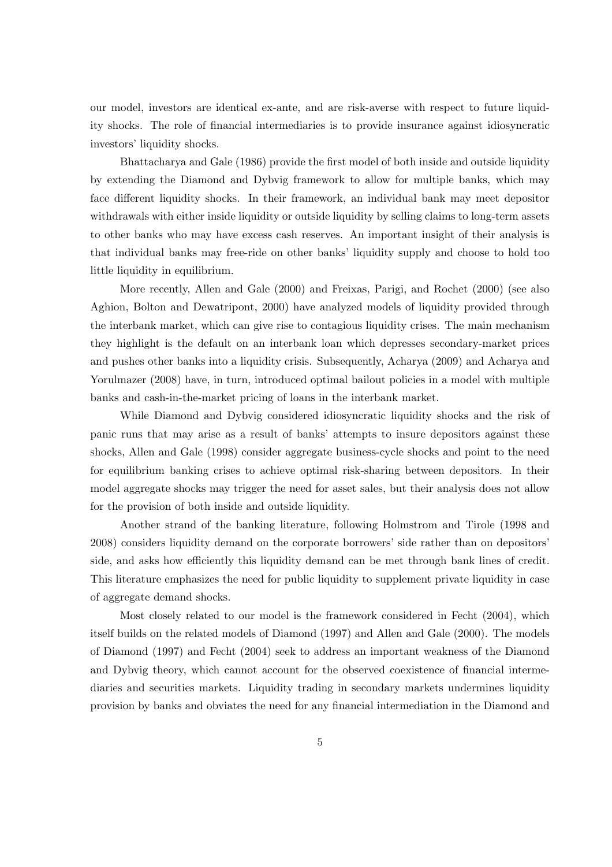our model, investors are identical ex-ante, and are risk-averse with respect to future liquidity shocks. The role of financial intermediaries is to provide insurance against idiosyncratic investors' liquidity shocks.

Bhattacharya and Gale (1986) provide the first model of both inside and outside liquidity by extending the Diamond and Dybvig framework to allow for multiple banks, which may face different liquidity shocks. In their framework, an individual bank may meet depositor withdrawals with either inside liquidity or outside liquidity by selling claims to long-term assets to other banks who may have excess cash reserves. An important insight of their analysis is that individual banks may free-ride on other banks' liquidity supply and choose to hold too little liquidity in equilibrium.

More recently, Allen and Gale (2000) and Freixas, Parigi, and Rochet (2000) (see also Aghion, Bolton and Dewatripont, 2000) have analyzed models of liquidity provided through the interbank market, which can give rise to contagious liquidity crises. The main mechanism they highlight is the default on an interbank loan which depresses secondary-market prices and pushes other banks into a liquidity crisis. Subsequently, Acharya (2009) and Acharya and Yorulmazer (2008) have, in turn, introduced optimal bailout policies in a model with multiple banks and cash-in-the-market pricing of loans in the interbank market.

While Diamond and Dybvig considered idiosyncratic liquidity shocks and the risk of panic runs that may arise as a result of banks' attempts to insure depositors against these shocks, Allen and Gale (1998) consider aggregate business-cycle shocks and point to the need for equilibrium banking crises to achieve optimal risk-sharing between depositors. In their model aggregate shocks may trigger the need for asset sales, but their analysis does not allow for the provision of both inside and outside liquidity.

Another strand of the banking literature, following Holmstrom and Tirole (1998 and 2008) considers liquidity demand on the corporate borrowers' side rather than on depositors' side, and asks how efficiently this liquidity demand can be met through bank lines of credit. This literature emphasizes the need for public liquidity to supplement private liquidity in case of aggregate demand shocks.

Most closely related to our model is the framework considered in Fecht (2004), which itself builds on the related models of Diamond (1997) and Allen and Gale (2000). The models of Diamond (1997) and Fecht (2004) seek to address an important weakness of the Diamond and Dybvig theory, which cannot account for the observed coexistence of financial intermediaries and securities markets. Liquidity trading in secondary markets undermines liquidity provision by banks and obviates the need for any financial intermediation in the Diamond and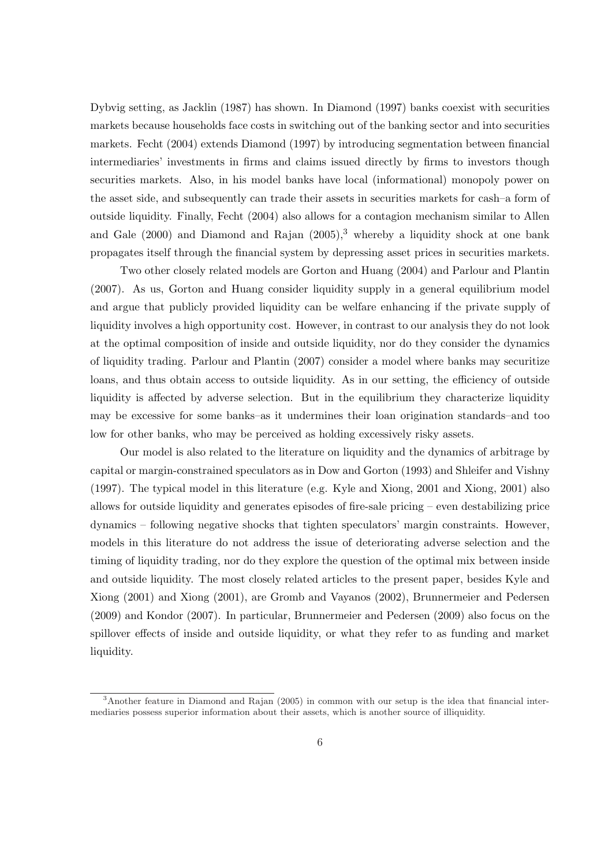Dybvig setting, as Jacklin (1987) has shown. In Diamond (1997) banks coexist with securities markets because households face costs in switching out of the banking sector and into securities markets. Fecht (2004) extends Diamond (1997) by introducing segmentation between financial intermediaries' investments in firms and claims issued directly by firms to investors though securities markets. Also, in his model banks have local (informational) monopoly power on the asset side, and subsequently can trade their assets in securities markets for cash–a form of outside liquidity. Finally, Fecht (2004) also allows for a contagion mechanism similar to Allen and Gale  $(2000)$  and Diamond and Rajan  $(2005)$ ,<sup>3</sup> whereby a liquidity shock at one bank propagates itself through the financial system by depressing asset prices in securities markets.

Two other closely related models are Gorton and Huang (2004) and Parlour and Plantin (2007). As us, Gorton and Huang consider liquidity supply in a general equilibrium model and argue that publicly provided liquidity can be welfare enhancing if the private supply of liquidity involves a high opportunity cost. However, in contrast to our analysis they do not look at the optimal composition of inside and outside liquidity, nor do they consider the dynamics of liquidity trading. Parlour and Plantin (2007) consider a model where banks may securitize loans, and thus obtain access to outside liquidity. As in our setting, the efficiency of outside liquidity is affected by adverse selection. But in the equilibrium they characterize liquidity may be excessive for some banks–as it undermines their loan origination standards–and too low for other banks, who may be perceived as holding excessively risky assets.

Our model is also related to the literature on liquidity and the dynamics of arbitrage by capital or margin-constrained speculators as in Dow and Gorton (1993) and Shleifer and Vishny (1997). The typical model in this literature (e.g. Kyle and Xiong, 2001 and Xiong, 2001) also allows for outside liquidity and generates episodes of fire-sale pricing – even destabilizing price dynamics – following negative shocks that tighten speculators' margin constraints. However, models in this literature do not address the issue of deteriorating adverse selection and the timing of liquidity trading, nor do they explore the question of the optimal mix between inside and outside liquidity. The most closely related articles to the present paper, besides Kyle and Xiong (2001) and Xiong (2001), are Gromb and Vayanos (2002), Brunnermeier and Pedersen (2009) and Kondor (2007). In particular, Brunnermeier and Pedersen (2009) also focus on the spillover effects of inside and outside liquidity, or what they refer to as funding and market liquidity.

<sup>3</sup>Another feature in Diamond and Rajan (2005) in common with our setup is the idea that financial intermediaries possess superior information about their assets, which is another source of illiquidity.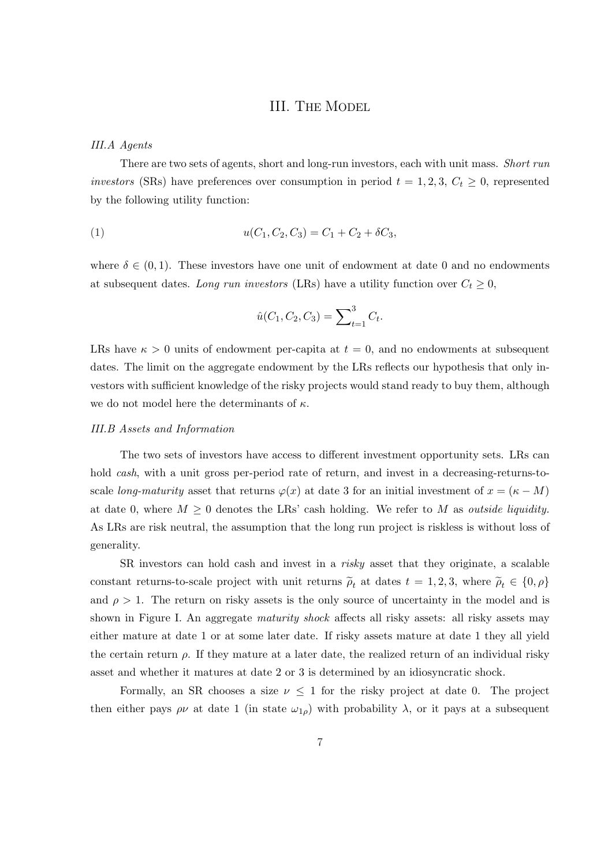## III. THE MODEL

### III.A Agents

There are two sets of agents, short and long-run investors, each with unit mass. Short run investors (SRs) have preferences over consumption in period  $t = 1, 2, 3, C_t \geq 0$ , represented by the following utility function:

(1) 
$$
u(C_1, C_2, C_3) = C_1 + C_2 + \delta C_3,
$$

where  $\delta \in (0,1)$ . These investors have one unit of endowment at date 0 and no endowments at subsequent dates. Long run investors (LRs) have a utility function over  $C_t \geq 0$ ,

$$
\hat{u}(C_1, C_2, C_3) = \sum_{t=1}^3 C_t.
$$

LRs have  $\kappa > 0$  units of endowment per-capita at  $t = 0$ , and no endowments at subsequent dates. The limit on the aggregate endowment by the LRs reflects our hypothesis that only investors with sufficient knowledge of the risky projects would stand ready to buy them, although we do not model here the determinants of  $\kappa$ .

#### III.B Assets and Information

The two sets of investors have access to different investment opportunity sets. LRs can hold *cash*, with a unit gross per-period rate of return, and invest in a decreasing-returns-toscale *long-maturity* asset that returns  $\varphi(x)$  at date 3 for an initial investment of  $x = (\kappa - M)$ at date 0, where  $M \geq 0$  denotes the LRs' cash holding. We refer to M as *outside liquidity*. As LRs are risk neutral, the assumption that the long run project is riskless is without loss of generality.

SR investors can hold cash and invest in a risky asset that they originate, a scalable constant returns-to-scale project with unit returns  $\tilde{\rho}_t$  at dates  $t = 1, 2, 3$ , where  $\tilde{\rho}_t \in \{0, \rho\}$ and  $\rho > 1$ . The return on risky assets is the only source of uncertainty in the model and is shown in Figure I. An aggregate *maturity shock* affects all risky assets: all risky assets may either mature at date 1 or at some later date. If risky assets mature at date 1 they all yield the certain return  $\rho$ . If they mature at a later date, the realized return of an individual risky asset and whether it matures at date 2 or 3 is determined by an idiosyncratic shock.

Formally, an SR chooses a size  $\nu \leq 1$  for the risky project at date 0. The project then either pays  $\rho\nu$  at date 1 (in state  $\omega_{1\rho}$ ) with probability  $\lambda$ , or it pays at a subsequent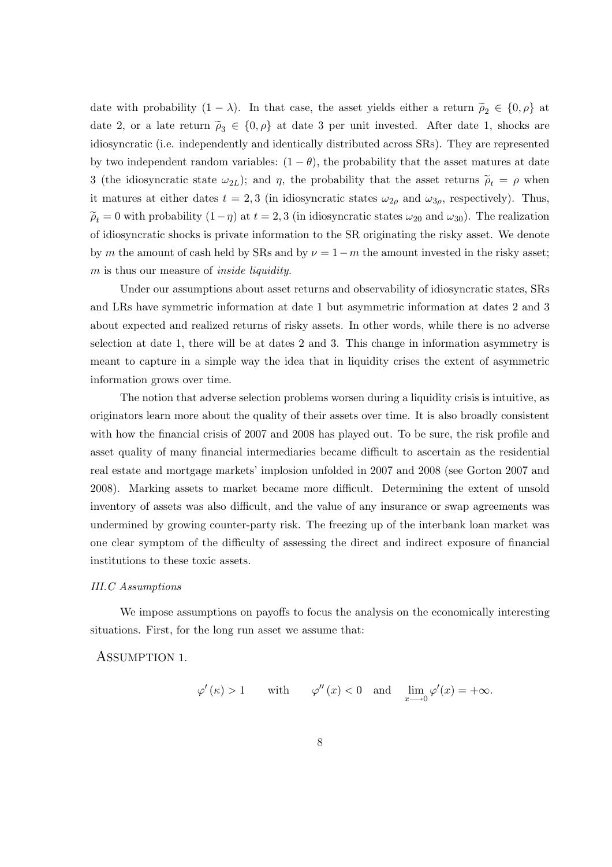date with probability  $(1 - \lambda)$ . In that case, the asset yields either a return  $\tilde{\rho}_2 \in \{0, \rho\}$  at date 2, or a late return  $\tilde{\rho}_3 \in \{0, \rho\}$  at date 3 per unit invested. After date 1, shocks are idiosyncratic (i.e. independently and identically distributed across SRs). They are represented by two independent random variables:  $(1 - \theta)$ , the probability that the asset matures at date 3 (the idiosyncratic state  $\omega_{2L}$ ); and  $\eta$ , the probability that the asset returns  $\tilde{\rho}_t = \rho$  when it matures at either dates  $t = 2, 3$  (in idiosyncratic states  $\omega_{2\rho}$  and  $\omega_{3\rho}$ , respectively). Thus,  $\tilde{\rho}_t = 0$  with probability  $(1 - \eta)$  at  $t = 2, 3$  (in idiosyncratic states  $\omega_{20}$  and  $\omega_{30}$ ). The realization of idiosyncratic shocks is private information to the SR originating the risky asset. We denote by m the amount of cash held by SRs and by  $\nu = 1 - m$  the amount invested in the risky asset; m is thus our measure of *inside liquidity*.

Under our assumptions about asset returns and observability of idiosyncratic states, SRs and LRs have symmetric information at date 1 but asymmetric information at dates 2 and 3 about expected and realized returns of risky assets. In other words, while there is no adverse selection at date 1, there will be at dates 2 and 3. This change in information asymmetry is meant to capture in a simple way the idea that in liquidity crises the extent of asymmetric information grows over time.

The notion that adverse selection problems worsen during a liquidity crisis is intuitive, as originators learn more about the quality of their assets over time. It is also broadly consistent with how the financial crisis of 2007 and 2008 has played out. To be sure, the risk profile and asset quality of many financial intermediaries became difficult to ascertain as the residential real estate and mortgage markets' implosion unfolded in 2007 and 2008 (see Gorton 2007 and 2008). Marking assets to market became more difficult. Determining the extent of unsold inventory of assets was also difficult, and the value of any insurance or swap agreements was undermined by growing counter-party risk. The freezing up of the interbank loan market was one clear symptom of the difficulty of assessing the direct and indirect exposure of financial institutions to these toxic assets.

#### III.C Assumptions

We impose assumptions on payoffs to focus the analysis on the economically interesting situations. First, for the long run asset we assume that:

### ASSUMPTION 1.

$$
\varphi'(\kappa) > 1
$$
 with  $\varphi''(x) < 0$  and  $\lim_{x \to 0} \varphi'(x) = +\infty$ .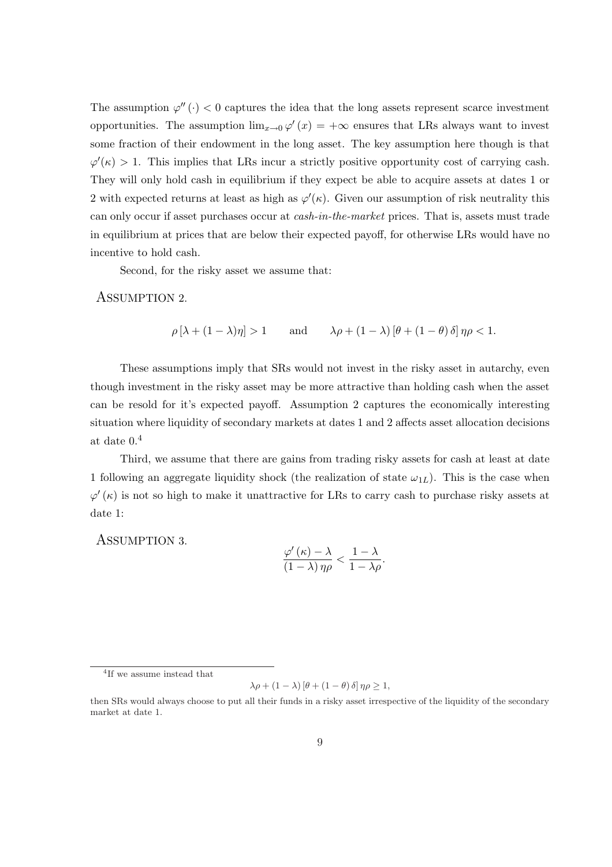The assumption  $\varphi''(.) < 0$  captures the idea that the long assets represent scarce investment opportunities. The assumption  $\lim_{x\to 0} \varphi'(x) = +\infty$  ensures that LRs always want to invest some fraction of their endowment in the long asset. The key assumption here though is that  $\varphi'(\kappa) > 1$ . This implies that LRs incur a strictly positive opportunity cost of carrying cash. They will only hold cash in equilibrium if they expect be able to acquire assets at dates 1 or 2 with expected returns at least as high as  $\varphi'(\kappa)$ . Given our assumption of risk neutrality this can only occur if asset purchases occur at cash-in-the-market prices. That is, assets must trade in equilibrium at prices that are below their expected payoff, for otherwise LRs would have no incentive to hold cash.

Second, for the risky asset we assume that:

ASSUMPTION 2.

$$
\rho \left[ \lambda + (1 - \lambda)\eta \right] > 1
$$
 and  $\lambda \rho + (1 - \lambda) \left[ \theta + (1 - \theta) \delta \right] \eta \rho < 1$ .

These assumptions imply that SRs would not invest in the risky asset in autarchy, even though investment in the risky asset may be more attractive than holding cash when the asset can be resold for it's expected payoff. Assumption 2 captures the economically interesting situation where liquidity of secondary markets at dates 1 and 2 affects asset allocation decisions at date 0.<sup>4</sup>

Third, we assume that there are gains from trading risky assets for cash at least at date 1 following an aggregate liquidity shock (the realization of state  $\omega_{1L}$ ). This is the case when  $\varphi'(\kappa)$  is not so high to make it unattractive for LRs to carry cash to purchase risky assets at date 1:

ASSUMPTION 3.

$$
\frac{\varphi'\left(\kappa\right)-\lambda}{\left(1-\lambda\right)\eta\rho}<\frac{1-\lambda}{1-\lambda\rho}.
$$

$$
\lambda \rho + (1 - \lambda) [\theta + (1 - \theta) \delta] \eta \rho \ge 1,
$$

<sup>4</sup> If we assume instead that

then SRs would always choose to put all their funds in a risky asset irrespective of the liquidity of the secondary market at date 1.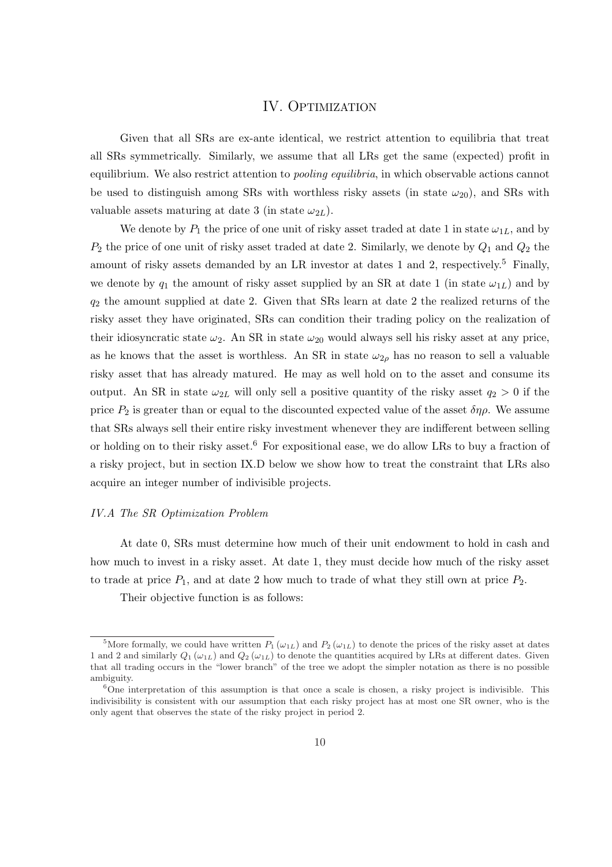# IV. OPTIMIZATION

Given that all SRs are ex-ante identical, we restrict attention to equilibria that treat all SRs symmetrically. Similarly, we assume that all LRs get the same (expected) profit in equilibrium. We also restrict attention to pooling equilibria, in which observable actions cannot be used to distinguish among SRs with worthless risky assets (in state  $\omega_{20}$ ), and SRs with valuable assets maturing at date 3 (in state  $\omega_{2L}$ ).

We denote by  $P_1$  the price of one unit of risky asset traded at date 1 in state  $\omega_{1L}$ , and by  $P_2$  the price of one unit of risky asset traded at date 2. Similarly, we denote by  $Q_1$  and  $Q_2$  the amount of risky assets demanded by an LR investor at dates 1 and 2, respectively.<sup>5</sup> Finally, we denote by  $q_1$  the amount of risky asset supplied by an SR at date 1 (in state  $\omega_{1L}$ ) and by  $q_2$  the amount supplied at date 2. Given that SRs learn at date 2 the realized returns of the risky asset they have originated, SRs can condition their trading policy on the realization of their idiosyncratic state  $\omega_2$ . An SR in state  $\omega_{20}$  would always sell his risky asset at any price, as he knows that the asset is worthless. An SR in state  $\omega_{2\rho}$  has no reason to sell a valuable risky asset that has already matured. He may as well hold on to the asset and consume its output. An SR in state  $\omega_{2L}$  will only sell a positive quantity of the risky asset  $q_2 > 0$  if the price  $P_2$  is greater than or equal to the discounted expected value of the asset  $\delta \eta \rho$ . We assume that SRs always sell their entire risky investment whenever they are indifferent between selling or holding on to their risky asset.<sup>6</sup> For expositional ease, we do allow LRs to buy a fraction of a risky project, but in section IX.D below we show how to treat the constraint that LRs also acquire an integer number of indivisible projects.

### IV.A The SR Optimization Problem

At date 0, SRs must determine how much of their unit endowment to hold in cash and how much to invest in a risky asset. At date 1, they must decide how much of the risky asset to trade at price  $P_1$ , and at date 2 how much to trade of what they still own at price  $P_2$ .

Their objective function is as follows:

<sup>&</sup>lt;sup>5</sup>More formally, we could have written  $P_1(\omega_{1L})$  and  $P_2(\omega_{1L})$  to denote the prices of the risky asset at dates 1 and 2 and similarly  $Q_1(\omega_{1L})$  and  $Q_2(\omega_{1L})$  to denote the quantities acquired by LRs at different dates. Given that all trading occurs in the "lower branch" of the tree we adopt the simpler notation as there is no possible ambiguity.

<sup>&</sup>lt;sup>6</sup>One interpretation of this assumption is that once a scale is chosen, a risky project is indivisible. This indivisibility is consistent with our assumption that each risky project has at most one SR owner, who is the only agent that observes the state of the risky project in period 2.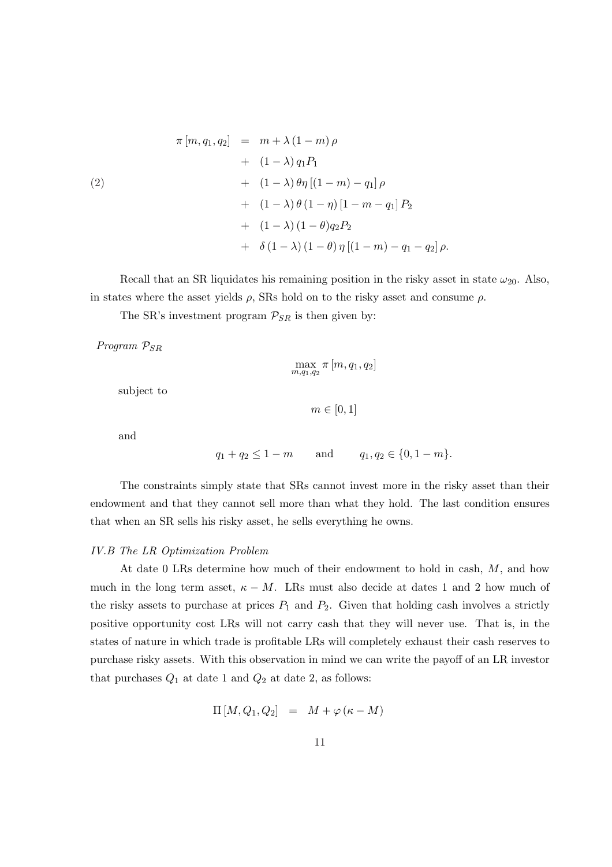(2)  
\n
$$
\pi [m, q_1, q_2] = m + \lambda (1 - m) \rho
$$
\n
$$
+ (1 - \lambda) q_1 P_1
$$
\n
$$
+ (1 - \lambda) \theta \eta [(1 - m) - q_1] \rho
$$
\n
$$
+ (1 - \lambda) \theta (1 - \eta) [1 - m - q_1] P_2
$$
\n
$$
+ (1 - \lambda) (1 - \theta) q_2 P_2
$$
\n
$$
+ \delta (1 - \lambda) (1 - \theta) \eta [(1 - m) - q_1 - q_2] \rho.
$$

Recall that an SR liquidates his remaining position in the risky asset in state  $\omega_{20}$ . Also, in states where the asset yields  $\rho$ , SRs hold on to the risky asset and consume  $\rho$ .

The SR's investment program  $P_{SR}$  is then given by:

Program  $P_{SR}$ 

$$
\max_{m,q_1,q_2} \pi [m,q_1,q_2]
$$

subject to

 $m \in [0, 1]$ 

and

$$
q_1 + q_2 \le 1 - m
$$
 and  $q_1, q_2 \in \{0, 1 - m\}.$ 

The constraints simply state that SRs cannot invest more in the risky asset than their endowment and that they cannot sell more than what they hold. The last condition ensures that when an SR sells his risky asset, he sells everything he owns.

#### IV.B The LR Optimization Problem

At date 0 LRs determine how much of their endowment to hold in cash, M, and how much in the long term asset,  $\kappa - M$ . LRs must also decide at dates 1 and 2 how much of the risky assets to purchase at prices  $P_1$  and  $P_2$ . Given that holding cash involves a strictly positive opportunity cost LRs will not carry cash that they will never use. That is, in the states of nature in which trade is profitable LRs will completely exhaust their cash reserves to purchase risky assets. With this observation in mind we can write the payoff of an LR investor that purchases  $Q_1$  at date 1 and  $Q_2$  at date 2, as follows:

$$
\Pi\left[M,Q_1,Q_2\right] = M + \varphi\left(\kappa - M\right)
$$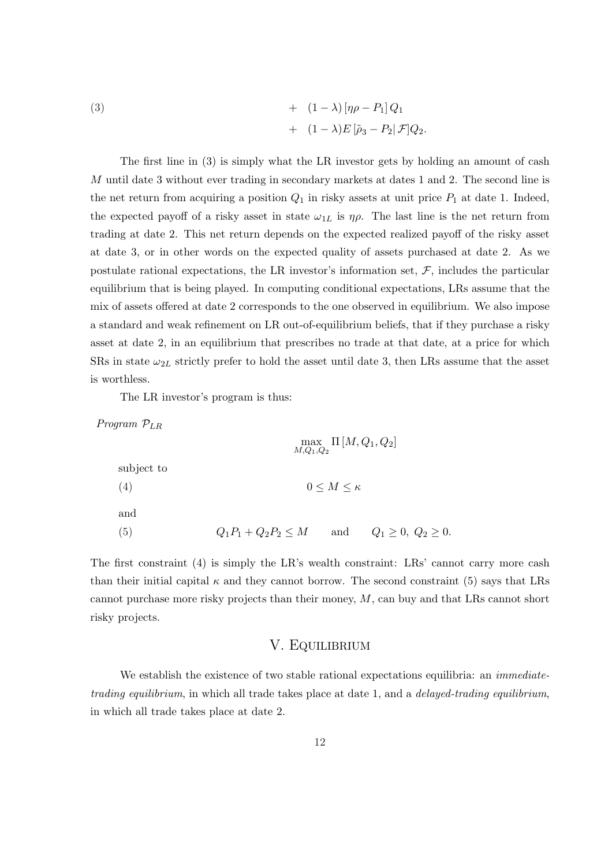(3) 
$$
+ (1 - \lambda) [\eta \rho - P_1] Q_1 + (1 - \lambda) E [\tilde{\rho}_3 - P_2] \mathcal{F} ] Q_2.
$$

The first line in (3) is simply what the LR investor gets by holding an amount of cash M until date 3 without ever trading in secondary markets at dates 1 and 2. The second line is the net return from acquiring a position  $Q_1$  in risky assets at unit price  $P_1$  at date 1. Indeed, the expected payoff of a risky asset in state  $\omega_{1L}$  is  $\eta \rho$ . The last line is the net return from trading at date 2. This net return depends on the expected realized payoff of the risky asset at date 3, or in other words on the expected quality of assets purchased at date 2. As we postulate rational expectations, the LR investor's information set,  $\mathcal{F}$ , includes the particular equilibrium that is being played. In computing conditional expectations, LRs assume that the mix of assets offered at date 2 corresponds to the one observed in equilibrium. We also impose a standard and weak refinement on LR out-of-equilibrium beliefs, that if they purchase a risky asset at date 2, in an equilibrium that prescribes no trade at that date, at a price for which SRs in state  $\omega_{2L}$  strictly prefer to hold the asset until date 3, then LRs assume that the asset is worthless.

The LR investor's program is thus:

Program PLR  $\max_{M,Q_1,Q_2} \Pi\left[M,Q_1,Q_2\right]$ subject to (4)  $0 \leq M \leq \kappa$ and (5)  $Q_1P_1 + Q_2P_2 \leq M$  and  $Q_1 \geq 0$ ,  $Q_2 \geq 0$ .

The first constraint (4) is simply the LR's wealth constraint: LRs' cannot carry more cash than their initial capital  $\kappa$  and they cannot borrow. The second constraint (5) says that LRs cannot purchase more risky projects than their money, M, can buy and that LRs cannot short risky projects.

# V. EQUILIBRIUM

We establish the existence of two stable rational expectations equilibria: an *immediate*trading equilibrium, in which all trade takes place at date 1, and a delayed-trading equilibrium, in which all trade takes place at date 2.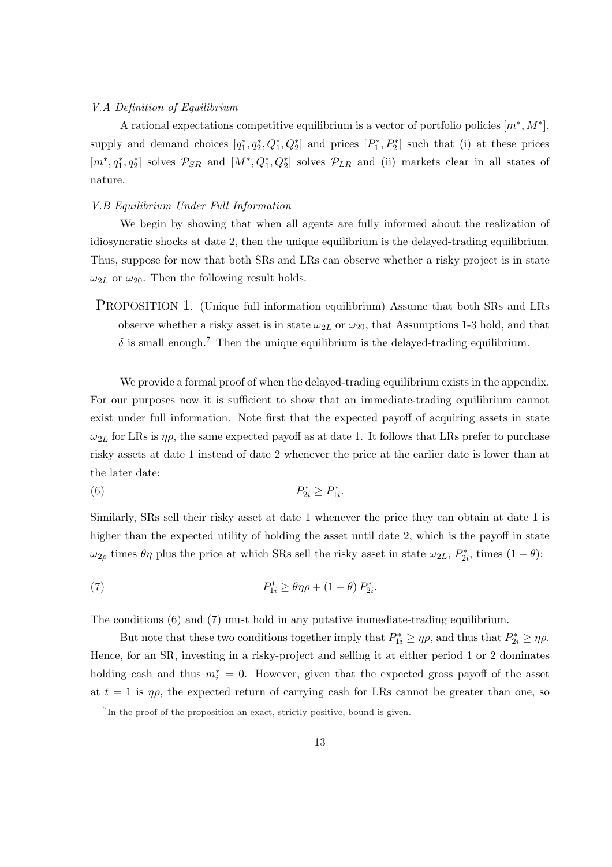### V.A Definition of Equilibrium

A rational expectations competitive equilibrium is a vector of portfolio policies  $[m^*, M^*]$ , supply and demand choices  $[q_1^*, q_2^*, Q_1^*, Q_2^*]$  and prices  $[P_1^*, P_2^*]$  such that (i) at these prices  $[m^*, q_1^*, q_2^*]$  solves  $\mathcal{P}_{SR}$  and  $[M^*, Q_1^*, Q_2^*]$  solves  $\mathcal{P}_{LR}$  and (ii) markets clear in all states of nature.

### V.B Equilibrium Under Full Information

We begin by showing that when all agents are fully informed about the realization of idiosyncratic shocks at date 2, then the unique equilibrium is the delayed-trading equilibrium. Thus, suppose for now that both SRs and LRs can observe whether a risky project is in state  $\omega_{2L}$  or  $\omega_{20}$ . Then the following result holds.

PROPOSITION 1. (Unique full information equilibrium) Assume that both SRs and LRs observe whether a risky asset is in state  $\omega_{2L}$  or  $\omega_{20}$ , that Assumptions 1-3 hold, and that  $\delta$  is small enough.<sup>7</sup> Then the unique equilibrium is the delayed-trading equilibrium.

We provide a formal proof of when the delayed-trading equilibrium exists in the appendix. For our purposes now it is sufficient to show that an immediate-trading equilibrium cannot exist under full information. Note first that the expected payoff of acquiring assets in state  $\omega_{2L}$  for LRs is  $\eta\rho$ , the same expected payoff as at date 1. It follows that LRs prefer to purchase risky assets at date 1 instead of date 2 whenever the price at the earlier date is lower than at the later date:

$$
(6) \t\t\t P_{2i}^* \ge P_{1i}^*.
$$

Similarly, SRs sell their risky asset at date 1 whenever the price they can obtain at date 1 is higher than the expected utility of holding the asset until date 2, which is the payoff in state  $\omega_{2\rho}$  times  $\theta\eta$  plus the price at which SRs sell the risky asset in state  $\omega_{2L}$ ,  $P_{2i}^*$ , times  $(1 - \theta)$ :

(7) 
$$
P_{1i}^* \geq \theta \eta \rho + (1 - \theta) P_{2i}^*.
$$

The conditions (6) and (7) must hold in any putative immediate-trading equilibrium.

But note that these two conditions together imply that  $P_{1i}^* \ge \eta \rho$ , and thus that  $P_{2i}^* \ge \eta \rho$ . Hence, for an SR, investing in a risky-project and selling it at either period 1 or 2 dominates holding cash and thus  $m_i^* = 0$ . However, given that the expected gross payoff of the asset at  $t = 1$  is  $\eta \rho$ , the expected return of carrying cash for LRs cannot be greater than one, so

<sup>&</sup>lt;sup>7</sup>In the proof of the proposition an exact, strictly positive, bound is given.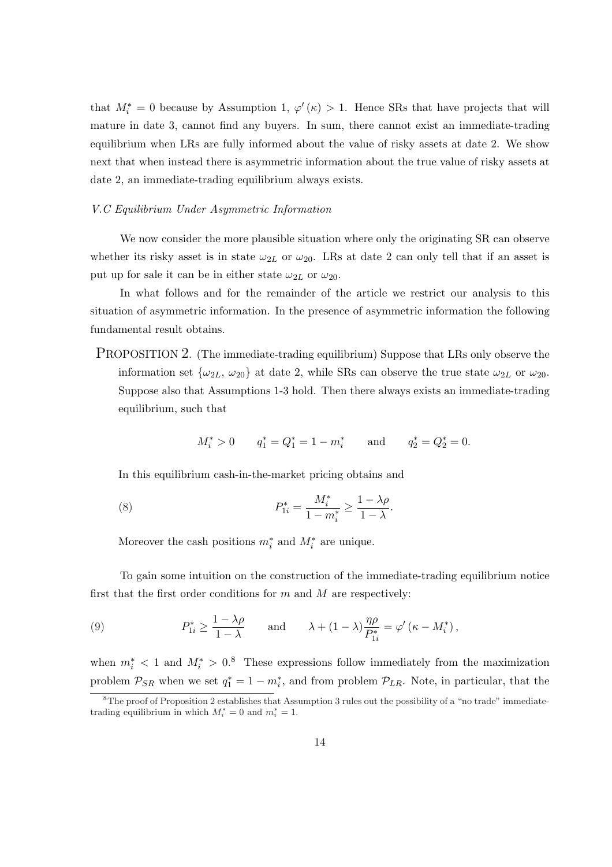that  $M_i^* = 0$  because by Assumption 1,  $\varphi'(\kappa) > 1$ . Hence SRs that have projects that will mature in date 3, cannot find any buyers. In sum, there cannot exist an immediate-trading equilibrium when LRs are fully informed about the value of risky assets at date 2. We show next that when instead there is asymmetric information about the true value of risky assets at date 2, an immediate-trading equilibrium always exists.

### V.C Equilibrium Under Asymmetric Information

We now consider the more plausible situation where only the originating SR can observe whether its risky asset is in state  $\omega_{2L}$  or  $\omega_{20}$ . LRs at date 2 can only tell that if an asset is put up for sale it can be in either state  $\omega_{2L}$  or  $\omega_{20}$ .

In what follows and for the remainder of the article we restrict our analysis to this situation of asymmetric information. In the presence of asymmetric information the following fundamental result obtains.

PROPOSITION 2. (The immediate-trading equilibrium) Suppose that LRs only observe the information set  $\{\omega_{2L}, \omega_{20}\}$  at date 2, while SRs can observe the true state  $\omega_{2L}$  or  $\omega_{20}$ . Suppose also that Assumptions 1-3 hold. Then there always exists an immediate-trading equilibrium, such that

$$
M_i^* > 0
$$
  $q_1^* = Q_1^* = 1 - m_i^*$  and  $q_2^* = Q_2^* = 0.$ 

In this equilibrium cash-in-the-market pricing obtains and

(8) 
$$
P_{1i}^* = \frac{M_i^*}{1 - m_i^*} \ge \frac{1 - \lambda \rho}{1 - \lambda}.
$$

Moreover the cash positions  $m_i^*$  and  $M_i^*$  are unique.

To gain some intuition on the construction of the immediate-trading equilibrium notice first that the first order conditions for  $m$  and  $M$  are respectively:

(9) 
$$
P_{1i}^* \ge \frac{1 - \lambda \rho}{1 - \lambda}
$$
 and  $\lambda + (1 - \lambda) \frac{\eta \rho}{P_{1i}^*} = \varphi' (\kappa - M_i^*),$ 

when  $m_i^*$  < 1 and  $M_i^*$  > 0.<sup>8</sup> These expressions follow immediately from the maximization problem  $P_{SR}$  when we set  $q_1^* = 1 - m_i^*$ , and from problem  $P_{LR}$ . Note, in particular, that the

<sup>&</sup>lt;sup>8</sup>The proof of Proposition 2 establishes that Assumption 3 rules out the possibility of a "no trade" immediatetrading equilibrium in which  $M_i^* = 0$  and  $m_i^* = 1$ .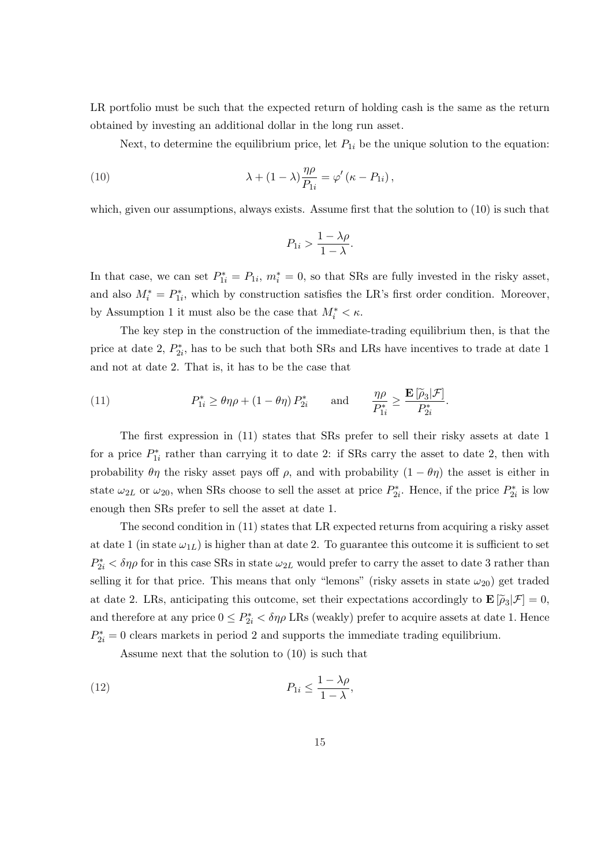LR portfolio must be such that the expected return of holding cash is the same as the return obtained by investing an additional dollar in the long run asset.

Next, to determine the equilibrium price, let  $P_{1i}$  be the unique solution to the equation:

(10) 
$$
\lambda + (1 - \lambda) \frac{\eta \rho}{P_{1i}} = \varphi' (\kappa - P_{1i}),
$$

which, given our assumptions, always exists. Assume first that the solution to (10) is such that

$$
P_{1i} > \frac{1 - \lambda \rho}{1 - \lambda}.
$$

In that case, we can set  $P_{1i}^* = P_{1i}$ ,  $m_i^* = 0$ , so that SRs are fully invested in the risky asset, and also  $M_i^* = P_{1i}^*$ , which by construction satisfies the LR's first order condition. Moreover, by Assumption 1 it must also be the case that  $M_i^* < \kappa$ .

The key step in the construction of the immediate-trading equilibrium then, is that the price at date 2,  $P_{2i}^*$ , has to be such that both SRs and LRs have incentives to trade at date 1 and not at date 2. That is, it has to be the case that

(11) 
$$
P_{1i}^* \geq \theta \eta \rho + (1 - \theta \eta) P_{2i}^* \quad \text{and} \quad \frac{\eta \rho}{P_{1i}^*} \geq \frac{\mathbf{E} \left[ \widetilde{\rho}_3 | \mathcal{F} \right]}{P_{2i}^*}.
$$

The first expression in (11) states that SRs prefer to sell their risky assets at date 1 for a price  $P_{1i}^*$  rather than carrying it to date 2: if SRs carry the asset to date 2, then with probability  $\theta\eta$  the risky asset pays off  $\rho$ , and with probability  $(1 - \theta\eta)$  the asset is either in state  $\omega_{2L}$  or  $\omega_{20}$ , when SRs choose to sell the asset at price  $P_{2i}^*$ . Hence, if the price  $P_{2i}^*$  is low enough then SRs prefer to sell the asset at date 1.

The second condition in (11) states that LR expected returns from acquiring a risky asset at date 1 (in state  $\omega_{1L}$ ) is higher than at date 2. To guarantee this outcome it is sufficient to set  $P_{2i}^* < \delta \eta \rho$  for in this case SRs in state  $\omega_{2L}$  would prefer to carry the asset to date 3 rather than selling it for that price. This means that only "lemons" (risky assets in state  $\omega_{20}$ ) get traded at date 2. LRs, anticipating this outcome, set their expectations accordingly to  $\mathbf{E}[\tilde{\rho}_3|\mathcal{F}]=0$ , and therefore at any price  $0 \le P_{2i}^* < \delta \eta \rho$  LRs (weakly) prefer to acquire assets at date 1. Hence  $P_{2i}^* = 0$  clears markets in period 2 and supports the immediate trading equilibrium.

Assume next that the solution to (10) is such that

$$
(12) \t\t P_{1i} \le \frac{1 - \lambda \rho}{1 - \lambda},
$$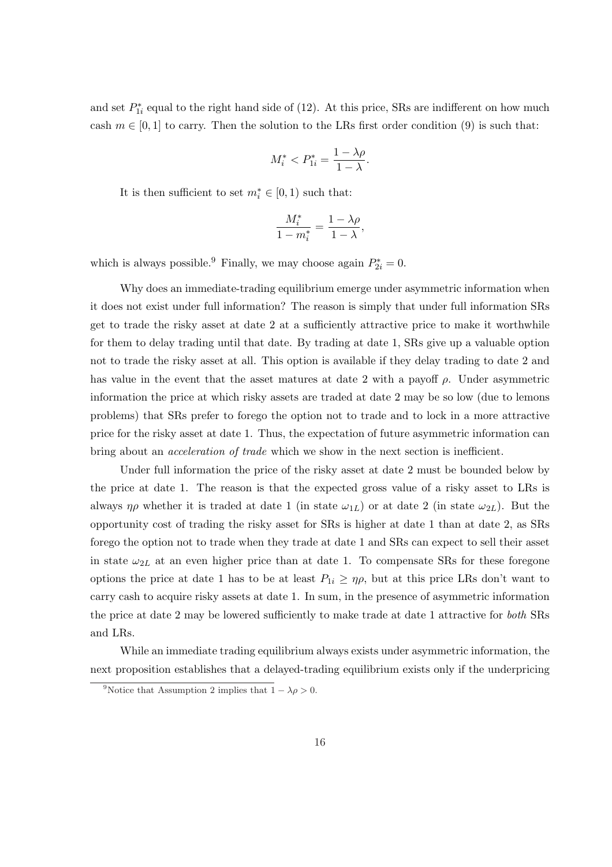and set  $P_{1i}^*$  equal to the right hand side of (12). At this price, SRs are indifferent on how much cash  $m \in [0,1]$  to carry. Then the solution to the LRs first order condition (9) is such that:

$$
M_i^* < P_{1i}^* = \frac{1 - \lambda \rho}{1 - \lambda}.
$$

It is then sufficient to set  $m_i^* \in [0,1)$  such that:

$$
\frac{M^*_i}{1-m^*_i}=\frac{1-\lambda\rho}{1-\lambda},
$$

which is always possible.<sup>9</sup> Finally, we may choose again  $P_{2i}^* = 0$ .

Why does an immediate-trading equilibrium emerge under asymmetric information when it does not exist under full information? The reason is simply that under full information SRs get to trade the risky asset at date 2 at a sufficiently attractive price to make it worthwhile for them to delay trading until that date. By trading at date 1, SRs give up a valuable option not to trade the risky asset at all. This option is available if they delay trading to date 2 and has value in the event that the asset matures at date 2 with a payoff  $\rho$ . Under asymmetric information the price at which risky assets are traded at date 2 may be so low (due to lemons problems) that SRs prefer to forego the option not to trade and to lock in a more attractive price for the risky asset at date 1. Thus, the expectation of future asymmetric information can bring about an acceleration of trade which we show in the next section is inefficient.

Under full information the price of the risky asset at date 2 must be bounded below by the price at date 1. The reason is that the expected gross value of a risky asset to LRs is always  $\eta \rho$  whether it is traded at date 1 (in state  $\omega_{1L}$ ) or at date 2 (in state  $\omega_{2L}$ ). But the opportunity cost of trading the risky asset for SRs is higher at date 1 than at date 2, as SRs forego the option not to trade when they trade at date 1 and SRs can expect to sell their asset in state  $\omega_{2L}$  at an even higher price than at date 1. To compensate SRs for these foregone options the price at date 1 has to be at least  $P_{1i} \ge \eta \rho$ , but at this price LRs don't want to carry cash to acquire risky assets at date 1. In sum, in the presence of asymmetric information the price at date 2 may be lowered sufficiently to make trade at date 1 attractive for both SRs and LRs.

While an immediate trading equilibrium always exists under asymmetric information, the next proposition establishes that a delayed-trading equilibrium exists only if the underpricing

<sup>&</sup>lt;sup>9</sup>Notice that Assumption 2 implies that  $1 - \lambda \rho > 0$ .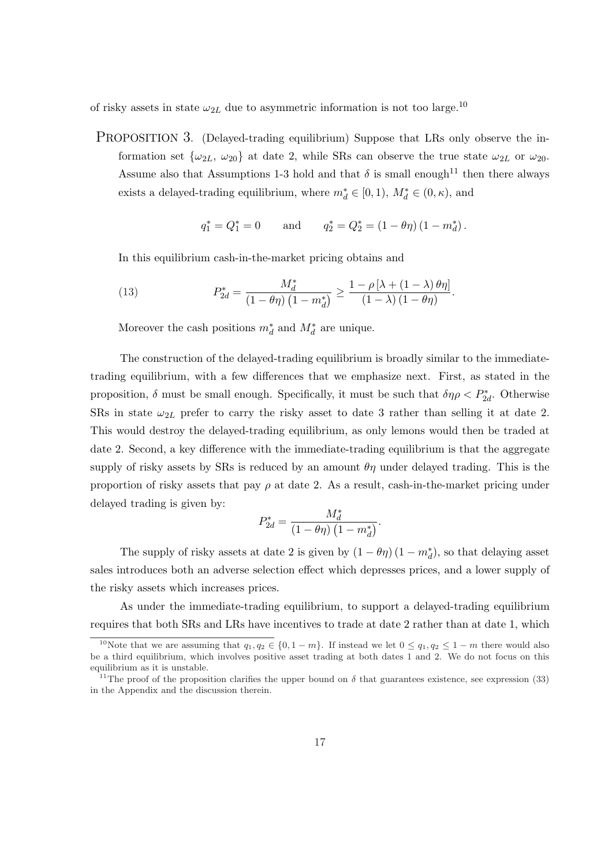of risky assets in state  $\omega_{2L}$  due to asymmetric information is not too large.<sup>10</sup>

PROPOSITION 3. (Delayed-trading equilibrium) Suppose that LRs only observe the information set  $\{\omega_{2L}, \omega_{20}\}$  at date 2, while SRs can observe the true state  $\omega_{2L}$  or  $\omega_{20}$ . Assume also that Assumptions 1-3 hold and that  $\delta$  is small enough<sup>11</sup> then there always exists a delayed-trading equilibrium, where  $m_d^* \in [0,1)$ ,  $M_d^* \in (0, \kappa)$ , and

$$
q_1^* = Q_1^* = 0
$$
 and  $q_2^* = Q_2^* = (1 - \theta \eta) (1 - m_d^*)$ .

In this equilibrium cash-in-the-market pricing obtains and

(13) 
$$
P_{2d}^* = \frac{M_d^*}{(1 - \theta \eta) (1 - m_d^*)} \ge \frac{1 - \rho \left[\lambda + (1 - \lambda) \theta \eta\right]}{(1 - \lambda) (1 - \theta \eta)}.
$$

Moreover the cash positions  $m_d^*$  and  $M_d^*$  are unique.

The construction of the delayed-trading equilibrium is broadly similar to the immediatetrading equilibrium, with a few differences that we emphasize next. First, as stated in the proposition,  $\delta$  must be small enough. Specifically, it must be such that  $\delta \eta \rho < P_{2d}^*$ . Otherwise SRs in state  $\omega_{2L}$  prefer to carry the risky asset to date 3 rather than selling it at date 2. This would destroy the delayed-trading equilibrium, as only lemons would then be traded at date 2. Second, a key difference with the immediate-trading equilibrium is that the aggregate supply of risky assets by SRs is reduced by an amount  $\theta\eta$  under delayed trading. This is the proportion of risky assets that pay  $\rho$  at date 2. As a result, cash-in-the-market pricing under delayed trading is given by:

$$
P_{2d}^* = \frac{M_d^*}{\left(1 - \theta \eta\right) \left(1 - m_d^*\right)}.
$$

The supply of risky assets at date 2 is given by  $(1 - \theta \eta) (1 - m_d^*)$ , so that delaying asset sales introduces both an adverse selection effect which depresses prices, and a lower supply of the risky assets which increases prices.

As under the immediate-trading equilibrium, to support a delayed-trading equilibrium requires that both SRs and LRs have incentives to trade at date 2 rather than at date 1, which

<sup>&</sup>lt;sup>10</sup>Note that we are assuming that  $q_1, q_2 \in \{0, 1 - m\}$ . If instead we let  $0 \leq q_1, q_2 \leq 1 - m$  there would also be a third equilibrium, which involves positive asset trading at both dates 1 and 2. We do not focus on this equilibrium as it is unstable.

<sup>&</sup>lt;sup>11</sup>The proof of the proposition clarifies the upper bound on  $\delta$  that guarantees existence, see expression (33) in the Appendix and the discussion therein.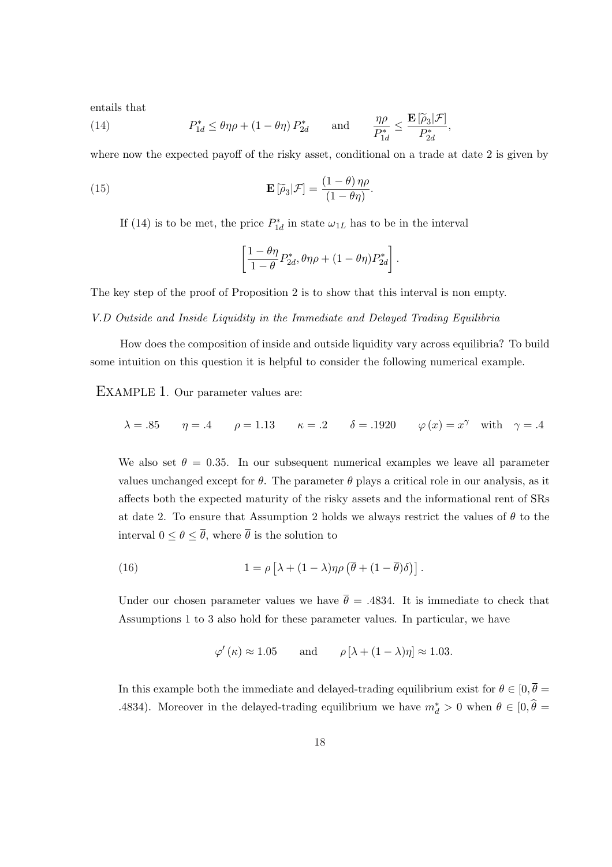entails that

(14) 
$$
P_{1d}^* \leq \theta \eta \rho + (1 - \theta \eta) P_{2d}^* \quad \text{and} \quad \frac{\eta \rho}{P_{1d}^*} \leq \frac{\mathbf{E}\left[\tilde{\rho}_3|\mathcal{F}\right]}{P_{2d}^*},
$$

where now the expected payoff of the risky asset, conditional on a trade at date 2 is given by

(15) 
$$
\mathbf{E}\left[\widetilde{\rho}_3|\mathcal{F}\right] = \frac{(1-\theta)\eta\rho}{(1-\theta\eta)}.
$$

If (14) is to be met, the price  $P_{1d}^*$  in state  $\omega_{1L}$  has to be in the interval

$$
\left[\frac{1-\theta\eta}{1-\theta}P_{2d}^*,\theta\eta\rho + (1-\theta\eta)P_{2d}^*\right].
$$

The key step of the proof of Proposition 2 is to show that this interval is non empty.

#### V.D Outside and Inside Liquidity in the Immediate and Delayed Trading Equilibria

How does the composition of inside and outside liquidity vary across equilibria? To build some intuition on this question it is helpful to consider the following numerical example.

EXAMPLE 1. Our parameter values are:

$$
\lambda = .85
$$
  $\eta = .4$   $\rho = 1.13$   $\kappa = .2$   $\delta = .1920$   $\varphi(x) = x^{\gamma}$  with  $\gamma = .4$ 

We also set  $\theta = 0.35$ . In our subsequent numerical examples we leave all parameter values unchanged except for  $\theta$ . The parameter  $\theta$  plays a critical role in our analysis, as it affects both the expected maturity of the risky assets and the informational rent of SRs at date 2. To ensure that Assumption 2 holds we always restrict the values of  $\theta$  to the interval  $0 \le \theta \le \overline{\theta}$ , where  $\overline{\theta}$  is the solution to

(16) 
$$
1 = \rho \left[ \lambda + (1 - \lambda) \eta \rho \left( \overline{\theta} + (1 - \overline{\theta}) \delta \right) \right].
$$

Under our chosen parameter values we have  $\bar{\theta} = .4834$ . It is immediate to check that Assumptions 1 to 3 also hold for these parameter values. In particular, we have

$$
\varphi'(\kappa) \approx 1.05
$$
 and  $\rho[\lambda + (1 - \lambda)\eta] \approx 1.03$ .

In this example both the immediate and delayed-trading equilibrium exist for  $\theta \in [0, \overline{\theta} =$ .4834). Moreover in the delayed-trading equilibrium we have  $m_d^* > 0$  when  $\theta \in [0, \hat{\theta}]$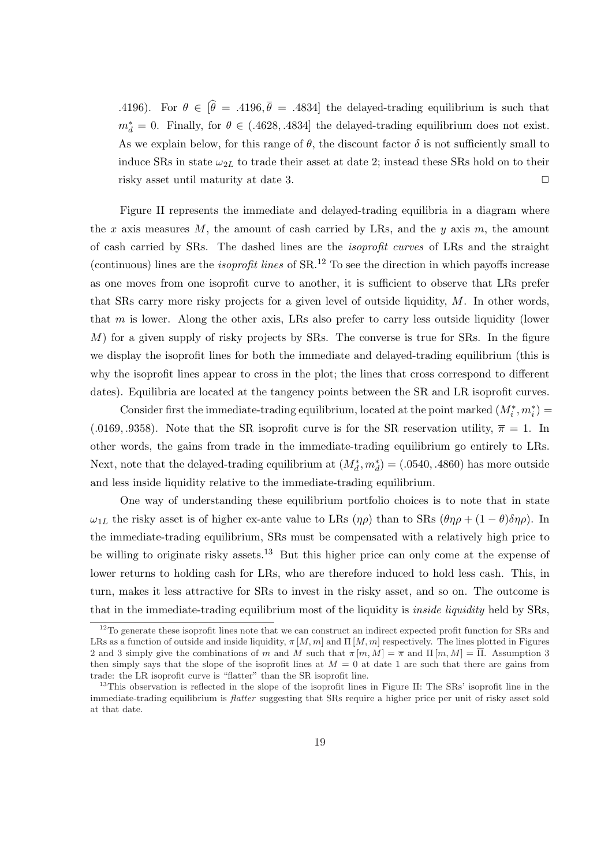.4196). For  $\theta \in \hat{\theta} = .4196, \bar{\theta} = .4834$  the delayed-trading equilibrium is such that  $m_d^* = 0$ . Finally, for  $\theta \in (0.4628, 0.4834]$  the delayed-trading equilibrium does not exist. As we explain below, for this range of  $\theta$ , the discount factor  $\delta$  is not sufficiently small to induce SRs in state  $\omega_{2L}$  to trade their asset at date 2; instead these SRs hold on to their risky asset until maturity at date 3.  $\Box$ 

Figure II represents the immediate and delayed-trading equilibria in a diagram where the x axis measures M, the amount of cash carried by LRs, and the y axis m, the amount of cash carried by SRs. The dashed lines are the isoprofit curves of LRs and the straight (continuous) lines are the *isoprofit lines* of  $SR<sup>12</sup>$  To see the direction in which payoffs increase as one moves from one isoprofit curve to another, it is sufficient to observe that LRs prefer that SRs carry more risky projects for a given level of outside liquidity,  $M$ . In other words, that  $m$  is lower. Along the other axis, LRs also prefer to carry less outside liquidity (lower M) for a given supply of risky projects by SRs. The converse is true for SRs. In the figure we display the isoprofit lines for both the immediate and delayed-trading equilibrium (this is why the isoprofit lines appear to cross in the plot; the lines that cross correspond to different dates). Equilibria are located at the tangency points between the SR and LR isoprofit curves.

Consider first the immediate-trading equilibrium, located at the point marked  $(M_i^*, m_i^*) =$ (.0169, .9358). Note that the SR isoprofit curve is for the SR reservation utility,  $\bar{\pi} = 1$ . In other words, the gains from trade in the immediate-trading equilibrium go entirely to LRs. Next, note that the delayed-trading equilibrium at  $(M_d^*, m_d^*) = (.0540, .4860)$  has more outside and less inside liquidity relative to the immediate-trading equilibrium.

One way of understanding these equilibrium portfolio choices is to note that in state  $\omega_{1L}$  the risky asset is of higher ex-ante value to LRs  $(\eta \rho)$  than to SRs  $(\theta \eta \rho + (1 - \theta) \delta \eta \rho)$ . In the immediate-trading equilibrium, SRs must be compensated with a relatively high price to be willing to originate risky assets.<sup>13</sup> But this higher price can only come at the expense of lower returns to holding cash for LRs, who are therefore induced to hold less cash. This, in turn, makes it less attractive for SRs to invest in the risky asset, and so on. The outcome is that in the immediate-trading equilibrium most of the liquidity is inside liquidity held by SRs,

 $12$ To generate these isoprofit lines note that we can construct an indirect expected profit function for SRs and LRs as a function of outside and inside liquidity,  $\pi[M,m]$  and  $\Pi[M,m]$  respectively. The lines plotted in Figures 2 and 3 simply give the combinations of m and M such that  $\pi[m, M] = \overline{\pi}$  and  $\Pi[m, M] = \overline{\Pi}$ . Assumption 3 then simply says that the slope of the isoprofit lines at  $M = 0$  at date 1 are such that there are gains from trade: the LR isoprofit curve is "flatter" than the SR isoprofit line.

<sup>&</sup>lt;sup>13</sup>This observation is reflected in the slope of the isoprofit lines in Figure II: The SRs' isoprofit line in the immediate-trading equilibrium is *flatter* suggesting that SRs require a higher price per unit of risky asset sold at that date.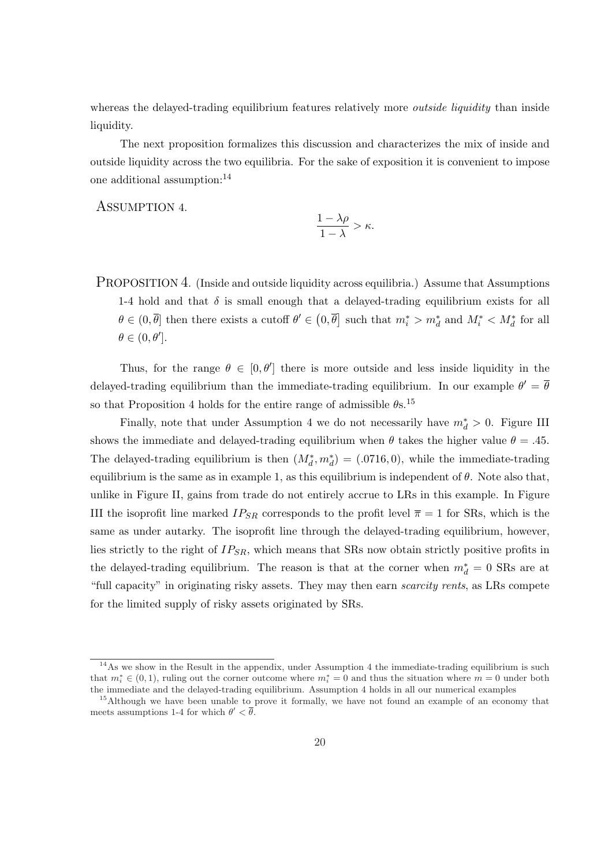whereas the delayed-trading equilibrium features relatively more *outside liquidity* than inside liquidity.

The next proposition formalizes this discussion and characterizes the mix of inside and outside liquidity across the two equilibria. For the sake of exposition it is convenient to impose one additional assumption:<sup>14</sup>

ASSUMPTION 4.

 $\theta \in (0, \theta^{\prime}].$ 

$$
\frac{1-\lambda\rho}{1-\lambda} > \kappa.
$$

PROPOSITION 4. (Inside and outside liquidity across equilibria.) Assume that Assumptions 1-4 hold and that  $\delta$  is small enough that a delayed-trading equilibrium exists for all  $\theta \in (0, \overline{\theta}]$  then there exists a cutoff  $\theta' \in ($  $0, \overline{\theta}$ ] such that  $m_i^* > m_d^*$  and  $M_i^* < M_d^*$  for all

Thus, for the range  $\theta \in [0, \theta']$  there is more outside and less inside liquidity in the delayed-trading equilibrium than the immediate-trading equilibrium. In our example  $\theta' = \overline{\theta}$ so that Proposition 4 holds for the entire range of admissible  $\theta$ s.<sup>15</sup>

Finally, note that under Assumption 4 we do not necessarily have  $m_d^* > 0$ . Figure III shows the immediate and delayed-trading equilibrium when  $\theta$  takes the higher value  $\theta = .45$ . The delayed-trading equilibrium is then  $(M_d^*, m_d^*) = (0.0716, 0)$ , while the immediate-trading equilibrium is the same as in example 1, as this equilibrium is independent of  $\theta$ . Note also that, unlike in Figure II, gains from trade do not entirely accrue to LRs in this example. In Figure III the isoprofit line marked  $IP_{SR}$  corresponds to the profit level  $\bar{\pi} = 1$  for SRs, which is the same as under autarky. The isoprofit line through the delayed-trading equilibrium, however, lies strictly to the right of  $IP_{SR}$ , which means that SRs now obtain strictly positive profits in the delayed-trading equilibrium. The reason is that at the corner when  $m_d^* = 0$  SRs are at "full capacity" in originating risky assets. They may then earn scarcity rents, as LRs compete for the limited supply of risky assets originated by SRs.

<sup>&</sup>lt;sup>14</sup>As we show in the Result in the appendix, under Assumption 4 the immediate-trading equilibrium is such that  $m_i^* \in (0,1)$ , ruling out the corner outcome where  $m_i^* = 0$  and thus the situation where  $m = 0$  under both the immediate and the delayed-trading equilibrium. Assumption 4 holds in all our numerical examples

<sup>&</sup>lt;sup>15</sup>Although we have been unable to prove it formally, we have not found an example of an economy that meets assumptions 1-4 for which  $\theta' < \overline{\theta}$ .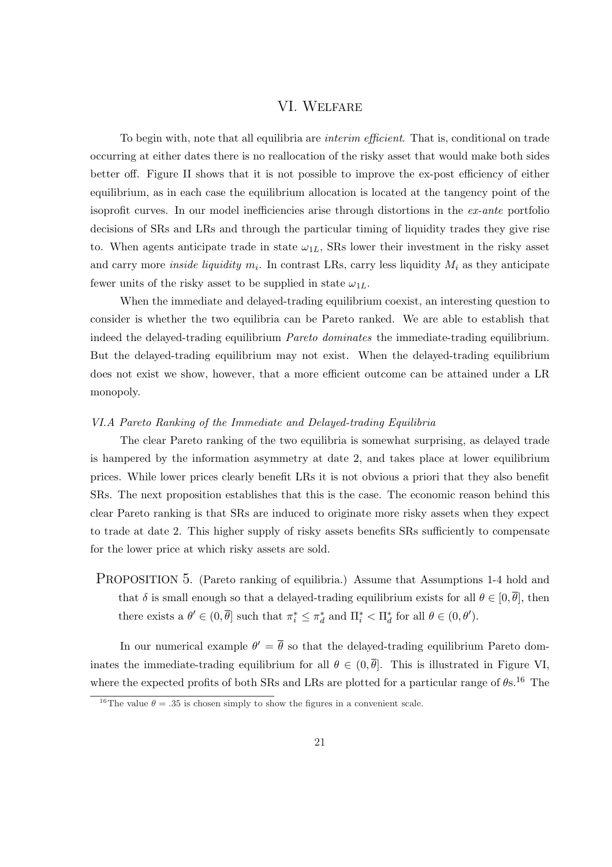# VI. WELFARE

To begin with, note that all equilibria are *interim efficient*. That is, conditional on trade occurring at either dates there is no reallocation of the risky asset that would make both sides better off. Figure II shows that it is not possible to improve the ex-post efficiency of either equilibrium, as in each case the equilibrium allocation is located at the tangency point of the isoprofit curves. In our model inefficiencies arise through distortions in the ex-ante portfolio decisions of SRs and LRs and through the particular timing of liquidity trades they give rise to. When agents anticipate trade in state  $\omega_{1L}$ , SRs lower their investment in the risky asset and carry more *inside liquidity*  $m_i$ . In contrast LRs, carry less liquidity  $M_i$  as they anticipate fewer units of the risky asset to be supplied in state  $\omega_{1L}$ .

When the immediate and delayed-trading equilibrium coexist, an interesting question to consider is whether the two equilibria can be Pareto ranked. We are able to establish that indeed the delayed-trading equilibrium Pareto dominates the immediate-trading equilibrium. But the delayed-trading equilibrium may not exist. When the delayed-trading equilibrium does not exist we show, however, that a more efficient outcome can be attained under a LR monopoly.

### VI.A Pareto Ranking of the Immediate and Delayed-trading Equilibria

The clear Pareto ranking of the two equilibria is somewhat surprising, as delayed trade is hampered by the information asymmetry at date 2, and takes place at lower equilibrium prices. While lower prices clearly benefit LRs it is not obvious a priori that they also benefit SRs. The next proposition establishes that this is the case. The economic reason behind this clear Pareto ranking is that SRs are induced to originate more risky assets when they expect to trade at date 2. This higher supply of risky assets benefits SRs sufficiently to compensate for the lower price at which risky assets are sold.

PROPOSITION 5. (Pareto ranking of equilibria.) Assume that Assumptions 1-4 hold and that  $\delta$  is small enough so that a delayed-trading equilibrium exists for all  $\theta \in [0, \overline{\theta}]$ , then there exists a  $\theta' \in (0, \overline{\theta}]$  such that  $\pi_i^* \leq \pi_d^*$  and  $\Pi_i^* < \Pi_d^*$  for all  $\theta \in (0, \theta')$ .

In our numerical example  $\theta' = \overline{\theta}$  so that the delayed-trading equilibrium Pareto dominates the immediate-trading equilibrium for all  $\theta \in (0, \overline{\theta}]$ . This is illustrated in Figure VI, where the expected profits of both SRs and LRs are plotted for a particular range of  $\theta s$ .<sup>16</sup> The

<sup>&</sup>lt;sup>16</sup>The value  $\theta = .35$  is chosen simply to show the figures in a convenient scale.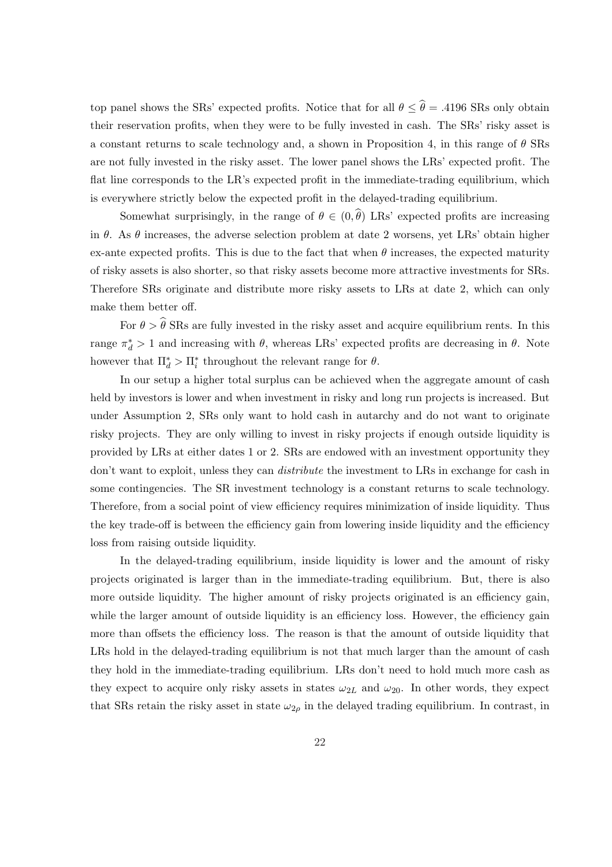top panel shows the SRs' expected profits. Notice that for all  $\theta \leq \hat{\theta} = .4196$  SRs only obtain their reservation profits, when they were to be fully invested in cash. The SRs' risky asset is a constant returns to scale technology and, a shown in Proposition 4, in this range of  $\theta$  SRs are not fully invested in the risky asset. The lower panel shows the LRs' expected profit. The flat line corresponds to the LR's expected profit in the immediate-trading equilibrium, which is everywhere strictly below the expected profit in the delayed-trading equilibrium.

Somewhat surprisingly, in the range of  $\theta \in (0,\hat{\theta})$  LRs' expected profits are increasing in  $\theta$ . As  $\theta$  increases, the adverse selection problem at date 2 worsens, yet LRs' obtain higher ex-ante expected profits. This is due to the fact that when  $\theta$  increases, the expected maturity of risky assets is also shorter, so that risky assets become more attractive investments for SRs. Therefore SRs originate and distribute more risky assets to LRs at date 2, which can only make them better off.

For  $\theta > \hat{\theta}$  SRs are fully invested in the risky asset and acquire equilibrium rents. In this range  $\pi_d^* > 1$  and increasing with  $\theta$ , whereas LRs' expected profits are decreasing in  $\theta$ . Note however that  $\Pi_d^* > \Pi_i^*$  throughout the relevant range for  $\theta$ .

In our setup a higher total surplus can be achieved when the aggregate amount of cash held by investors is lower and when investment in risky and long run projects is increased. But under Assumption 2, SRs only want to hold cash in autarchy and do not want to originate risky projects. They are only willing to invest in risky projects if enough outside liquidity is provided by LRs at either dates 1 or 2. SRs are endowed with an investment opportunity they don't want to exploit, unless they can distribute the investment to LRs in exchange for cash in some contingencies. The SR investment technology is a constant returns to scale technology. Therefore, from a social point of view efficiency requires minimization of inside liquidity. Thus the key trade-off is between the efficiency gain from lowering inside liquidity and the efficiency loss from raising outside liquidity.

In the delayed-trading equilibrium, inside liquidity is lower and the amount of risky projects originated is larger than in the immediate-trading equilibrium. But, there is also more outside liquidity. The higher amount of risky projects originated is an efficiency gain, while the larger amount of outside liquidity is an efficiency loss. However, the efficiency gain more than offsets the efficiency loss. The reason is that the amount of outside liquidity that LRs hold in the delayed-trading equilibrium is not that much larger than the amount of cash they hold in the immediate-trading equilibrium. LRs don't need to hold much more cash as they expect to acquire only risky assets in states  $\omega_{2L}$  and  $\omega_{20}$ . In other words, they expect that SRs retain the risky asset in state  $\omega_{2\rho}$  in the delayed trading equilibrium. In contrast, in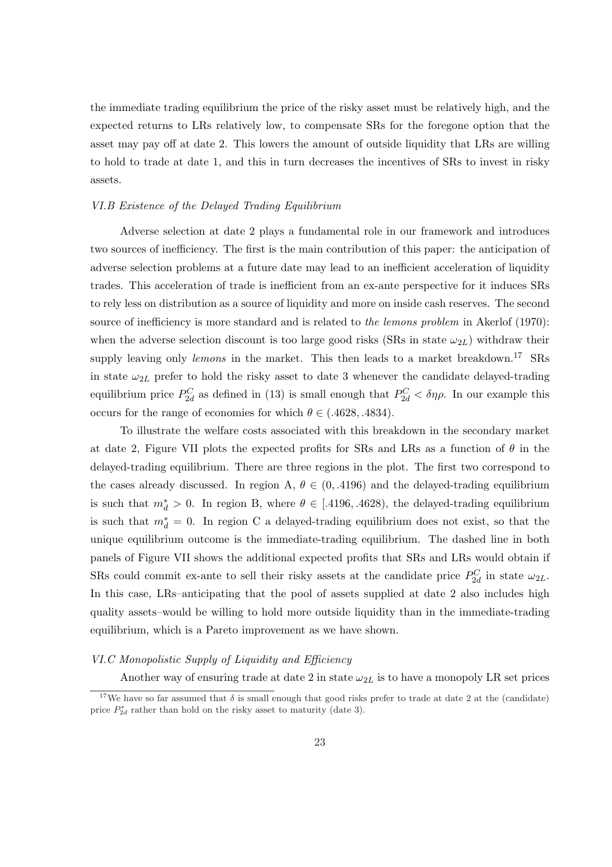the immediate trading equilibrium the price of the risky asset must be relatively high, and the expected returns to LRs relatively low, to compensate SRs for the foregone option that the asset may pay off at date 2. This lowers the amount of outside liquidity that LRs are willing to hold to trade at date 1, and this in turn decreases the incentives of SRs to invest in risky assets.

#### VI.B Existence of the Delayed Trading Equilibrium

Adverse selection at date 2 plays a fundamental role in our framework and introduces two sources of inefficiency. The first is the main contribution of this paper: the anticipation of adverse selection problems at a future date may lead to an inefficient acceleration of liquidity trades. This acceleration of trade is inefficient from an ex-ante perspective for it induces SRs to rely less on distribution as a source of liquidity and more on inside cash reserves. The second source of inefficiency is more standard and is related to the lemons problem in Akerlof (1970): when the adverse selection discount is too large good risks (SRs in state  $\omega_{2L}$ ) withdraw their supply leaving only *lemons* in the market. This then leads to a market breakdown.<sup>17</sup> SRs in state  $\omega_{2L}$  prefer to hold the risky asset to date 3 whenever the candidate delayed-trading equilibrium price  $P_{2d}^C$  as defined in (13) is small enough that  $P_{2d}^C < \delta \eta \rho$ . In our example this occurs for the range of economies for which  $\theta \in (0.4628, 0.4834)$ .

To illustrate the welfare costs associated with this breakdown in the secondary market at date 2, Figure VII plots the expected profits for SRs and LRs as a function of  $\theta$  in the delayed-trading equilibrium. There are three regions in the plot. The first two correspond to the cases already discussed. In region A,  $\theta \in (0, 4196)$  and the delayed-trading equilibrium is such that  $m_d^* > 0$ . In region B, where  $\theta \in [0.4196, 0.4628)$ , the delayed-trading equilibrium is such that  $m_d^* = 0$ . In region C a delayed-trading equilibrium does not exist, so that the unique equilibrium outcome is the immediate-trading equilibrium. The dashed line in both panels of Figure VII shows the additional expected profits that SRs and LRs would obtain if SRs could commit ex-ante to sell their risky assets at the candidate price  $P_{2d}^C$  in state  $\omega_{2L}$ . In this case, LRs–anticipating that the pool of assets supplied at date 2 also includes high quality assets–would be willing to hold more outside liquidity than in the immediate-trading equilibrium, which is a Pareto improvement as we have shown.

### VI.C Monopolistic Supply of Liquidity and Efficiency

Another way of ensuring trade at date 2 in state  $\omega_{2L}$  is to have a monopoly LR set prices

<sup>&</sup>lt;sup>17</sup>We have so far assumed that  $\delta$  is small enough that good risks prefer to trade at date 2 at the (candidate) price  $P_{2d}^*$  rather than hold on the risky asset to maturity (date 3).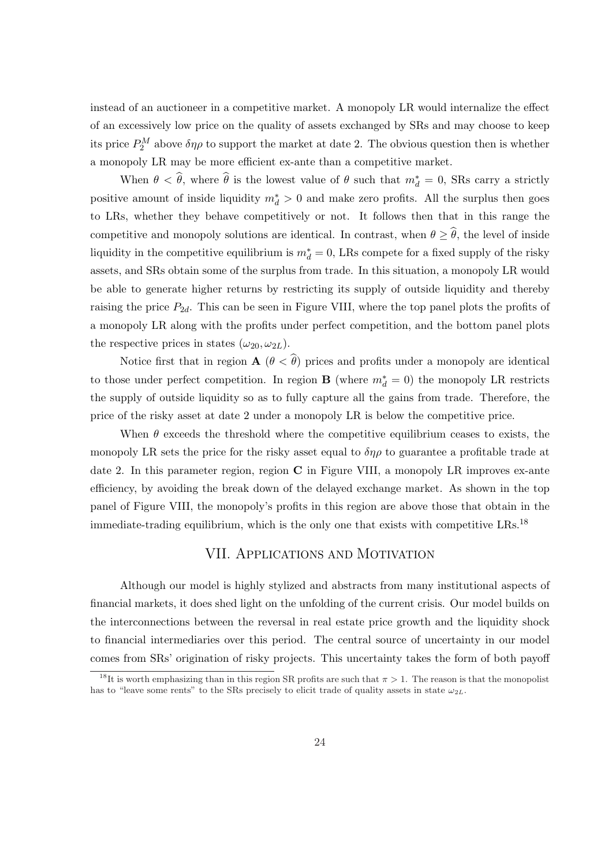instead of an auctioneer in a competitive market. A monopoly LR would internalize the effect of an excessively low price on the quality of assets exchanged by SRs and may choose to keep its price  $P_2^M$  above  $\delta \eta \rho$  to support the market at date 2. The obvious question then is whether a monopoly LR may be more efficient ex-ante than a competitive market.

When  $\theta < \hat{\theta}$ , where  $\hat{\theta}$  is the lowest value of  $\theta$  such that  $m_d^* = 0$ , SRs carry a strictly positive amount of inside liquidity  $m_d^* > 0$  and make zero profits. All the surplus then goes to LRs, whether they behave competitively or not. It follows then that in this range the competitive and monopoly solutions are identical. In contrast, when  $\theta \geq \hat{\theta}$ , the level of inside liquidity in the competitive equilibrium is  $m_d^* = 0$ , LRs compete for a fixed supply of the risky assets, and SRs obtain some of the surplus from trade. In this situation, a monopoly LR would be able to generate higher returns by restricting its supply of outside liquidity and thereby raising the price  $P_{2d}$ . This can be seen in Figure VIII, where the top panel plots the profits of a monopoly LR along with the profits under perfect competition, and the bottom panel plots the respective prices in states  $(\omega_{20}, \omega_{2L})$ .

Notice first that in region  $\mathbf{A}$  ( $\theta < \hat{\theta}$ ) prices and profits under a monopoly are identical to those under perfect competition. In region **B** (where  $m_d^* = 0$ ) the monopoly LR restricts the supply of outside liquidity so as to fully capture all the gains from trade. Therefore, the price of the risky asset at date 2 under a monopoly LR is below the competitive price.

When  $\theta$  exceeds the threshold where the competitive equilibrium ceases to exists, the monopoly LR sets the price for the risky asset equal to  $\delta \eta \rho$  to guarantee a profitable trade at date 2. In this parameter region, region C in Figure VIII, a monopoly LR improves ex-ante efficiency, by avoiding the break down of the delayed exchange market. As shown in the top panel of Figure VIII, the monopoly's profits in this region are above those that obtain in the immediate-trading equilibrium, which is the only one that exists with competitive LRs.<sup>18</sup>

## VII. APPLICATIONS AND MOTIVATION

Although our model is highly stylized and abstracts from many institutional aspects of financial markets, it does shed light on the unfolding of the current crisis. Our model builds on the interconnections between the reversal in real estate price growth and the liquidity shock to financial intermediaries over this period. The central source of uncertainty in our model comes from SRs' origination of risky projects. This uncertainty takes the form of both payoff

<sup>&</sup>lt;sup>18</sup>It is worth emphasizing than in this region SR profits are such that  $\pi > 1$ . The reason is that the monopolist has to "leave some rents" to the SRs precisely to elicit trade of quality assets in state  $\omega_{2L}$ .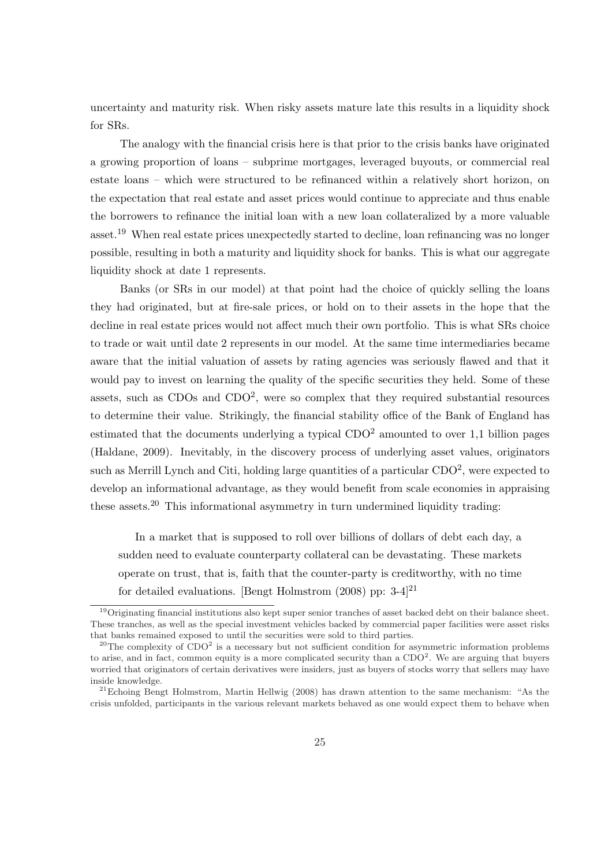uncertainty and maturity risk. When risky assets mature late this results in a liquidity shock for SRs.

The analogy with the financial crisis here is that prior to the crisis banks have originated a growing proportion of loans – subprime mortgages, leveraged buyouts, or commercial real estate loans – which were structured to be refinanced within a relatively short horizon, on the expectation that real estate and asset prices would continue to appreciate and thus enable the borrowers to refinance the initial loan with a new loan collateralized by a more valuable asset.<sup>19</sup> When real estate prices unexpectedly started to decline, loan refinancing was no longer possible, resulting in both a maturity and liquidity shock for banks. This is what our aggregate liquidity shock at date 1 represents.

Banks (or SRs in our model) at that point had the choice of quickly selling the loans they had originated, but at fire-sale prices, or hold on to their assets in the hope that the decline in real estate prices would not affect much their own portfolio. This is what SRs choice to trade or wait until date 2 represents in our model. At the same time intermediaries became aware that the initial valuation of assets by rating agencies was seriously flawed and that it would pay to invest on learning the quality of the specific securities they held. Some of these assets, such as CDOs and  $CDO<sup>2</sup>$ , were so complex that they required substantial resources to determine their value. Strikingly, the financial stability office of the Bank of England has estimated that the documents underlying a typical  $CDO<sup>2</sup>$  amounted to over 1,1 billion pages (Haldane, 2009). Inevitably, in the discovery process of underlying asset values, originators such as Merrill Lynch and Citi, holding large quantities of a particular  $CDO<sup>2</sup>$ , were expected to develop an informational advantage, as they would benefit from scale economies in appraising these assets.<sup>20</sup> This informational asymmetry in turn undermined liquidity trading:

In a market that is supposed to roll over billions of dollars of debt each day, a sudden need to evaluate counterparty collateral can be devastating. These markets operate on trust, that is, faith that the counter-party is creditworthy, with no time for detailed evaluations. [Bengt Holmstrom  $(2008)$  pp: 3-4]<sup>21</sup>

 $19$ Originating financial institutions also kept super senior tranches of asset backed debt on their balance sheet. These tranches, as well as the special investment vehicles backed by commercial paper facilities were asset risks that banks remained exposed to until the securities were sold to third parties.

<sup>&</sup>lt;sup>20</sup>The complexity of  $CDO<sup>2</sup>$  is a necessary but not sufficient condition for asymmetric information problems to arise, and in fact, common equity is a more complicated security than a  $CDO<sup>2</sup>$ . We are arguing that buyers worried that originators of certain derivatives were insiders, just as buyers of stocks worry that sellers may have inside knowledge.

 $21$ Echoing Bengt Holmstrom, Martin Hellwig (2008) has drawn attention to the same mechanism: "As the crisis unfolded, participants in the various relevant markets behaved as one would expect them to behave when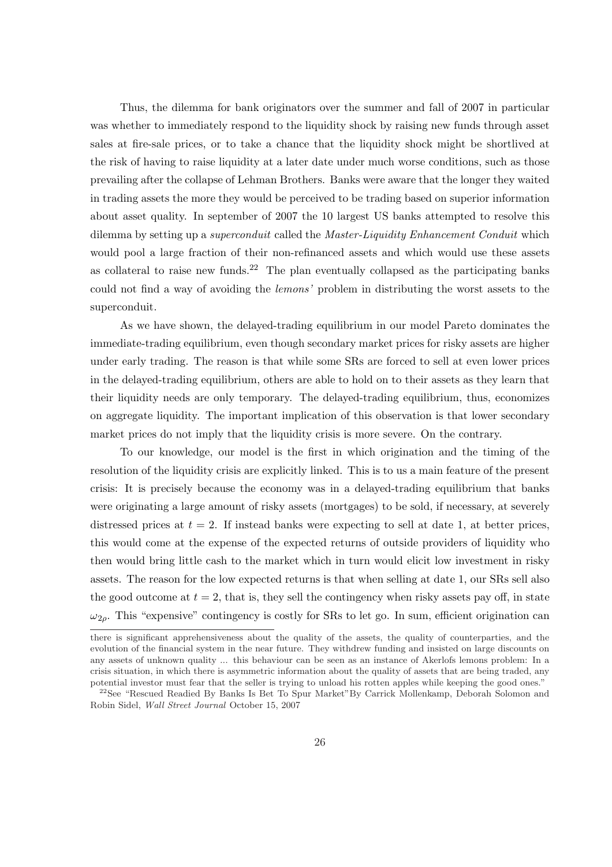Thus, the dilemma for bank originators over the summer and fall of 2007 in particular was whether to immediately respond to the liquidity shock by raising new funds through asset sales at fire-sale prices, or to take a chance that the liquidity shock might be shortlived at the risk of having to raise liquidity at a later date under much worse conditions, such as those prevailing after the collapse of Lehman Brothers. Banks were aware that the longer they waited in trading assets the more they would be perceived to be trading based on superior information about asset quality. In september of 2007 the 10 largest US banks attempted to resolve this dilemma by setting up a superconduit called the Master-Liquidity Enhancement Conduit which would pool a large fraction of their non-refinanced assets and which would use these assets as collateral to raise new funds.<sup>22</sup> The plan eventually collapsed as the participating banks could not find a way of avoiding the lemons' problem in distributing the worst assets to the superconduit.

As we have shown, the delayed-trading equilibrium in our model Pareto dominates the immediate-trading equilibrium, even though secondary market prices for risky assets are higher under early trading. The reason is that while some SRs are forced to sell at even lower prices in the delayed-trading equilibrium, others are able to hold on to their assets as they learn that their liquidity needs are only temporary. The delayed-trading equilibrium, thus, economizes on aggregate liquidity. The important implication of this observation is that lower secondary market prices do not imply that the liquidity crisis is more severe. On the contrary.

To our knowledge, our model is the first in which origination and the timing of the resolution of the liquidity crisis are explicitly linked. This is to us a main feature of the present crisis: It is precisely because the economy was in a delayed-trading equilibrium that banks were originating a large amount of risky assets (mortgages) to be sold, if necessary, at severely distressed prices at  $t = 2$ . If instead banks were expecting to sell at date 1, at better prices, this would come at the expense of the expected returns of outside providers of liquidity who then would bring little cash to the market which in turn would elicit low investment in risky assets. The reason for the low expected returns is that when selling at date 1, our SRs sell also the good outcome at  $t = 2$ , that is, they sell the contingency when risky assets pay off, in state  $\omega_{2a}$ . This "expensive" contingency is costly for SRs to let go. In sum, efficient origination can

there is significant apprehensiveness about the quality of the assets, the quality of counterparties, and the evolution of the financial system in the near future. They withdrew funding and insisted on large discounts on any assets of unknown quality ... this behaviour can be seen as an instance of Akerlofs lemons problem: In a crisis situation, in which there is asymmetric information about the quality of assets that are being traded, any potential investor must fear that the seller is trying to unload his rotten apples while keeping the good ones."

<sup>22</sup>See "Rescued Readied By Banks Is Bet To Spur Market"By Carrick Mollenkamp, Deborah Solomon and Robin Sidel, Wall Street Journal October 15, 2007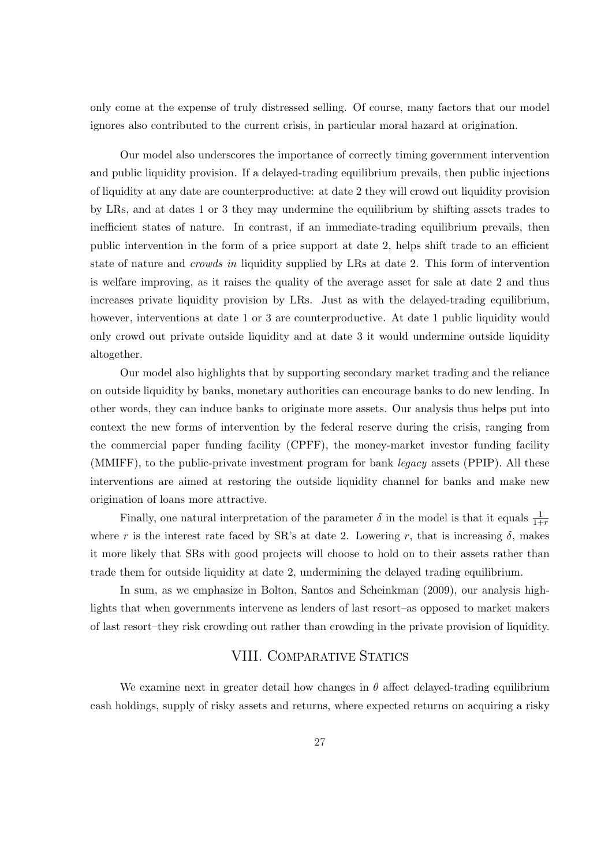only come at the expense of truly distressed selling. Of course, many factors that our model ignores also contributed to the current crisis, in particular moral hazard at origination.

Our model also underscores the importance of correctly timing government intervention and public liquidity provision. If a delayed-trading equilibrium prevails, then public injections of liquidity at any date are counterproductive: at date 2 they will crowd out liquidity provision by LRs, and at dates 1 or 3 they may undermine the equilibrium by shifting assets trades to inefficient states of nature. In contrast, if an immediate-trading equilibrium prevails, then public intervention in the form of a price support at date 2, helps shift trade to an efficient state of nature and crowds in liquidity supplied by LRs at date 2. This form of intervention is welfare improving, as it raises the quality of the average asset for sale at date 2 and thus increases private liquidity provision by LRs. Just as with the delayed-trading equilibrium, however, interventions at date 1 or 3 are counterproductive. At date 1 public liquidity would only crowd out private outside liquidity and at date 3 it would undermine outside liquidity altogether.

Our model also highlights that by supporting secondary market trading and the reliance on outside liquidity by banks, monetary authorities can encourage banks to do new lending. In other words, they can induce banks to originate more assets. Our analysis thus helps put into context the new forms of intervention by the federal reserve during the crisis, ranging from the commercial paper funding facility (CPFF), the money-market investor funding facility (MMIFF), to the public-private investment program for bank legacy assets (PPIP). All these interventions are aimed at restoring the outside liquidity channel for banks and make new origination of loans more attractive.

Finally, one natural interpretation of the parameter  $\delta$  in the model is that it equals  $\frac{1}{1+r}$ where r is the interest rate faced by SR's at date 2. Lowering r, that is increasing  $\delta$ , makes it more likely that SRs with good projects will choose to hold on to their assets rather than trade them for outside liquidity at date 2, undermining the delayed trading equilibrium.

In sum, as we emphasize in Bolton, Santos and Scheinkman (2009), our analysis highlights that when governments intervene as lenders of last resort–as opposed to market makers of last resort–they risk crowding out rather than crowding in the private provision of liquidity.

# VIII. COMPARATIVE STATICS

We examine next in greater detail how changes in  $\theta$  affect delayed-trading equilibrium cash holdings, supply of risky assets and returns, where expected returns on acquiring a risky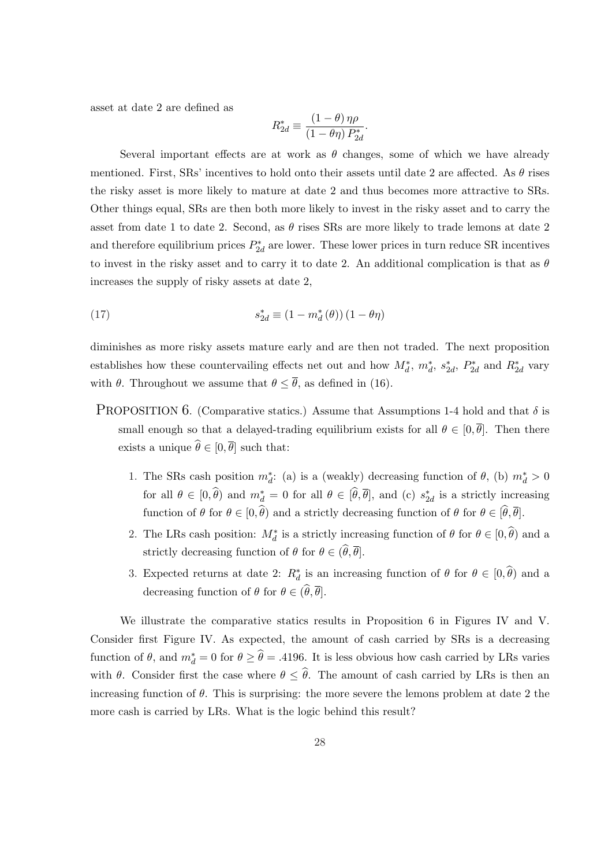asset at date 2 are defined as

$$
R_{2d}^* \equiv \frac{\left(1-\theta\right)\eta\rho}{\left(1-\theta\eta\right)P_{2d}^*}.
$$

Several important effects are at work as  $\theta$  changes, some of which we have already mentioned. First, SRs' incentives to hold onto their assets until date 2 are affected. As  $\theta$  rises the risky asset is more likely to mature at date 2 and thus becomes more attractive to SRs. Other things equal, SRs are then both more likely to invest in the risky asset and to carry the asset from date 1 to date 2. Second, as  $\theta$  rises SRs are more likely to trade lemons at date 2 and therefore equilibrium prices  $P_{2d}^*$  are lower. These lower prices in turn reduce SR incentives to invest in the risky asset and to carry it to date 2. An additional complication is that as  $\theta$ increases the supply of risky assets at date 2,

(17) 
$$
s_{2d}^* \equiv (1 - m_d^*(\theta)) (1 - \theta \eta)
$$

diminishes as more risky assets mature early and are then not traded. The next proposition establishes how these countervailing effects net out and how  $M_d^*$ ,  $m_d^*$ ,  $s_{2d}^*$ ,  $P_{2d}^*$  and  $R_{2d}^*$  vary with  $\theta$ . Throughout we assume that  $\theta \leq \overline{\theta}$ , as defined in (16).

- PROPOSITION 6. (Comparative statics.) Assume that Assumptions 1-4 hold and that  $\delta$  is small enough so that a delayed-trading equilibrium exists for all  $\theta \in [0, \overline{\theta}]$ . Then there exists a unique  $\widehat{\theta} \in [0, \overline{\theta}]$  such that:
	- 1. The SRs cash position  $m_d^*$ : (a) is a (weakly) decreasing function of  $\theta$ , (b)  $m_d^* > 0$ for all  $\theta \in [0,\hat{\theta})$  and  $m_d^* = 0$  for all  $\theta \in [\hat{\theta},\overline{\theta}]$ , and (c)  $s_{2d}^*$  is a strictly increasing function of  $\theta$  for  $\theta \in [0,\hat{\theta})$  and a strictly decreasing function of  $\theta$  for  $\theta \in [\hat{\theta}, \overline{\theta}]$ .
	- 2. The LRs cash position:  $M_d^*$  is a strictly increasing function of  $\theta$  for  $\theta \in [0,\hat{\theta})$  and a strictly decreasing function of  $\theta$  for  $\theta \in (\hat{\theta}, \overline{\theta})$ .
	- 3. Expected returns at date 2:  $R_d^*$  is an increasing function of  $\theta$  for  $\theta \in [0,\hat{\theta})$  and a decreasing function of  $\theta$  for  $\theta \in (\hat{\theta}, \overline{\theta})$ .

We illustrate the comparative statics results in Proposition 6 in Figures IV and V. Consider first Figure IV. As expected, the amount of cash carried by SRs is a decreasing function of  $\theta$ , and  $m_d^* = 0$  for  $\theta \ge \hat{\theta} = .4196$ . It is less obvious how cash carried by LRs varies with  $\theta$ . Consider first the case where  $\theta \leq \hat{\theta}$ . The amount of cash carried by LRs is then an increasing function of  $\theta$ . This is surprising: the more severe the lemons problem at date 2 the more cash is carried by LRs. What is the logic behind this result?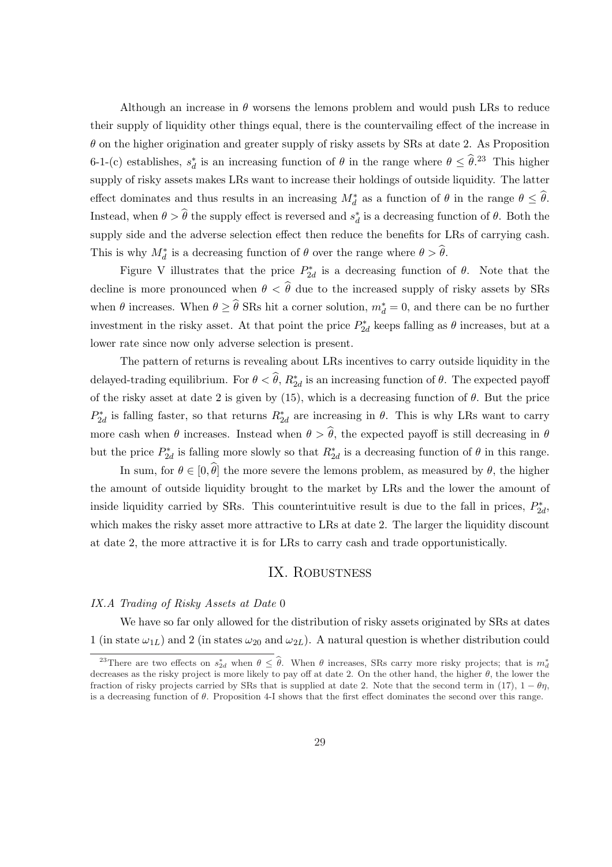Although an increase in  $\theta$  worsens the lemons problem and would push LRs to reduce their supply of liquidity other things equal, there is the countervailing effect of the increase in  $\theta$  on the higher origination and greater supply of risky assets by SRs at date 2. As Proposition 6-1-(c) establishes,  $s_d^*$  is an increasing function of  $\theta$  in the range where  $\theta \leq \hat{\theta}$ .<sup>23</sup> This higher supply of risky assets makes LRs want to increase their holdings of outside liquidity. The latter effect dominates and thus results in an increasing  $M_d^*$  as a function of  $\theta$  in the range  $\theta \leq \hat{\theta}$ . Instead, when  $\theta > \hat{\theta}$  the supply effect is reversed and  $s_d^*$  is a decreasing function of  $\theta$ . Both the supply side and the adverse selection effect then reduce the benefits for LRs of carrying cash. This is why  $M_d^*$  is a decreasing function of  $\theta$  over the range where  $\theta > \hat{\theta}$ .

Figure V illustrates that the price  $P_{2d}^*$  is a decreasing function of  $\theta$ . Note that the decline is more pronounced when  $\theta < \hat{\theta}$  due to the increased supply of risky assets by SRs when  $\theta$  increases. When  $\theta \geq \hat{\theta}$  SRs hit a corner solution,  $m_d^* = 0$ , and there can be no further investment in the risky asset. At that point the price  $P_{2d}^*$  keeps falling as  $\theta$  increases, but at a lower rate since now only adverse selection is present.

The pattern of returns is revealing about LRs incentives to carry outside liquidity in the delayed-trading equilibrium. For  $\theta < \widehat{\theta}$ ,  $R_{2d}^{*}$  is an increasing function of  $\theta$ . The expected payoff of the risky asset at date 2 is given by (15), which is a decreasing function of  $\theta$ . But the price  $P_{2d}^*$  is falling faster, so that returns  $R_{2d}^*$  are increasing in  $\theta$ . This is why LRs want to carry more cash when  $\theta$  increases. Instead when  $\theta > \hat{\theta}$ , the expected payoff is still decreasing in  $\theta$ but the price  $P_{2d}^*$  is falling more slowly so that  $R_{2d}^*$  is a decreasing function of  $\theta$  in this range.

In sum, for  $\theta \in [0,\hat{\theta}]$  the more severe the lemons problem, as measured by  $\theta$ , the higher the amount of outside liquidity brought to the market by LRs and the lower the amount of inside liquidity carried by SRs. This counterintuitive result is due to the fall in prices,  $P_{2d}^*$ , which makes the risky asset more attractive to LRs at date 2. The larger the liquidity discount at date 2, the more attractive it is for LRs to carry cash and trade opportunistically.

# IX. ROBUSTNESS

### IX.A Trading of Risky Assets at Date 0

We have so far only allowed for the distribution of risky assets originated by SRs at dates 1 (in state  $\omega_{1L}$ ) and 2 (in states  $\omega_{20}$  and  $\omega_{2L}$ ). A natural question is whether distribution could

<sup>&</sup>lt;sup>23</sup>There are two effects on  $s_{2d}^*$  when  $\theta \leq \hat{\theta}$ . When  $\theta$  increases, SRs carry more risky projects; that is  $m_d^*$ decreases as the risky project is more likely to pay off at date 2. On the other hand, the higher  $\theta$ , the lower the fraction of risky projects carried by SRs that is supplied at date 2. Note that the second term in (17),  $1 - \theta \eta$ , is a decreasing function of θ. Proposition 4-I shows that the first effect dominates the second over this range.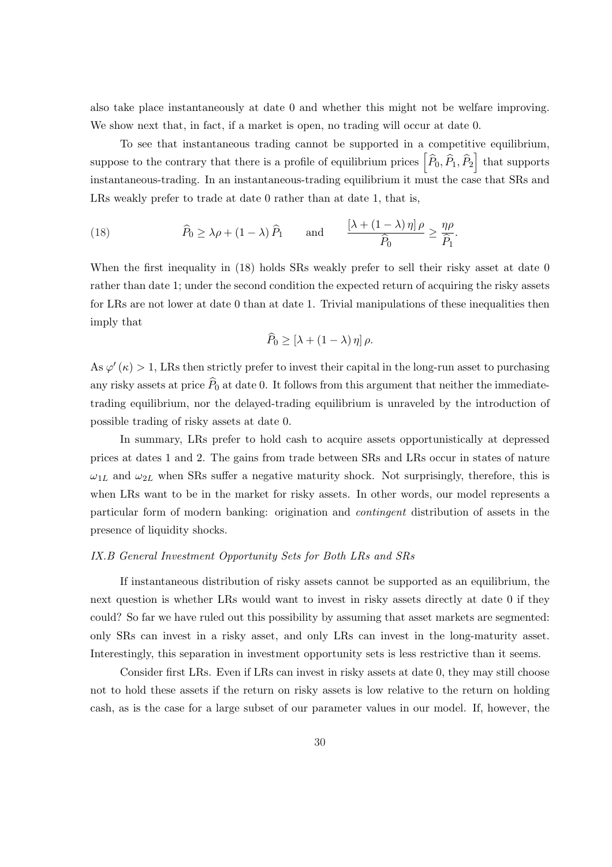also take place instantaneously at date 0 and whether this might not be welfare improving. We show next that, in fact, if a market is open, no trading will occur at date 0.

To see that instantaneous trading cannot be supported in a competitive equilibrium, i To see that instantaneous trading cannot be supported in a competitive equilibrium,<br>suppose to the contrary that there is a profile of equilibrium prices  $\left[ \hat{P}_0, \hat{P}_1, \hat{P}_2 \right]$  that supports instantaneous-trading. In an instantaneous-trading equilibrium it must the case that SRs and LRs weakly prefer to trade at date 0 rather than at date 1, that is,

(18) 
$$
\widehat{P}_0 \ge \lambda \rho + (1 - \lambda) \widehat{P}_1
$$
 and  $\frac{[\lambda + (1 - \lambda) \eta] \rho}{\widehat{P}_0} \ge \frac{\eta \rho}{\widehat{P}_1}.$ 

When the first inequality in (18) holds SRs weakly prefer to sell their risky asset at date 0 rather than date 1; under the second condition the expected return of acquiring the risky assets for LRs are not lower at date 0 than at date 1. Trivial manipulations of these inequalities then imply that

$$
\widehat{P}_0 \ge \left[\lambda + (1 - \lambda)\,\eta\right]\rho.
$$

As  $\varphi'(\kappa) > 1$ , LRs then strictly prefer to invest their capital in the long-run asset to purchasing any risky assets at price  $\widehat{P}_0$  at date 0. It follows from this argument that neither the immediatetrading equilibrium, nor the delayed-trading equilibrium is unraveled by the introduction of possible trading of risky assets at date 0.

In summary, LRs prefer to hold cash to acquire assets opportunistically at depressed prices at dates 1 and 2. The gains from trade between SRs and LRs occur in states of nature  $\omega_{1L}$  and  $\omega_{2L}$  when SRs suffer a negative maturity shock. Not surprisingly, therefore, this is when LRs want to be in the market for risky assets. In other words, our model represents a particular form of modern banking: origination and contingent distribution of assets in the presence of liquidity shocks.

### IX.B General Investment Opportunity Sets for Both LRs and SRs

If instantaneous distribution of risky assets cannot be supported as an equilibrium, the next question is whether LRs would want to invest in risky assets directly at date 0 if they could? So far we have ruled out this possibility by assuming that asset markets are segmented: only SRs can invest in a risky asset, and only LRs can invest in the long-maturity asset. Interestingly, this separation in investment opportunity sets is less restrictive than it seems.

Consider first LRs. Even if LRs can invest in risky assets at date 0, they may still choose not to hold these assets if the return on risky assets is low relative to the return on holding cash, as is the case for a large subset of our parameter values in our model. If, however, the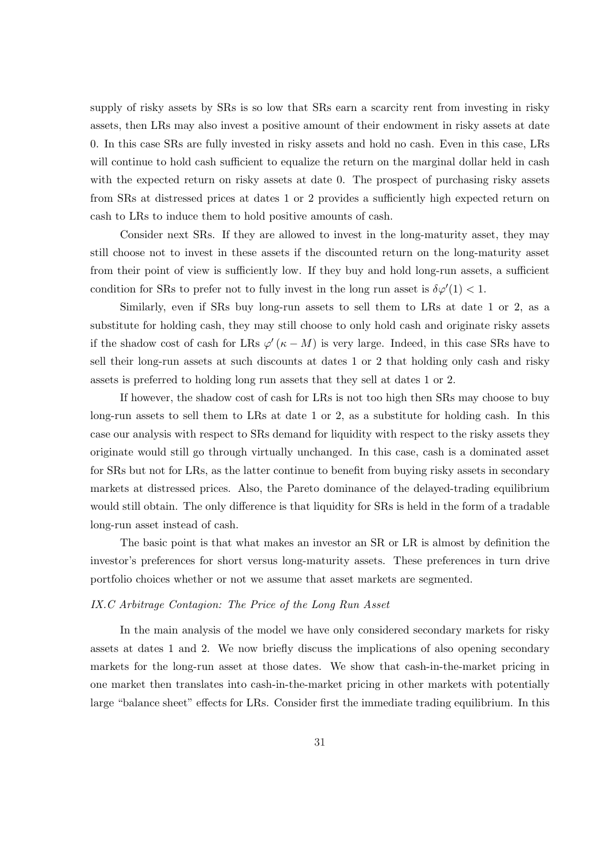supply of risky assets by SRs is so low that SRs earn a scarcity rent from investing in risky assets, then LRs may also invest a positive amount of their endowment in risky assets at date 0. In this case SRs are fully invested in risky assets and hold no cash. Even in this case, LRs will continue to hold cash sufficient to equalize the return on the marginal dollar held in cash with the expected return on risky assets at date 0. The prospect of purchasing risky assets from SRs at distressed prices at dates 1 or 2 provides a sufficiently high expected return on cash to LRs to induce them to hold positive amounts of cash.

Consider next SRs. If they are allowed to invest in the long-maturity asset, they may still choose not to invest in these assets if the discounted return on the long-maturity asset from their point of view is sufficiently low. If they buy and hold long-run assets, a sufficient condition for SRs to prefer not to fully invest in the long run asset is  $\delta \varphi'(1) < 1$ .

Similarly, even if SRs buy long-run assets to sell them to LRs at date 1 or 2, as a substitute for holding cash, they may still choose to only hold cash and originate risky assets if the shadow cost of cash for LRs  $\varphi'(\kappa - M)$  is very large. Indeed, in this case SRs have to sell their long-run assets at such discounts at dates 1 or 2 that holding only cash and risky assets is preferred to holding long run assets that they sell at dates 1 or 2.

If however, the shadow cost of cash for LRs is not too high then SRs may choose to buy long-run assets to sell them to LRs at date 1 or 2, as a substitute for holding cash. In this case our analysis with respect to SRs demand for liquidity with respect to the risky assets they originate would still go through virtually unchanged. In this case, cash is a dominated asset for SRs but not for LRs, as the latter continue to benefit from buying risky assets in secondary markets at distressed prices. Also, the Pareto dominance of the delayed-trading equilibrium would still obtain. The only difference is that liquidity for SRs is held in the form of a tradable long-run asset instead of cash.

The basic point is that what makes an investor an SR or LR is almost by definition the investor's preferences for short versus long-maturity assets. These preferences in turn drive portfolio choices whether or not we assume that asset markets are segmented.

### IX.C Arbitrage Contagion: The Price of the Long Run Asset

In the main analysis of the model we have only considered secondary markets for risky assets at dates 1 and 2. We now briefly discuss the implications of also opening secondary markets for the long-run asset at those dates. We show that cash-in-the-market pricing in one market then translates into cash-in-the-market pricing in other markets with potentially large "balance sheet" effects for LRs. Consider first the immediate trading equilibrium. In this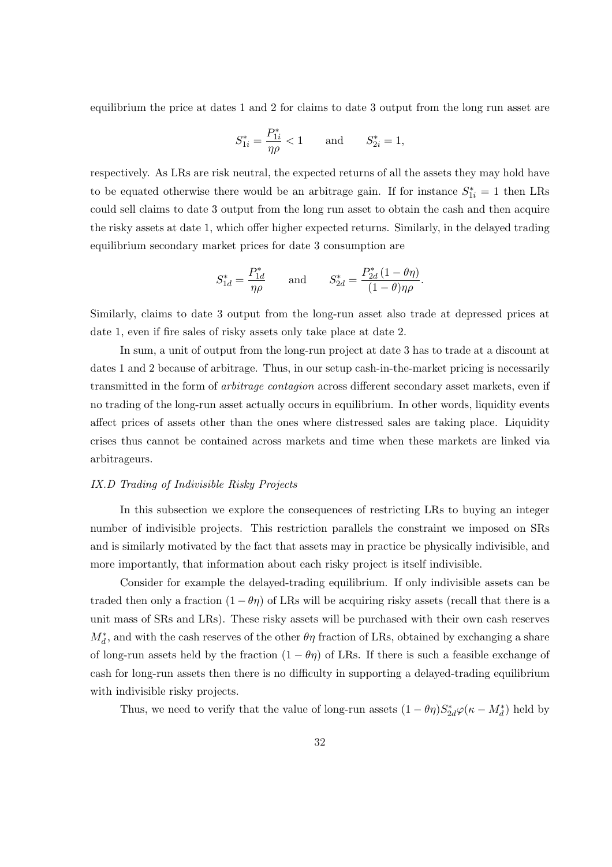equilibrium the price at dates 1 and 2 for claims to date 3 output from the long run asset are

$$
S_{1i}^* = \frac{P_{1i}^*}{\eta \rho} < 1
$$
 and  $S_{2i}^* = 1$ ,

respectively. As LRs are risk neutral, the expected returns of all the assets they may hold have to be equated otherwise there would be an arbitrage gain. If for instance  $S_{1i}^* = 1$  then LRs could sell claims to date 3 output from the long run asset to obtain the cash and then acquire the risky assets at date 1, which offer higher expected returns. Similarly, in the delayed trading equilibrium secondary market prices for date 3 consumption are

$$
S_{1d}^* = \frac{P_{1d}^*}{\eta \rho}
$$
 and  $S_{2d}^* = \frac{P_{2d}^*(1 - \theta \eta)}{(1 - \theta)\eta \rho}$ .

Similarly, claims to date 3 output from the long-run asset also trade at depressed prices at date 1, even if fire sales of risky assets only take place at date 2.

In sum, a unit of output from the long-run project at date 3 has to trade at a discount at dates 1 and 2 because of arbitrage. Thus, in our setup cash-in-the-market pricing is necessarily transmitted in the form of arbitrage contagion across different secondary asset markets, even if no trading of the long-run asset actually occurs in equilibrium. In other words, liquidity events affect prices of assets other than the ones where distressed sales are taking place. Liquidity crises thus cannot be contained across markets and time when these markets are linked via arbitrageurs.

#### IX.D Trading of Indivisible Risky Projects

In this subsection we explore the consequences of restricting LRs to buying an integer number of indivisible projects. This restriction parallels the constraint we imposed on SRs and is similarly motivated by the fact that assets may in practice be physically indivisible, and more importantly, that information about each risky project is itself indivisible.

Consider for example the delayed-trading equilibrium. If only indivisible assets can be traded then only a fraction  $(1 - \theta \eta)$  of LRs will be acquiring risky assets (recall that there is a unit mass of SRs and LRs). These risky assets will be purchased with their own cash reserves  $M_d^*$ , and with the cash reserves of the other  $\theta\eta$  fraction of LRs, obtained by exchanging a share of long-run assets held by the fraction  $(1 - \theta \eta)$  of LRs. If there is such a feasible exchange of cash for long-run assets then there is no difficulty in supporting a delayed-trading equilibrium with indivisible risky projects.

Thus, we need to verify that the value of long-run assets  $(1 - \theta \eta) S_{2d}^* \varphi(\kappa - M_d^*)$  held by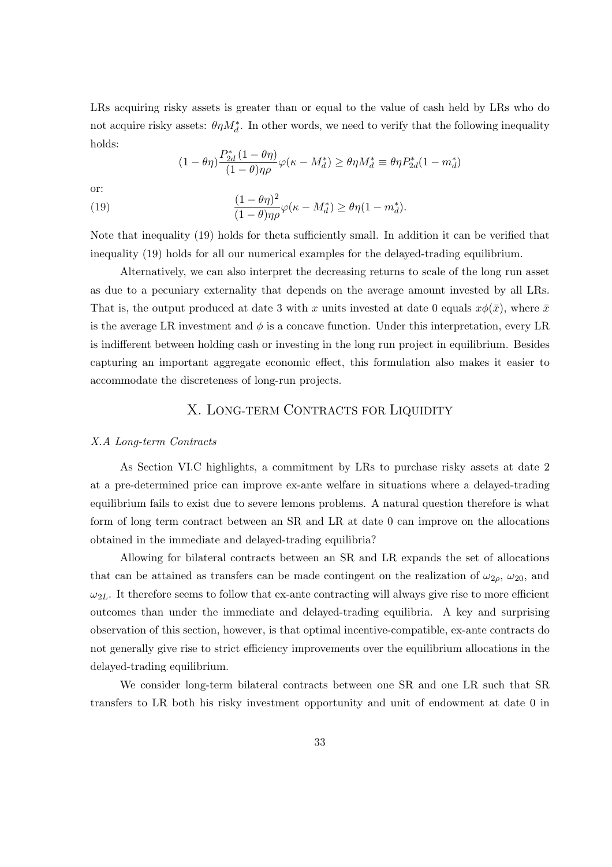LRs acquiring risky assets is greater than or equal to the value of cash held by LRs who do not acquire risky assets:  $\theta \eta M_d^*$ . In other words, we need to verify that the following inequality holds:

$$
(1 - \theta \eta) \frac{P_{2d}^* (1 - \theta \eta)}{(1 - \theta) \eta \rho} \varphi(\kappa - M_d^*) \ge \theta \eta M_d^* \equiv \theta \eta P_{2d}^* (1 - m_d^*)
$$

or:

(19) 
$$
\frac{(1-\theta\eta)^2}{(1-\theta)\eta\rho}\varphi(\kappa - M_d^*) \ge \theta\eta(1 - m_d^*).
$$

Note that inequality (19) holds for theta sufficiently small. In addition it can be verified that inequality (19) holds for all our numerical examples for the delayed-trading equilibrium.

Alternatively, we can also interpret the decreasing returns to scale of the long run asset as due to a pecuniary externality that depends on the average amount invested by all LRs. That is, the output produced at date 3 with x units invested at date 0 equals  $x\phi(\bar{x})$ , where  $\bar{x}$ is the average LR investment and  $\phi$  is a concave function. Under this interpretation, every LR is indifferent between holding cash or investing in the long run project in equilibrium. Besides capturing an important aggregate economic effect, this formulation also makes it easier to accommodate the discreteness of long-run projects.

# X. LONG-TERM CONTRACTS FOR LIQUIDITY

#### X.A Long-term Contracts

As Section VI.C highlights, a commitment by LRs to purchase risky assets at date 2 at a pre-determined price can improve ex-ante welfare in situations where a delayed-trading equilibrium fails to exist due to severe lemons problems. A natural question therefore is what form of long term contract between an SR and LR at date 0 can improve on the allocations obtained in the immediate and delayed-trading equilibria?

Allowing for bilateral contracts between an SR and LR expands the set of allocations that can be attained as transfers can be made contingent on the realization of  $\omega_{2\rho}$ ,  $\omega_{20}$ , and  $\omega_{2L}$ . It therefore seems to follow that ex-ante contracting will always give rise to more efficient outcomes than under the immediate and delayed-trading equilibria. A key and surprising observation of this section, however, is that optimal incentive-compatible, ex-ante contracts do not generally give rise to strict efficiency improvements over the equilibrium allocations in the delayed-trading equilibrium.

We consider long-term bilateral contracts between one SR and one LR such that SR transfers to LR both his risky investment opportunity and unit of endowment at date 0 in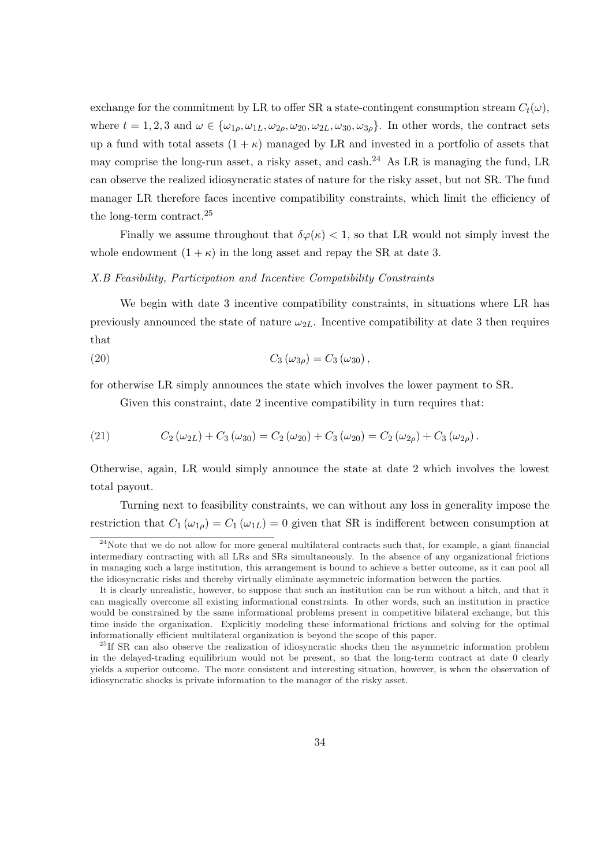exchange for the commitment by LR to offer SR a state-contingent consumption stream  $C_t(\omega)$ , where  $t = 1, 2, 3$  and  $\omega \in {\{\omega_{1\rho}, \omega_{1L}, \omega_{2\rho}, \omega_{20}, \omega_{2L}, \omega_{30}, \omega_{3\rho}\}.$  In other words, the contract sets up a fund with total assets  $(1 + \kappa)$  managed by LR and invested in a portfolio of assets that may comprise the long-run asset, a risky asset, and cash.<sup>24</sup> As LR is managing the fund, LR can observe the realized idiosyncratic states of nature for the risky asset, but not SR. The fund manager LR therefore faces incentive compatibility constraints, which limit the efficiency of the long-term contract.<sup>25</sup>

Finally we assume throughout that  $\delta\varphi(\kappa) < 1$ , so that LR would not simply invest the whole endowment  $(1 + \kappa)$  in the long asset and repay the SR at date 3.

### X.B Feasibility, Participation and Incentive Compatibility Constraints

We begin with date 3 incentive compatibility constraints, in situations where LR has previously announced the state of nature  $\omega_{2L}$ . Incentive compatibility at date 3 then requires that

(20) 
$$
C_3(\omega_{3\rho}) = C_3(\omega_{30}),
$$

for otherwise LR simply announces the state which involves the lower payment to SR.

Given this constraint, date 2 incentive compatibility in turn requires that:

(21) 
$$
C_2(\omega_{2L}) + C_3(\omega_{30}) = C_2(\omega_{20}) + C_3(\omega_{20}) = C_2(\omega_{2\rho}) + C_3(\omega_{2\rho}).
$$

Otherwise, again, LR would simply announce the state at date 2 which involves the lowest total payout.

Turning next to feasibility constraints, we can without any loss in generality impose the restriction that  $C_1(\omega_{1\rho}) = C_1(\omega_{1L}) = 0$  given that SR is indifferent between consumption at

<sup>&</sup>lt;sup>24</sup>Note that we do not allow for more general multilateral contracts such that, for example, a giant financial intermediary contracting with all LRs and SRs simultaneously. In the absence of any organizational frictions in managing such a large institution, this arrangement is bound to achieve a better outcome, as it can pool all the idiosyncratic risks and thereby virtually eliminate asymmetric information between the parties.

It is clearly unrealistic, however, to suppose that such an institution can be run without a hitch, and that it can magically overcome all existing informational constraints. In other words, such an institution in practice would be constrained by the same informational problems present in competitive bilateral exchange, but this time inside the organization. Explicitly modeling these informational frictions and solving for the optimal informationally efficient multilateral organization is beyond the scope of this paper.

<sup>&</sup>lt;sup>25</sup>If SR can also observe the realization of idiosyncratic shocks then the asymmetric information problem in the delayed-trading equilibrium would not be present, so that the long-term contract at date 0 clearly yields a superior outcome. The more consistent and interesting situation, however, is when the observation of idiosyncratic shocks is private information to the manager of the risky asset.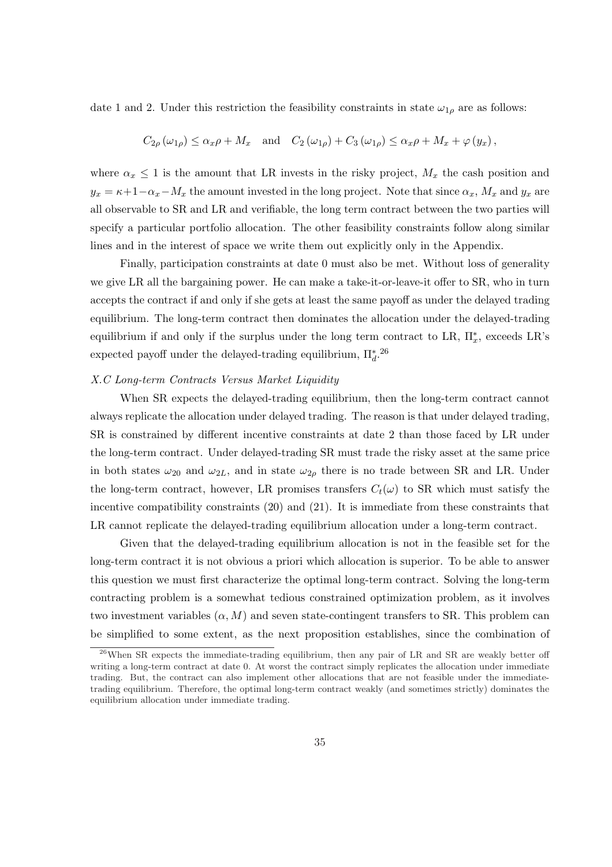date 1 and 2. Under this restriction the feasibility constraints in state  $\omega_{1\rho}$  are as follows:

$$
C_{2\rho}(\omega_{1\rho}) \le \alpha_x \rho + M_x
$$
 and  $C_2(\omega_{1\rho}) + C_3(\omega_{1\rho}) \le \alpha_x \rho + M_x + \varphi(y_x)$ ,

where  $\alpha_x \leq 1$  is the amount that LR invests in the risky project,  $M_x$  the cash position and  $y_x = \kappa + 1 - \alpha_x - M_x$  the amount invested in the long project. Note that since  $\alpha_x$ ,  $M_x$  and  $y_x$  are all observable to SR and LR and verifiable, the long term contract between the two parties will specify a particular portfolio allocation. The other feasibility constraints follow along similar lines and in the interest of space we write them out explicitly only in the Appendix.

Finally, participation constraints at date 0 must also be met. Without loss of generality we give LR all the bargaining power. He can make a take-it-or-leave-it offer to SR, who in turn accepts the contract if and only if she gets at least the same payoff as under the delayed trading equilibrium. The long-term contract then dominates the allocation under the delayed-trading equilibrium if and only if the surplus under the long term contract to LR,  $\Pi_x^*$ , exceeds LR's expected payoff under the delayed-trading equilibrium,  $\Pi_d^*$ <sup>26</sup>

### X.C Long-term Contracts Versus Market Liquidity

When SR expects the delayed-trading equilibrium, then the long-term contract cannot always replicate the allocation under delayed trading. The reason is that under delayed trading, SR is constrained by different incentive constraints at date 2 than those faced by LR under the long-term contract. Under delayed-trading SR must trade the risky asset at the same price in both states  $\omega_{20}$  and  $\omega_{2L}$ , and in state  $\omega_{2\rho}$  there is no trade between SR and LR. Under the long-term contract, however, LR promises transfers  $C_t(\omega)$  to SR which must satisfy the incentive compatibility constraints (20) and (21). It is immediate from these constraints that LR cannot replicate the delayed-trading equilibrium allocation under a long-term contract.

Given that the delayed-trading equilibrium allocation is not in the feasible set for the long-term contract it is not obvious a priori which allocation is superior. To be able to answer this question we must first characterize the optimal long-term contract. Solving the long-term contracting problem is a somewhat tedious constrained optimization problem, as it involves two investment variables  $(\alpha, M)$  and seven state-contingent transfers to SR. This problem can be simplified to some extent, as the next proposition establishes, since the combination of

<sup>&</sup>lt;sup>26</sup>When SR expects the immediate-trading equilibrium, then any pair of LR and SR are weakly better off writing a long-term contract at date 0. At worst the contract simply replicates the allocation under immediate trading. But, the contract can also implement other allocations that are not feasible under the immediatetrading equilibrium. Therefore, the optimal long-term contract weakly (and sometimes strictly) dominates the equilibrium allocation under immediate trading.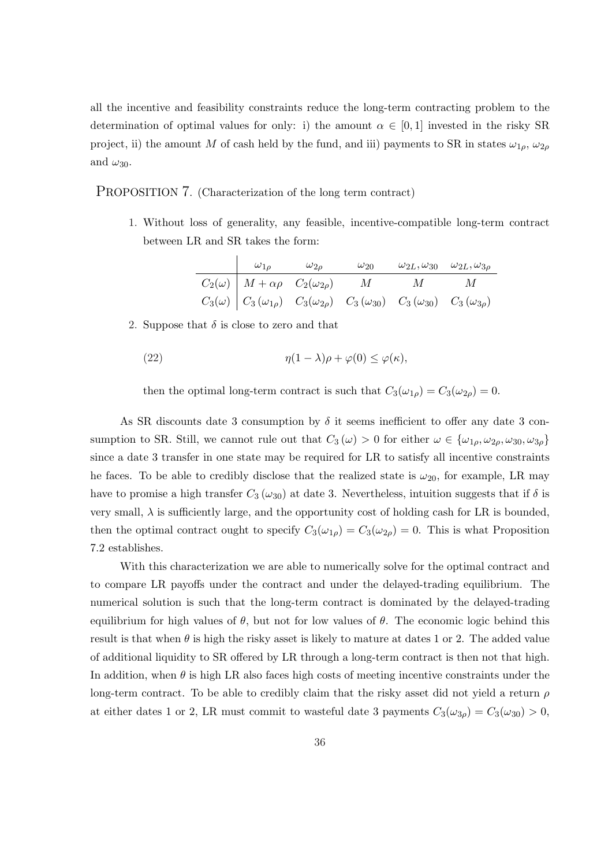all the incentive and feasibility constraints reduce the long-term contracting problem to the determination of optimal values for only: i) the amount  $\alpha \in [0,1]$  invested in the risky SR project, ii) the amount M of cash held by the fund, and iii) payments to SR in states  $\omega_{1\rho}$ ,  $\omega_{2\rho}$ and  $\omega_{30}$ .

PROPOSITION 7. (Characterization of the long term contract)

1. Without loss of generality, any feasible, incentive-compatible long-term contract between LR and SR takes the form:

| $\omega_{1\rho}$ $\omega_{2\rho}$                         | $\omega_{20}$ | $\omega_{2L}, \omega_{30}$ $\omega_{2L}, \omega_{3\rho}$                                                              |                |
|-----------------------------------------------------------|---------------|-----------------------------------------------------------------------------------------------------------------------|----------------|
| $C_2(\omega)$ $M + \alpha \rho$ $C_2(\omega_{2\rho})$ $M$ |               | M                                                                                                                     | $\overline{M}$ |
|                                                           |               | $C_3(\omega)$ $C_3(\omega_{1\rho})$ $C_3(\omega_{2\rho})$ $C_3(\omega_{30})$ $C_3(\omega_{30})$ $C_3(\omega_{3\rho})$ |                |

2. Suppose that  $\delta$  is close to zero and that

(22) 
$$
\eta(1-\lambda)\rho + \varphi(0) \leq \varphi(\kappa),
$$

then the optimal long-term contract is such that  $C_3(\omega_{1\rho}) = C_3(\omega_{2\rho}) = 0$ .

As SR discounts date 3 consumption by  $\delta$  it seems inefficient to offer any date 3 consumption to SR. Still, we cannot rule out that  $C_3(\omega) > 0$  for either  $\omega \in {\{\omega_{1\rho}, \omega_{2\rho}, \omega_{30}, \omega_{3\rho}\}}$ since a date 3 transfer in one state may be required for LR to satisfy all incentive constraints he faces. To be able to credibly disclose that the realized state is  $\omega_{20}$ , for example, LR may have to promise a high transfer  $C_3(\omega_{30})$  at date 3. Nevertheless, intuition suggests that if  $\delta$  is very small,  $\lambda$  is sufficiently large, and the opportunity cost of holding cash for LR is bounded, then the optimal contract ought to specify  $C_3(\omega_{1\rho}) = C_3(\omega_{2\rho}) = 0$ . This is what Proposition 7.2 establishes.

With this characterization we are able to numerically solve for the optimal contract and to compare LR payoffs under the contract and under the delayed-trading equilibrium. The numerical solution is such that the long-term contract is dominated by the delayed-trading equilibrium for high values of  $\theta$ , but not for low values of  $\theta$ . The economic logic behind this result is that when  $\theta$  is high the risky asset is likely to mature at dates 1 or 2. The added value of additional liquidity to SR offered by LR through a long-term contract is then not that high. In addition, when  $\theta$  is high LR also faces high costs of meeting incentive constraints under the long-term contract. To be able to credibly claim that the risky asset did not yield a return  $\rho$ at either dates 1 or 2, LR must commit to wasteful date 3 payments  $C_3(\omega_{3\rho}) = C_3(\omega_{30}) > 0$ ,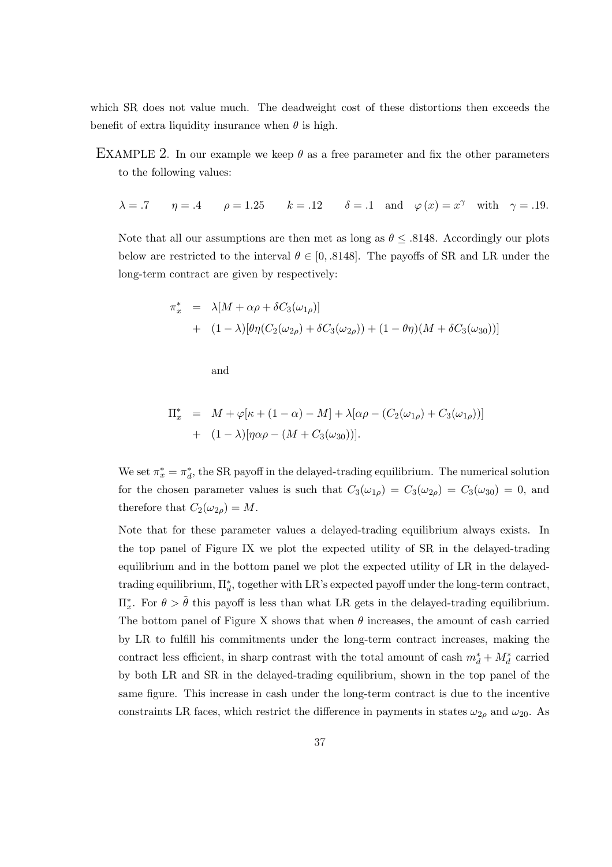which SR does not value much. The deadweight cost of these distortions then exceeds the benefit of extra liquidity insurance when  $\theta$  is high.

EXAMPLE 2. In our example we keep  $\theta$  as a free parameter and fix the other parameters to the following values:

$$
\lambda = .7
$$
  $\eta = .4$   $\rho = 1.25$   $k = .12$   $\delta = .1$  and  $\varphi(x) = x^{\gamma}$  with  $\gamma = .19$ .

Note that all our assumptions are then met as long as  $\theta \leq .8148$ . Accordingly our plots below are restricted to the interval  $\theta \in [0, .8148]$ . The payoffs of SR and LR under the long-term contract are given by respectively:

$$
\pi_x^* = \lambda [M + \alpha \rho + \delta C_3(\omega_{1\rho})]
$$
  
+ 
$$
(1 - \lambda) [\theta \eta (C_2(\omega_{2\rho}) + \delta C_3(\omega_{2\rho})) + (1 - \theta \eta)(M + \delta C_3(\omega_{30}))]
$$

and

$$
\Pi_x^* = M + \varphi[\kappa + (1 - \alpha) - M] + \lambda[\alpha \rho - (C_2(\omega_{1\rho}) + C_3(\omega_{1\rho}))]
$$
  
+ 
$$
(1 - \lambda)[\eta \alpha \rho - (M + C_3(\omega_{30}))].
$$

We set  $\pi_x^* = \pi_d^*$ , the SR payoff in the delayed-trading equilibrium. The numerical solution for the chosen parameter values is such that  $C_3(\omega_{1\rho}) = C_3(\omega_{2\rho}) = C_3(\omega_{30}) = 0$ , and therefore that  $C_2(\omega_{2\rho}) = M$ .

Note that for these parameter values a delayed-trading equilibrium always exists. In the top panel of Figure IX we plot the expected utility of SR in the delayed-trading equilibrium and in the bottom panel we plot the expected utility of LR in the delayedtrading equilibrium,  $\Pi_d^*$ , together with LR's expected payoff under the long-term contract,  $\Pi_x^*$ . For  $\theta > \tilde{\theta}$  this payoff is less than what LR gets in the delayed-trading equilibrium. The bottom panel of Figure X shows that when  $\theta$  increases, the amount of cash carried by LR to fulfill his commitments under the long-term contract increases, making the contract less efficient, in sharp contrast with the total amount of cash  $m_d^* + M_d^*$  carried by both LR and SR in the delayed-trading equilibrium, shown in the top panel of the same figure. This increase in cash under the long-term contract is due to the incentive constraints LR faces, which restrict the difference in payments in states  $\omega_{2\rho}$  and  $\omega_{20}$ . As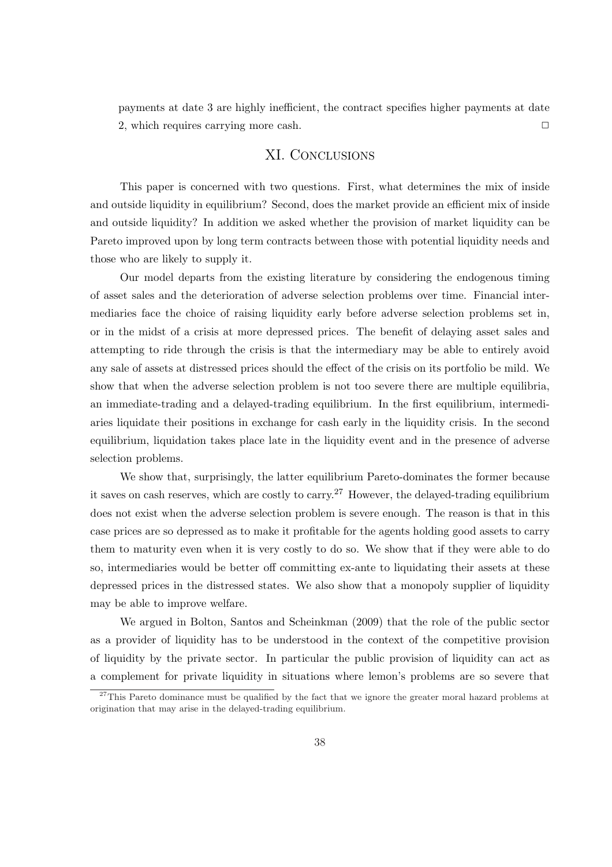payments at date 3 are highly inefficient, the contract specifies higher payments at date 2, which requires carrying more cash.  $\square$ 

# XI. CONCLUSIONS

This paper is concerned with two questions. First, what determines the mix of inside and outside liquidity in equilibrium? Second, does the market provide an efficient mix of inside and outside liquidity? In addition we asked whether the provision of market liquidity can be Pareto improved upon by long term contracts between those with potential liquidity needs and those who are likely to supply it.

Our model departs from the existing literature by considering the endogenous timing of asset sales and the deterioration of adverse selection problems over time. Financial intermediaries face the choice of raising liquidity early before adverse selection problems set in, or in the midst of a crisis at more depressed prices. The benefit of delaying asset sales and attempting to ride through the crisis is that the intermediary may be able to entirely avoid any sale of assets at distressed prices should the effect of the crisis on its portfolio be mild. We show that when the adverse selection problem is not too severe there are multiple equilibria, an immediate-trading and a delayed-trading equilibrium. In the first equilibrium, intermediaries liquidate their positions in exchange for cash early in the liquidity crisis. In the second equilibrium, liquidation takes place late in the liquidity event and in the presence of adverse selection problems.

We show that, surprisingly, the latter equilibrium Pareto-dominates the former because it saves on cash reserves, which are costly to carry.<sup>27</sup> However, the delayed-trading equilibrium does not exist when the adverse selection problem is severe enough. The reason is that in this case prices are so depressed as to make it profitable for the agents holding good assets to carry them to maturity even when it is very costly to do so. We show that if they were able to do so, intermediaries would be better off committing ex-ante to liquidating their assets at these depressed prices in the distressed states. We also show that a monopoly supplier of liquidity may be able to improve welfare.

We argued in Bolton, Santos and Scheinkman (2009) that the role of the public sector as a provider of liquidity has to be understood in the context of the competitive provision of liquidity by the private sector. In particular the public provision of liquidity can act as a complement for private liquidity in situations where lemon's problems are so severe that

 $27$ This Pareto dominance must be qualified by the fact that we ignore the greater moral hazard problems at origination that may arise in the delayed-trading equilibrium.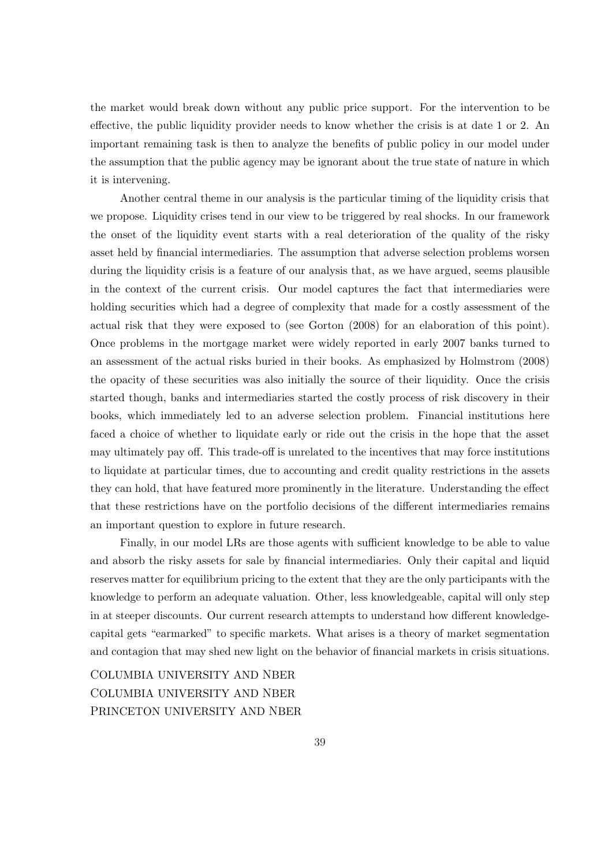the market would break down without any public price support. For the intervention to be effective, the public liquidity provider needs to know whether the crisis is at date 1 or 2. An important remaining task is then to analyze the benefits of public policy in our model under the assumption that the public agency may be ignorant about the true state of nature in which it is intervening.

Another central theme in our analysis is the particular timing of the liquidity crisis that we propose. Liquidity crises tend in our view to be triggered by real shocks. In our framework the onset of the liquidity event starts with a real deterioration of the quality of the risky asset held by financial intermediaries. The assumption that adverse selection problems worsen during the liquidity crisis is a feature of our analysis that, as we have argued, seems plausible in the context of the current crisis. Our model captures the fact that intermediaries were holding securities which had a degree of complexity that made for a costly assessment of the actual risk that they were exposed to (see Gorton (2008) for an elaboration of this point). Once problems in the mortgage market were widely reported in early 2007 banks turned to an assessment of the actual risks buried in their books. As emphasized by Holmstrom (2008) the opacity of these securities was also initially the source of their liquidity. Once the crisis started though, banks and intermediaries started the costly process of risk discovery in their books, which immediately led to an adverse selection problem. Financial institutions here faced a choice of whether to liquidate early or ride out the crisis in the hope that the asset may ultimately pay off. This trade-off is unrelated to the incentives that may force institutions to liquidate at particular times, due to accounting and credit quality restrictions in the assets they can hold, that have featured more prominently in the literature. Understanding the effect that these restrictions have on the portfolio decisions of the different intermediaries remains an important question to explore in future research.

Finally, in our model LRs are those agents with sufficient knowledge to be able to value and absorb the risky assets for sale by financial intermediaries. Only their capital and liquid reserves matter for equilibrium pricing to the extent that they are the only participants with the knowledge to perform an adequate valuation. Other, less knowledgeable, capital will only step in at steeper discounts. Our current research attempts to understand how different knowledgecapital gets "earmarked" to specific markets. What arises is a theory of market segmentation and contagion that may shed new light on the behavior of financial markets in crisis situations.

COLUMBIA UNIVERSITY AND NBER COLUMBIA UNIVERSITY AND NBER PRINCETON UNIVERSITY AND NBER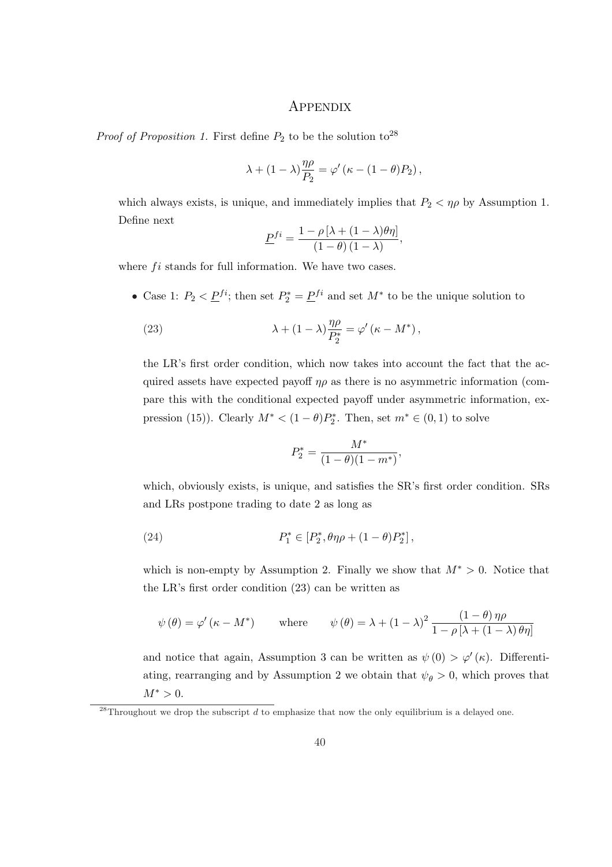### APPENDIX

*Proof of Proposition 1.* First define  $P_2$  to be the solution to<sup>28</sup>

$$
\lambda + (1 - \lambda) \frac{\eta \rho}{P_2} = \varphi' (\kappa - (1 - \theta) P_2),
$$

which always exists, is unique, and immediately implies that  $P_2 < \eta \rho$  by Assumption 1. Define next

$$
\underline{P}^{fi} = \frac{1 - \rho \left[\lambda + (1 - \lambda)\theta\eta\right]}{(1 - \theta)(1 - \lambda)},
$$

where  $fi$  stands for full information. We have two cases.

• Case 1:  $P_2 < \underline{P}^{f_i}$ ; then set  $P_2^* = \underline{P}^{f_i}$  and set  $M^*$  to be the unique solution to

(23) 
$$
\lambda + (1 - \lambda) \frac{\eta \rho}{P_2^*} = \varphi' (\kappa - M^*),
$$

the LR's first order condition, which now takes into account the fact that the acquired assets have expected payoff  $\eta \rho$  as there is no asymmetric information (compare this with the conditional expected payoff under asymmetric information, expression (15)). Clearly  $M^* < (1 - \theta)P_2^*$ . Then, set  $m^* \in (0, 1)$  to solve

$$
P_2^* = \frac{M^*}{(1 - \theta)(1 - m^*)},
$$

which, obviously exists, is unique, and satisfies the SR's first order condition. SRs and LRs postpone trading to date 2 as long as

(24) 
$$
P_1^* \in [P_2^*, \theta \eta \rho + (1 - \theta) P_2^*],
$$

which is non-empty by Assumption 2. Finally we show that  $M^* > 0$ . Notice that the LR's first order condition (23) can be written as

$$
\psi(\theta) = \varphi'(\kappa - M^*) \quad \text{where} \quad \psi(\theta) = \lambda + (1 - \lambda)^2 \frac{(1 - \theta)\eta\rho}{1 - \rho[\lambda + (1 - \lambda)\theta\eta]}
$$

and notice that again, Assumption 3 can be written as  $\psi(0) > \varphi'(\kappa)$ . Differentiating, rearranging and by Assumption 2 we obtain that  $\psi_{\theta} > 0$ , which proves that  $M^* > 0.$ 

<sup>&</sup>lt;sup>28</sup>Throughout we drop the subscript  $d$  to emphasize that now the only equilibrium is a delayed one.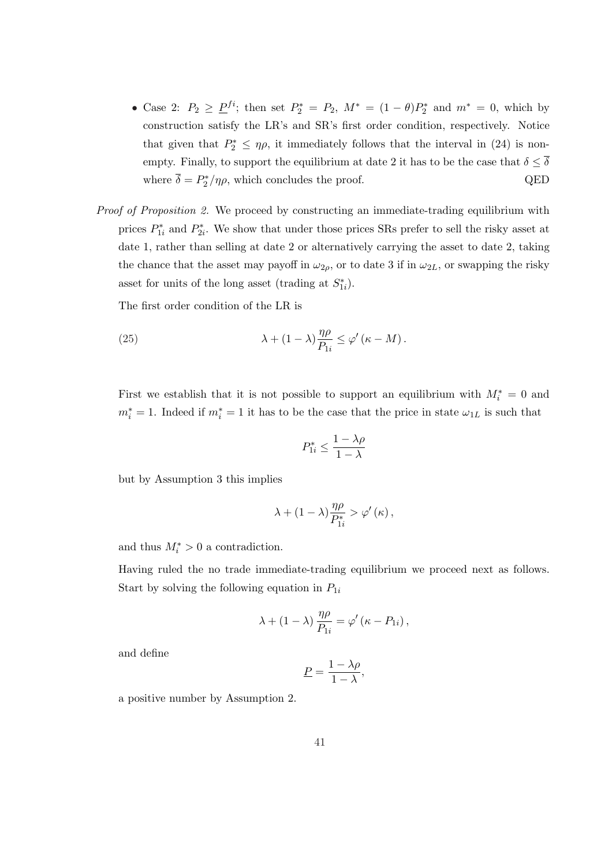- Case 2:  $P_2 \geq P_1^{f_i}$ ; then set  $P_2^* = P_2$ ,  $M^* = (1 \theta)P_2^*$  and  $m^* = 0$ , which by construction satisfy the LR's and SR's first order condition, respectively. Notice that given that  $P_2^* \le \eta \rho$ , it immediately follows that the interval in (24) is nonempty. Finally, to support the equilibrium at date 2 it has to be the case that  $\delta \leq \overline{\delta}$ where  $\overline{\delta} = P_2^* / \eta \rho$ , which concludes the proof. QED
- Proof of Proposition 2. We proceed by constructing an immediate-trading equilibrium with prices  $P_{1i}^*$  and  $P_{2i}^*$ . We show that under those prices SRs prefer to sell the risky asset at date 1, rather than selling at date 2 or alternatively carrying the asset to date 2, taking the chance that the asset may payoff in  $\omega_{2\rho}$ , or to date 3 if in  $\omega_{2L}$ , or swapping the risky asset for units of the long asset (trading at  $S_{1i}^*$ ).

The first order condition of the LR is

(25) 
$$
\lambda + (1 - \lambda) \frac{\eta \rho}{P_{1i}} \le \varphi' (\kappa - M).
$$

First we establish that it is not possible to support an equilibrium with  $M_i^* = 0$  and  $m_i^* = 1$ . Indeed if  $m_i^* = 1$  it has to be the case that the price in state  $\omega_{1L}$  is such that

$$
P_{1i}^* \le \frac{1 - \lambda \rho}{1 - \lambda}
$$

but by Assumption 3 this implies

$$
\lambda + (1 - \lambda) \frac{\eta \rho}{P_{1i}^*} > \varphi'(\kappa),
$$

and thus  $M_i^* > 0$  a contradiction.

Having ruled the no trade immediate-trading equilibrium we proceed next as follows. Start by solving the following equation in  $P_{1i}$ 

$$
\lambda + (1 - \lambda) \frac{\eta \rho}{P_{1i}} = \varphi' (\kappa - P_{1i}),
$$

and define

$$
\underline{P} = \frac{1 - \lambda \rho}{1 - \lambda},
$$

a positive number by Assumption 2.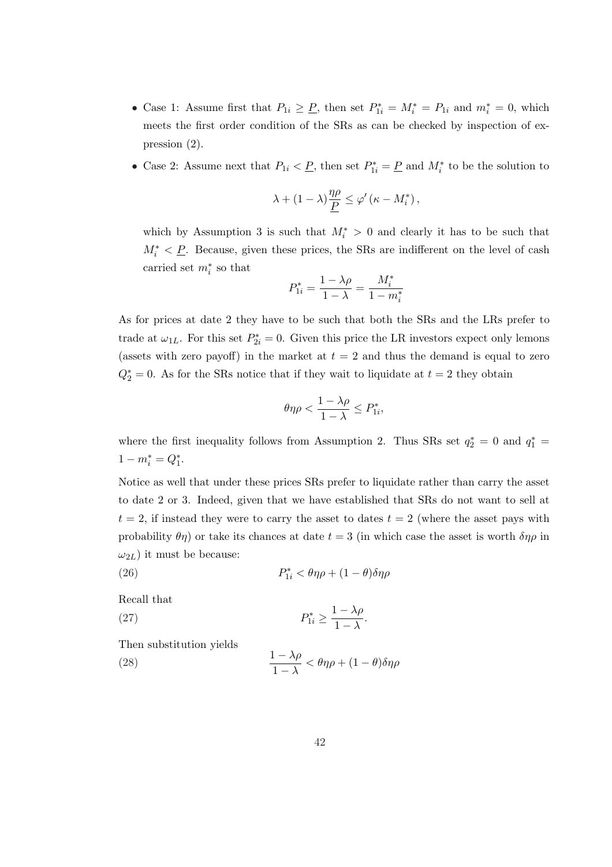- Case 1: Assume first that  $P_{1i} \geq P$ , then set  $P_{1i}^* = M_i^* = P_{1i}$  and  $m_i^* = 0$ , which meets the first order condition of the SRs as can be checked by inspection of expression (2).
- Case 2: Assume next that  $P_{1i} < \underline{P}$ , then set  $P_{1i}^* = \underline{P}$  and  $M_i^*$  to be the solution to

$$
\lambda + (1 - \lambda) \frac{\eta \rho}{\underline{P}} \leq \varphi' (\kappa - M_i^*),
$$

which by Assumption 3 is such that  $M_i^* > 0$  and clearly it has to be such that  $M_i^* < \underline{P}$ . Because, given these prices, the SRs are indifferent on the level of cash carried set  $m_i^*$  so that

$$
P_{1i}^{*} = \frac{1 - \lambda \rho}{1 - \lambda} = \frac{M_{i}^{*}}{1 - m_{i}^{*}}
$$

As for prices at date 2 they have to be such that both the SRs and the LRs prefer to trade at  $\omega_{1L}$ . For this set  $P_{2i}^* = 0$ . Given this price the LR investors expect only lemons (assets with zero payoff) in the market at  $t = 2$  and thus the demand is equal to zero  $Q_2^* = 0$ . As for the SRs notice that if they wait to liquidate at  $t = 2$  they obtain

$$
\theta \eta \rho < \frac{1 - \lambda \rho}{1 - \lambda} \le P_{1i}^*,
$$

where the first inequality follows from Assumption 2. Thus SRs set  $q_2^* = 0$  and  $q_1^* =$  $1 - m_i^* = Q_1^*$ .

Notice as well that under these prices SRs prefer to liquidate rather than carry the asset to date 2 or 3. Indeed, given that we have established that SRs do not want to sell at  $t = 2$ , if instead they were to carry the asset to dates  $t = 2$  (where the asset pays with probability  $\theta\eta$ ) or take its chances at date  $t = 3$  (in which case the asset is worth  $\delta\eta\rho$  in  $\omega_{2L}$ ) it must be because:

(26) 
$$
P_{1i}^* < \theta \eta \rho + (1 - \theta) \delta \eta \rho
$$

Recall that

(27) 
$$
P_{1i}^* \geq \frac{1 - \lambda \rho}{1 - \lambda}.
$$

Then substitution yields

(28) 
$$
\frac{1-\lambda\rho}{1-\lambda} < \theta\eta\rho + (1-\theta)\delta\eta\rho
$$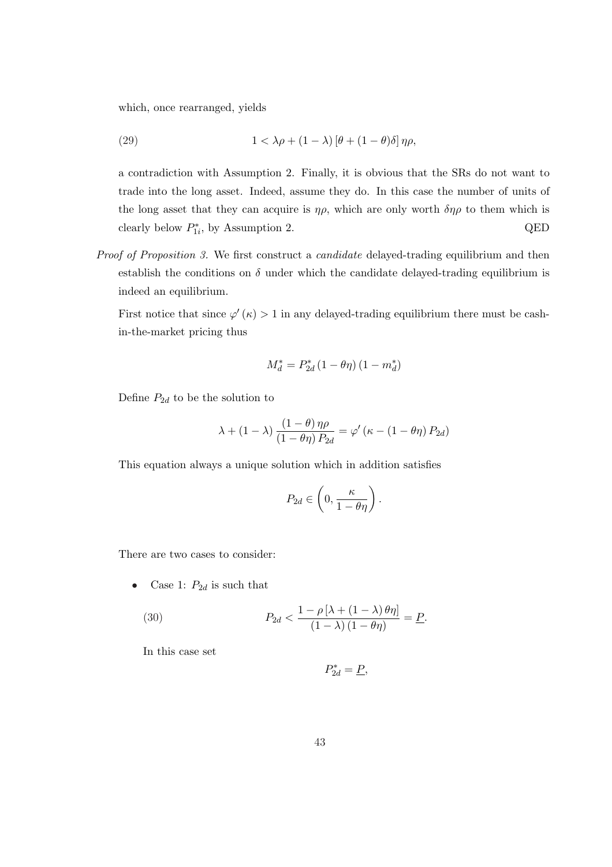which, once rearranged, yields

(29) 
$$
1 < \lambda \rho + (1 - \lambda) \left[\theta + (1 - \theta)\delta\right] \eta \rho,
$$

a contradiction with Assumption 2. Finally, it is obvious that the SRs do not want to trade into the long asset. Indeed, assume they do. In this case the number of units of the long asset that they can acquire is  $\eta \rho$ , which are only worth  $\delta \eta \rho$  to them which is clearly below  $P_{1i}^*$ , by Assumption 2. QED

Proof of Proposition 3. We first construct a *candidate* delayed-trading equilibrium and then establish the conditions on  $\delta$  under which the candidate delayed-trading equilibrium is indeed an equilibrium.

First notice that since  $\varphi'(\kappa) > 1$  in any delayed-trading equilibrium there must be cashin-the-market pricing thus

$$
M_d^* = P_{2d}^* \left(1 - \theta \eta\right) \left(1 - m_d^*\right)
$$

Define  $P_{2d}$  to be the solution to

$$
\lambda + (1 - \lambda) \frac{(1 - \theta)\eta\rho}{(1 - \theta\eta)P_{2d}} = \varphi' (\kappa - (1 - \theta\eta)P_{2d})
$$

This equation always a unique solution which in addition satisfies

$$
P_{2d} \in \left(0, \frac{\kappa}{1 - \theta \eta}\right).
$$

There are two cases to consider:

• Case 1:  $P_{2d}$  is such that

(30) 
$$
P_{2d} < \frac{1 - \rho \left[\lambda + \left(1 - \lambda\right)\theta\eta\right]}{\left(1 - \lambda\right)\left(1 - \theta\eta\right)} = \underline{P}.
$$

In this case set

$$
P_{2d}^* = \underline{P},
$$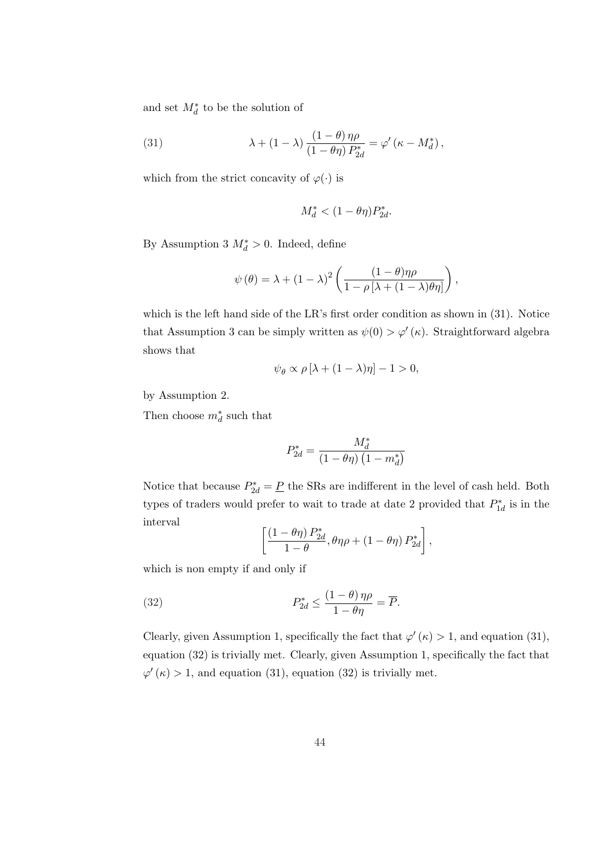and set  $M_d^*$  to be the solution of

(31) 
$$
\lambda + (1 - \lambda) \frac{(1 - \theta)\eta\rho}{(1 - \theta\eta)P_{2d}^*} = \varphi'(\kappa - M_d^*),
$$

which from the strict concavity of  $\varphi(\cdot)$  is

$$
M_d^* < (1 - \theta \eta) P_{2d}^*.
$$

By Assumption 3  $M_d^* > 0$ . Indeed, define

$$
\psi(\theta) = \lambda + (1 - \lambda)^2 \left( \frac{(1 - \theta)\eta\rho}{1 - \rho\left[\lambda + (1 - \lambda)\theta\eta\right]} \right),
$$

which is the left hand side of the LR's first order condition as shown in (31). Notice that Assumption 3 can be simply written as  $\psi(0) > \varphi'(\kappa)$ . Straightforward algebra shows that

$$
\psi_{\theta} \propto \rho \left[ \lambda + (1 - \lambda)\eta \right] - 1 > 0,
$$

by Assumption 2.

Then choose  $m_d^*$  such that

$$
P_{2d}^* = \frac{M_d^*}{\left(1 - \theta \eta\right) \left(1 - m_d^*\right)}
$$

Notice that because  $P_{2d}^* = \underline{P}$  the SRs are indifferent in the level of cash held. Both types of traders would prefer to wait to trade at date 2 provided that  $P_{1d}^*$  is in the interval ·  $\overline{a}$ 

$$
\left[\frac{(1-\theta\eta) P_{2d}^*}{1-\theta}, \theta\eta\rho + (1-\theta\eta) P_{2d}^*\right],
$$

which is non empty if and only if

(32) 
$$
P_{2d}^* \leq \frac{(1-\theta)\,\eta\rho}{1-\theta\eta} = \overline{P}.
$$

Clearly, given Assumption 1, specifically the fact that  $\varphi'(\kappa) > 1$ , and equation (31), equation (32) is trivially met. Clearly, given Assumption 1, specifically the fact that  $\varphi'(\kappa) > 1$ , and equation (31), equation (32) is trivially met.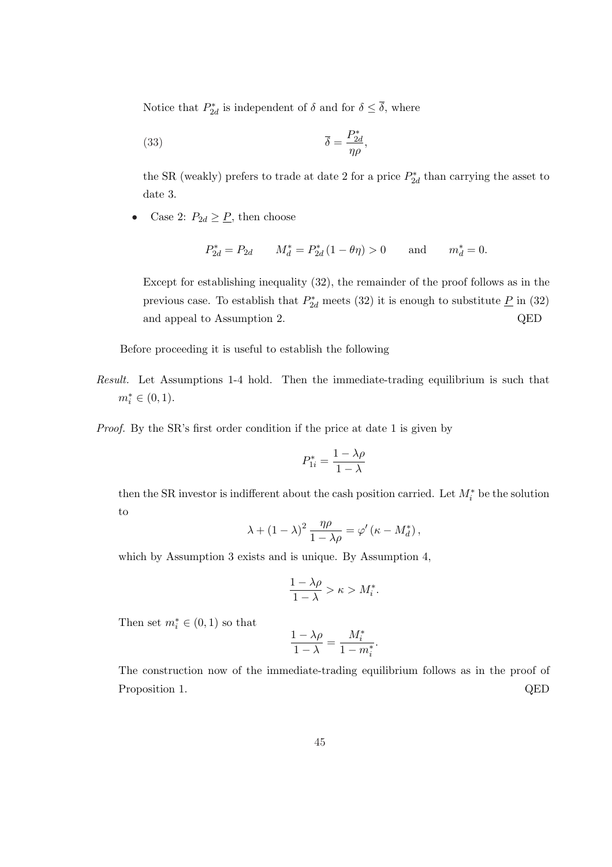Notice that  $P_{2d}^*$  is independent of  $\delta$  and for  $\delta \leq \overline{\delta}$ , where

(33) 
$$
\overline{\delta} = \frac{P_{2d}^*}{\eta \rho},
$$

the SR (weakly) prefers to trade at date 2 for a price  $P_{2d}^*$  than carrying the asset to date 3.

• Case 2:  $P_{2d} \geq \underline{P}$ , then choose

$$
P_{2d}^* = P_{2d} \qquad M_d^* = P_{2d}^* \left( 1 - \theta \eta \right) > 0 \qquad \text{and} \qquad m_d^* = 0.
$$

Except for establishing inequality (32), the remainder of the proof follows as in the previous case. To establish that  $P_{2d}^*$  meets (32) it is enough to substitute  $\underline{P}$  in (32) and appeal to Assumption 2.  $QED$ 

Before proceeding it is useful to establish the following

- Result. Let Assumptions 1-4 hold. Then the immediate-trading equilibrium is such that  $m_i^* \in (0, 1)$ .
- Proof. By the SR's first order condition if the price at date 1 is given by

$$
P_{1i}^* = \frac{1-\lambda\rho}{1-\lambda}
$$

then the SR investor is indifferent about the cash position carried. Let  $M_i^*$  be the solution to

$$
\lambda + (1 - \lambda)^2 \frac{\eta \rho}{1 - \lambda \rho} = \varphi' (\kappa - M_d^*)
$$

which by Assumption 3 exists and is unique. By Assumption 4,

$$
\frac{1-\lambda\rho}{1-\lambda} > \kappa > M_i^*.
$$

Then set  $m_i^* \in (0,1)$  so that

$$
\frac{1-\lambda\rho}{1-\lambda}=\frac{M_i^*}{1-m_i^*}.
$$

The construction now of the immediate-trading equilibrium follows as in the proof of Proposition 1.  $QED$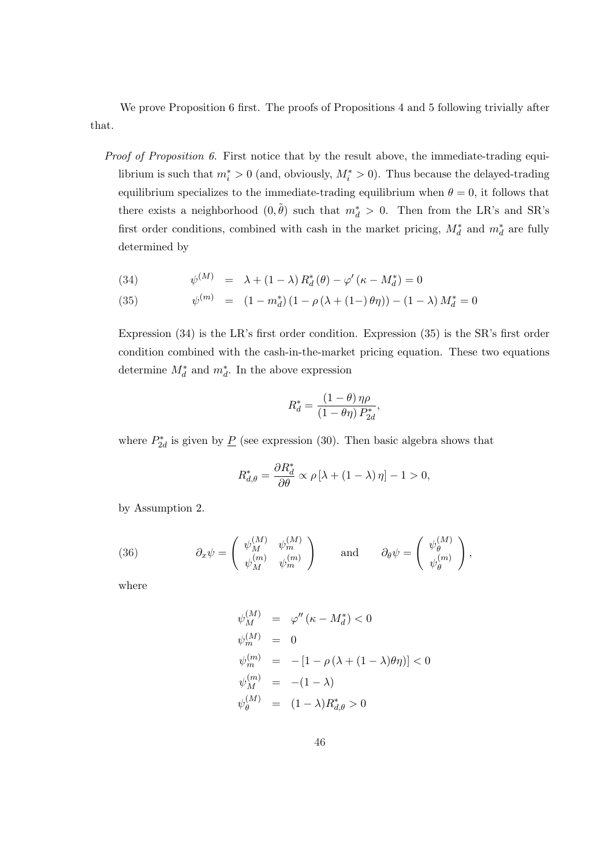We prove Proposition 6 first. The proofs of Propositions 4 and 5 following trivially after that.

Proof of Proposition 6. First notice that by the result above, the immediate-trading equilibrium is such that  $m_i^* > 0$  (and, obviously,  $M_i^* > 0$ ). Thus because the delayed-trading equilibrium specializes to the immediate-trading equilibrium when  $\theta = 0$ , it follows that there exists a neighborhood  $(0, \tilde{\theta})$  such that  $m_d^* > 0$ . Then from the LR's and SR's first order conditions, combined with cash in the market pricing,  $M_d^*$  and  $m_d^*$  are fully determined by

(34) 
$$
\psi^{(M)} = \lambda + (1 - \lambda) R_d^* (\theta) - \varphi' (\kappa - M_d^*) = 0
$$

(35) 
$$
\psi^{(m)} = (1 - m_d^*) (1 - \rho (\lambda + (1 -) \theta \eta)) - (1 - \lambda) M_d^* = 0
$$

Expression (34) is the LR's first order condition. Expression (35) is the SR's first order condition combined with the cash-in-the-market pricing equation. These two equations determine  $M_d^*$  and  $m_d^*$ . In the above expression

$$
R_d^* = \frac{(1 - \theta)\,\eta\rho}{(1 - \theta\eta)\,P_{2d}^*},
$$

where  $P_{2d}^*$  is given by  $\underline{P}$  (see expression (30). Then basic algebra shows that

$$
R_{d,\theta}^* = \frac{\partial R_d^*}{\partial \theta} \propto \rho \left[ \lambda + (1 - \lambda) \eta \right] - 1 > 0,
$$

by Assumption 2.

(36) 
$$
\partial_x \psi = \begin{pmatrix} \psi_M^{(M)} & \psi_m^{(M)} \\ \psi_M^{(m)} & \psi_m^{(m)} \end{pmatrix} \quad \text{and} \quad \partial_{\theta} \psi = \begin{pmatrix} \psi_{\theta}^{(M)} \\ \psi_{\theta}^{(m)} \end{pmatrix},
$$

where

$$
\begin{aligned}\n\psi_M^{(M)} &= \varphi''(\kappa - M_d^*) < 0 \\
\psi_m^{(M)} &= 0 \\
\psi_m^{(m)} &= -[1 - \rho(\lambda + (1 - \lambda)\theta\eta)] < 0 \\
\psi_M^{(m)} &= -(1 - \lambda) \\
\psi_\theta^{(M)} &= (1 - \lambda)R_{d,\theta}^* > 0\n\end{aligned}
$$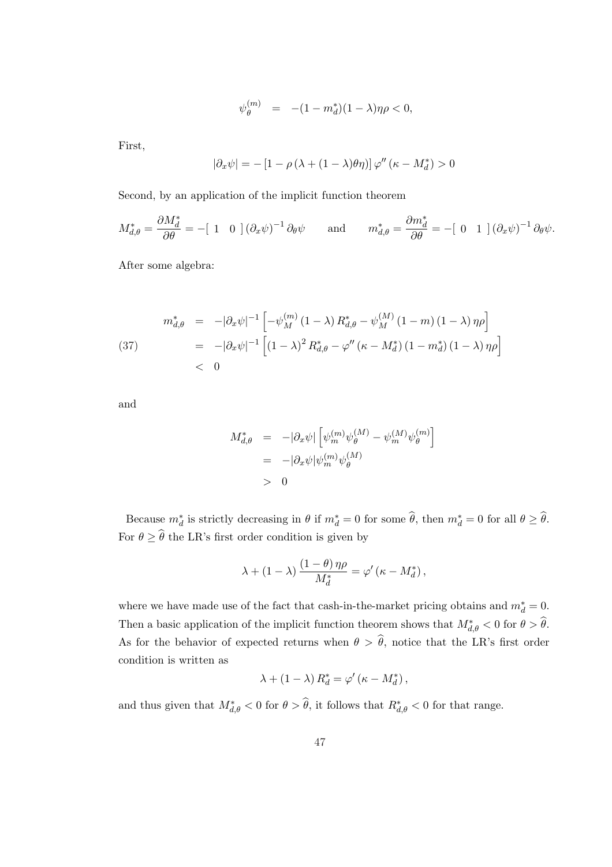$$
\psi_{\theta}^{(m)} = -(1 - m_d^*)(1 - \lambda)\eta \rho < 0,
$$

First,

$$
|\partial_x \psi| = - [1 - \rho (\lambda + (1 - \lambda)\theta \eta)] \varphi''(\kappa - M_d^*) > 0
$$

Second, by an application of the implicit function theorem

$$
M_{d,\theta}^* = \frac{\partial M_d^*}{\partial \theta} = -\begin{bmatrix} 1 & 0 \end{bmatrix} (\partial_x \psi)^{-1} \partial_{\theta} \psi \quad \text{and} \quad m_{d,\theta}^* = \frac{\partial m_d^*}{\partial \theta} = -\begin{bmatrix} 0 & 1 \end{bmatrix} (\partial_x \psi)^{-1} \partial_{\theta} \psi.
$$

After some algebra:

(37) 
$$
m_{d,\theta}^{*} = -|\partial_{x}\psi|^{-1} \left[ -\psi_{M}^{(m)}(1-\lambda) R_{d,\theta}^{*} - \psi_{M}^{(M)}(1-m)(1-\lambda)\eta\rho \right] = -|\partial_{x}\psi|^{-1} \left[ (1-\lambda)^{2} R_{d,\theta}^{*} - \varphi''(\kappa - M_{d}^{*})(1-m_{d}^{*})(1-\lambda)\eta\rho \right] < 0
$$

and

$$
M_{d,\theta}^* = -|\partial_x \psi| \left[ \psi_m^{(m)} \psi_{\theta}^{(M)} - \psi_m^{(M)} \psi_{\theta}^{(m)} \right]
$$
  
= -|\partial\_x \psi| \psi\_m^{(m)} \psi\_{\theta}^{(M)}  
> 0

Because  $m_d^*$  is strictly decreasing in  $\theta$  if  $m_d^* = 0$  for some  $\widehat{\theta}$ , then  $m_d^* = 0$  for all  $\theta \geq \widehat{\theta}$ . For  $\theta \geq \hat{\theta}$  the LR's first order condition is given by

$$
\lambda + (1 - \lambda) \frac{(1 - \theta)\eta\rho}{M_d^*} = \varphi'(\kappa - M_d^*),
$$

where we have made use of the fact that cash-in-the-market pricing obtains and  $m_d^* = 0$ . Then a basic application of the implicit function theorem shows that  $M^*_{d,\theta} < 0$  for  $\theta > \hat{\theta}$ . As for the behavior of expected returns when  $\theta > \hat{\theta}$ , notice that the LR's first order condition is written as

$$
\lambda + \left(1-\lambda\right)R_d^* = \varphi'\left(\kappa - M_d^*\right),
$$

and thus given that  $M^*_{d,\theta} < 0$  for  $\theta > \hat{\theta}$ , it follows that  $R^*_{d,\theta} < 0$  for that range.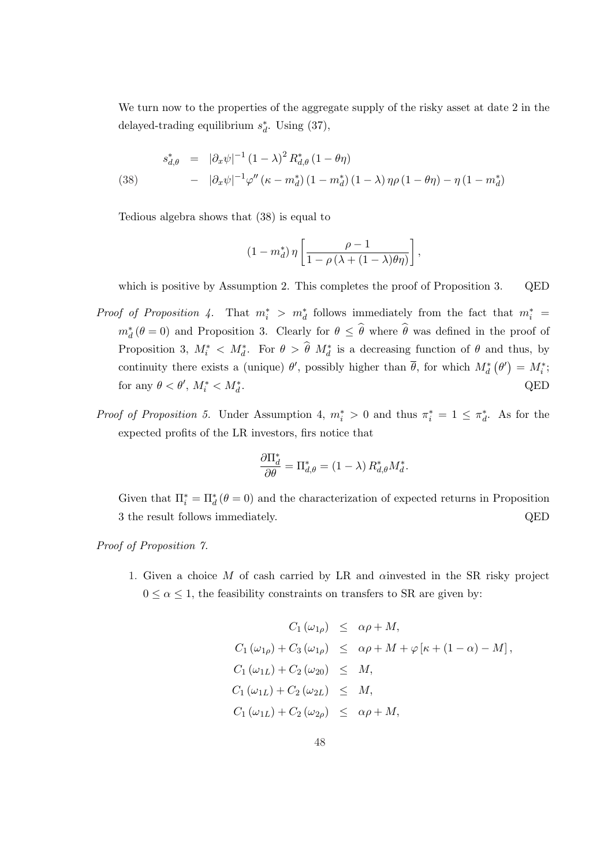We turn now to the properties of the aggregate supply of the risky asset at date 2 in the delayed-trading equilibrium  $s_d^*$ . Using (37),

(38) 
$$
s_{d,\theta}^* = |\partial_x \psi|^{-1} (1 - \lambda)^2 R_{d,\theta}^* (1 - \theta \eta)
$$

$$
- |\partial_x \psi|^{-1} \varphi'' (\kappa - m_d^*) (1 - m_d^*) (1 - \lambda) \eta \rho (1 - \theta \eta) - \eta (1 - m_d^*)
$$

Tedious algebra shows that (38) is equal to

$$
(1 - m_d^*) \eta \left[ \frac{\rho - 1}{1 - \rho \left( \lambda + (1 - \lambda)\theta \eta \right)} \right],
$$

which is positive by Assumption 2. This completes the proof of Proposition 3. QED

- *Proof of Proposition 4.* That  $m_i^* > m_d^*$  follows immediately from the fact that  $m_i^* =$  $m_d^*(\theta = 0)$  and Proposition 3. Clearly for  $\theta \leq \hat{\theta}$  where  $\hat{\theta}$  was defined in the proof of Proposition 3,  $M_i^* < M_d^*$ . For  $\theta > \hat{\theta} M_d^*$  is a decreasing function of  $\theta$  and thus, by continuity there exists a (unique)  $\theta'$ , possibly higher than  $\bar{\theta}$ , for which  $M_d^*$   $(\theta') = M_i^*$ ;  $\frac{1}{2}$ for any  $\theta < \theta'$ ,  $M_i^* < M_d^*$ . QED
- *Proof of Proposition 5.* Under Assumption 4,  $m_i^* > 0$  and thus  $\pi_i^* = 1 \leq \pi_d^*$ . As for the expected profits of the LR investors, firs notice that

$$
\frac{\partial \Pi_d^*}{\partial \theta} = \Pi_{d,\theta}^* = (1 - \lambda) R_{d,\theta}^* M_d^*.
$$

Given that  $\Pi_i^* = \Pi_d^* (\theta = 0)$  and the characterization of expected returns in Proposition 3 the result follows immediately. QED

Proof of Proposition 7.

1. Given a choice M of cash carried by LR and  $\alpha$  invested in the SR risky project  $0 \leq \alpha \leq 1$ , the feasibility constraints on transfers to SR are given by:

$$
C_1(\omega_{1\rho}) \leq \alpha \rho + M,
$$
  
\n
$$
C_1(\omega_{1\rho}) + C_3(\omega_{1\rho}) \leq \alpha \rho + M + \varphi [\kappa + (1 - \alpha) - M],
$$
  
\n
$$
C_1(\omega_{1L}) + C_2(\omega_{20}) \leq M,
$$
  
\n
$$
C_1(\omega_{1L}) + C_2(\omega_{2L}) \leq M,
$$
  
\n
$$
C_1(\omega_{1L}) + C_2(\omega_{2\rho}) \leq \alpha \rho + M,
$$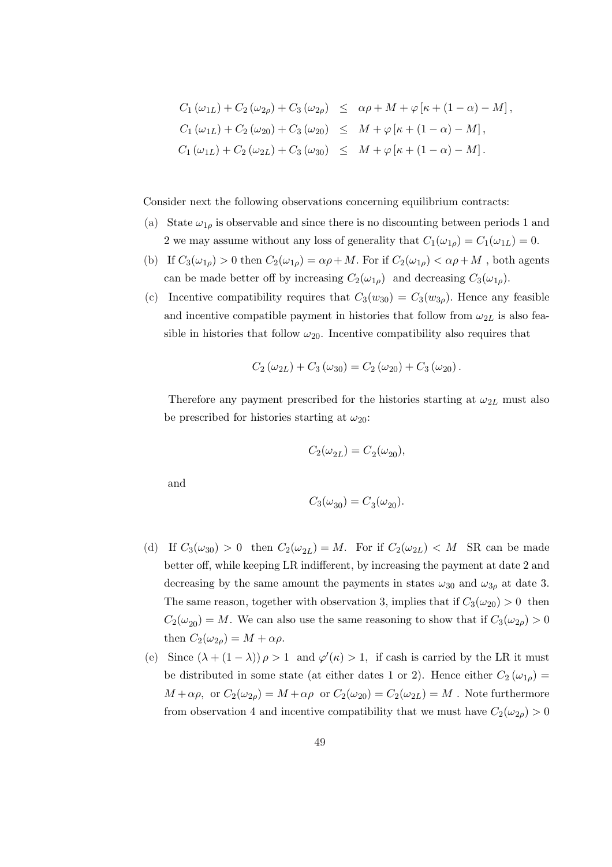$$
C_{1} (\omega_{1L}) + C_{2} (\omega_{2\rho}) + C_{3} (\omega_{2\rho}) \leq \alpha \rho + M + \varphi [\kappa + (1 - \alpha) - M],
$$
  
\n
$$
C_{1} (\omega_{1L}) + C_{2} (\omega_{20}) + C_{3} (\omega_{20}) \leq M + \varphi [\kappa + (1 - \alpha) - M],
$$
  
\n
$$
C_{1} (\omega_{1L}) + C_{2} (\omega_{2L}) + C_{3} (\omega_{30}) \leq M + \varphi [\kappa + (1 - \alpha) - M].
$$

Consider next the following observations concerning equilibrium contracts:

- (a) State  $\omega_{1\rho}$  is observable and since there is no discounting between periods 1 and 2 we may assume without any loss of generality that  $C_1(\omega_{1\rho}) = C_1(\omega_{1L}) = 0$ .
- (b) If  $C_3(\omega_{1\rho}) > 0$  then  $C_2(\omega_{1\rho}) = \alpha \rho + M$ . For if  $C_2(\omega_{1\rho}) < \alpha \rho + M$ , both agents can be made better off by increasing  $C_2(\omega_{1\rho})$  and decreasing  $C_3(\omega_{1\rho})$ .
- (c) Incentive compatibility requires that  $C_3(w_{30}) = C_3(w_{30})$ . Hence any feasible and incentive compatible payment in histories that follow from  $\omega_{2L}$  is also feasible in histories that follow  $\omega_{20}$ . Incentive compatibility also requires that

$$
C_2(\omega_{2L}) + C_3(\omega_{30}) = C_2(\omega_{20}) + C_3(\omega_{20}).
$$

Therefore any payment prescribed for the histories starting at  $\omega_{2L}$  must also be prescribed for histories starting at  $\omega_{20}$ :

$$
C_2(\omega_{2L})=C_2(\omega_{20}),
$$

and

$$
C_3(\omega_{30})=C_3(\omega_{20}).
$$

- (d) If  $C_3(\omega_{30}) > 0$  then  $C_2(\omega_{2L}) = M$ . For if  $C_2(\omega_{2L}) < M$  SR can be made better off, while keeping LR indifferent, by increasing the payment at date 2 and decreasing by the same amount the payments in states  $\omega_{30}$  and  $\omega_{3\rho}$  at date 3. The same reason, together with observation 3, implies that if  $C_3(\omega_{20}) > 0$  then  $C_2(\omega_{20}) = M$ . We can also use the same reasoning to show that if  $C_3(\omega_{2\rho}) > 0$ then  $C_2(\omega_{2\rho}) = M + \alpha \rho$ .
- (e) Since  $(\lambda + (1 \lambda)) \rho > 1$  and  $\varphi'(\kappa) > 1$ , if cash is carried by the LR it must be distributed in some state (at either dates 1 or 2). Hence either  $C_2(\omega_{1\rho}) =$  $M + \alpha \rho$ , or  $C_2(\omega_{2\rho}) = M + \alpha \rho$  or  $C_2(\omega_{20}) = C_2(\omega_{2L}) = M$ . Note furthermore from observation 4 and incentive compatibility that we must have  $C_2(\omega_{2\rho}) > 0$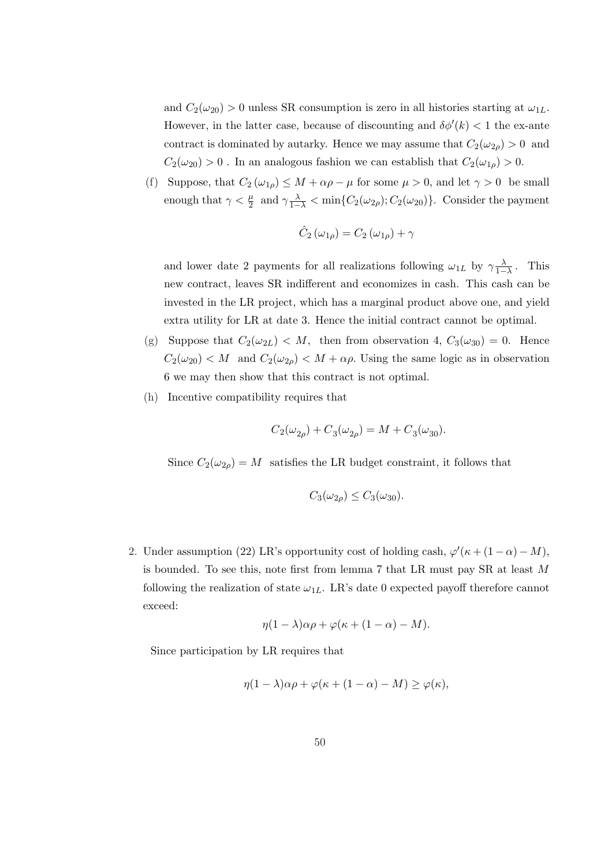and  $C_2(\omega_{20}) > 0$  unless SR consumption is zero in all histories starting at  $\omega_{1L}$ . However, in the latter case, because of discounting and  $\delta\phi'(k) < 1$  the ex-ante contract is dominated by autarky. Hence we may assume that  $C_2(\omega_{2\rho}) > 0$  and  $C_2(\omega_{20}) > 0$ . In an analogous fashion we can establish that  $C_2(\omega_{1\rho}) > 0$ .

(f) Suppose, that  $C_2(\omega_{1\rho}) \leq M + \alpha \rho - \mu$  for some  $\mu > 0$ , and let  $\gamma > 0$  be small enough that  $\gamma < \frac{\mu}{2}$  and  $\gamma \frac{\lambda}{1-\lambda} < \min\{C_2(\omega_{2\rho}); C_2(\omega_{20})\}$ . Consider the payment

$$
\hat{C}_{2}(\omega_{1\rho}) = C_{2}(\omega_{1\rho}) + \gamma
$$

and lower date 2 payments for all realizations following  $\omega_{1L}$  by  $\gamma_{1} \frac{\lambda}{\lambda}$  $\frac{\lambda}{1-\lambda}$ . This new contract, leaves SR indifferent and economizes in cash. This cash can be invested in the LR project, which has a marginal product above one, and yield extra utility for LR at date 3. Hence the initial contract cannot be optimal.

- (g) Suppose that  $C_2(\omega_{2L}) < M$ , then from observation 4,  $C_3(\omega_{30}) = 0$ . Hence  $C_2(\omega_{20}) < M$  and  $C_2(\omega_{2\rho}) < M + \alpha \rho$ . Using the same logic as in observation 6 we may then show that this contract is not optimal.
- (h) Incentive compatibility requires that

$$
C_2(\omega_{2\rho}) + C_3(\omega_{2\rho}) = M + C_3(\omega_{30}).
$$

Since  $C_2(\omega_{2\rho}) = M$  satisfies the LR budget constraint, it follows that

$$
C_3(\omega_{2\rho}) \le C_3(\omega_{30}).
$$

2. Under assumption (22) LR's opportunity cost of holding cash,  $\varphi'(\kappa + (1 - \alpha) - M)$ , is bounded. To see this, note first from lemma 7 that LR must pay SR at least M following the realization of state  $\omega_{1L}$ . LR's date 0 expected payoff therefore cannot exceed:

$$
\eta(1-\lambda)\alpha\rho + \varphi(\kappa + (1-\alpha) - M).
$$

Since participation by LR requires that

$$
\eta(1 - \lambda)\alpha \rho + \varphi(\kappa + (1 - \alpha) - M) \ge \varphi(\kappa),
$$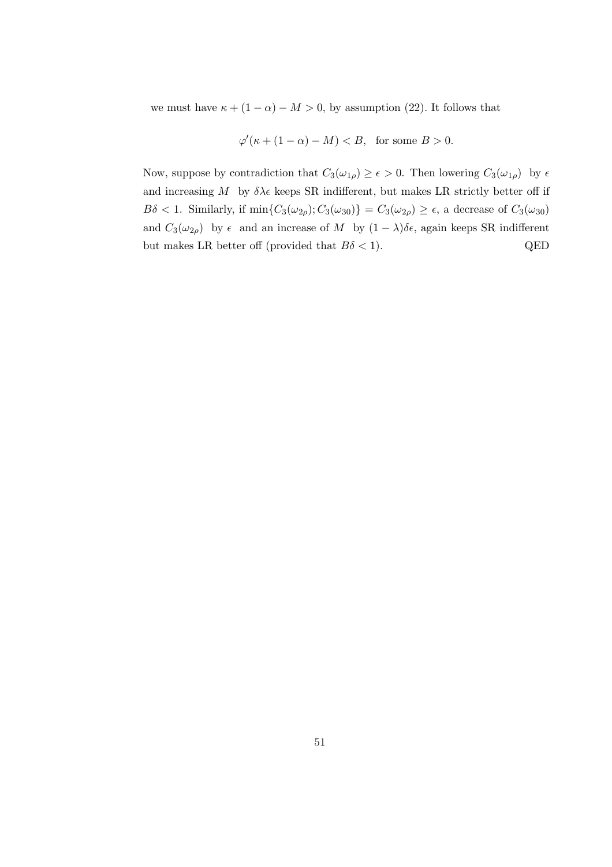we must have  $\kappa + (1 - \alpha) - M > 0$ , by assumption (22). It follows that

$$
\varphi'(\kappa + (1 - \alpha) - M) < B, \quad \text{for some } B > 0.
$$

Now, suppose by contradiction that  $C_3(\omega_{1\rho}) \geq \epsilon > 0$ . Then lowering  $C_3(\omega_{1\rho})$  by  $\epsilon$ and increasing M by  $\delta \lambda \epsilon$  keeps SR indifferent, but makes LR strictly better off if  $B\delta < 1$ . Similarly, if min $\{C_3(\omega_{2\rho}); C_3(\omega_{30})\} = C_3(\omega_{2\rho}) \geq \epsilon$ , a decrease of  $C_3(\omega_{30})$ and  $C_3(\omega_{2\rho})$  by  $\epsilon$  and an increase of M by  $(1 - \lambda)\delta\epsilon$ , again keeps SR indifferent but makes LR better off (provided that  $B\delta < 1$ ). QED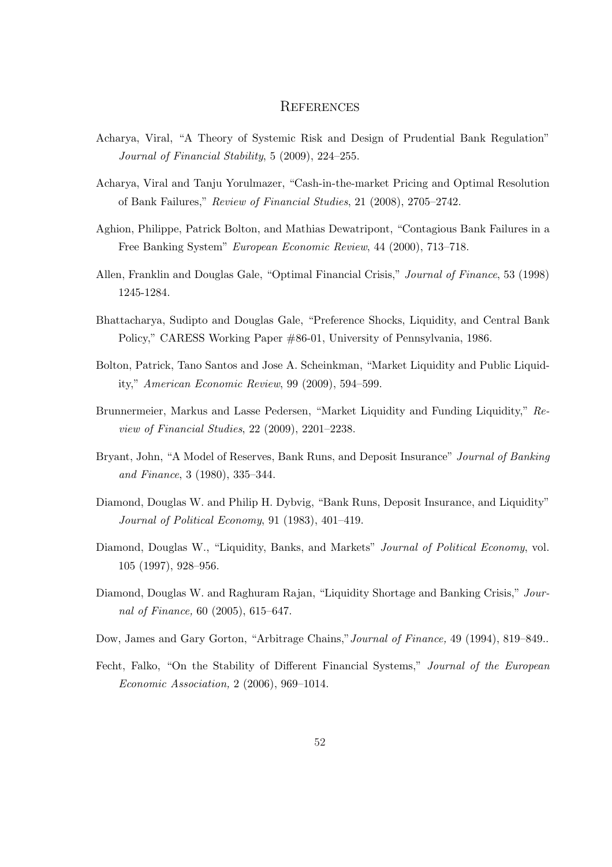### **REFERENCES**

- Acharya, Viral, "A Theory of Systemic Risk and Design of Prudential Bank Regulation" Journal of Financial Stability, 5 (2009), 224–255.
- Acharya, Viral and Tanju Yorulmazer, "Cash-in-the-market Pricing and Optimal Resolution of Bank Failures," Review of Financial Studies, 21 (2008), 2705–2742.
- Aghion, Philippe, Patrick Bolton, and Mathias Dewatripont, "Contagious Bank Failures in a Free Banking System" European Economic Review, 44 (2000), 713–718.
- Allen, Franklin and Douglas Gale, "Optimal Financial Crisis," Journal of Finance, 53 (1998) 1245-1284.
- Bhattacharya, Sudipto and Douglas Gale, "Preference Shocks, Liquidity, and Central Bank Policy," CARESS Working Paper #86-01, University of Pennsylvania, 1986.
- Bolton, Patrick, Tano Santos and Jose A. Scheinkman, "Market Liquidity and Public Liquidity," American Economic Review, 99 (2009), 594–599.
- Brunnermeier, Markus and Lasse Pedersen, "Market Liquidity and Funding Liquidity," Review of Financial Studies, 22 (2009), 2201–2238.
- Bryant, John, "A Model of Reserves, Bank Runs, and Deposit Insurance" Journal of Banking and Finance, 3 (1980), 335–344.
- Diamond, Douglas W. and Philip H. Dybvig, "Bank Runs, Deposit Insurance, and Liquidity" Journal of Political Economy, 91 (1983), 401–419.
- Diamond, Douglas W., "Liquidity, Banks, and Markets" *Journal of Political Economy*, vol. 105 (1997), 928–956.
- Diamond, Douglas W. and Raghuram Rajan, "Liquidity Shortage and Banking Crisis," Journal of Finance, 60 (2005), 615–647.
- Dow, James and Gary Gorton, "Arbitrage Chains,"Journal of Finance, 49 (1994), 819–849..
- Fecht, Falko, "On the Stability of Different Financial Systems," Journal of the European Economic Association, 2 (2006), 969–1014.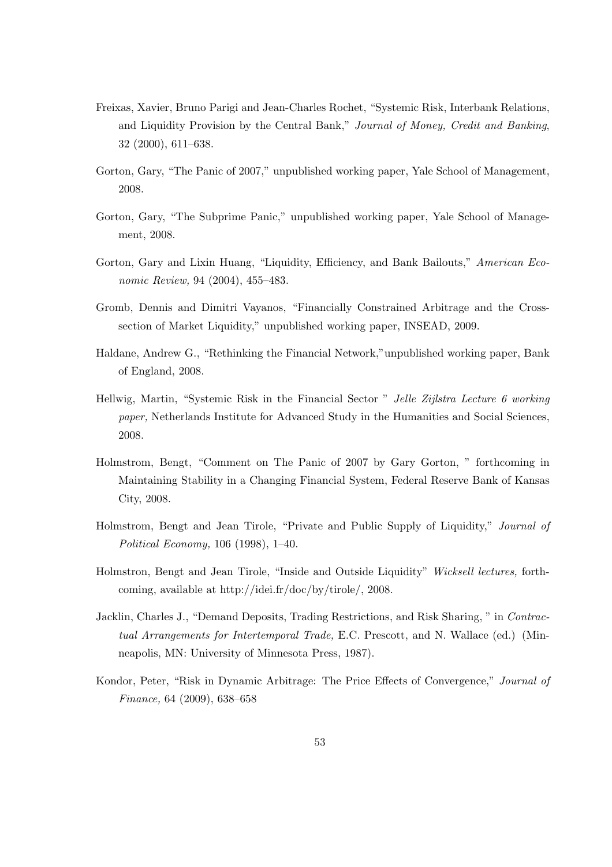- Freixas, Xavier, Bruno Parigi and Jean-Charles Rochet, "Systemic Risk, Interbank Relations, and Liquidity Provision by the Central Bank," Journal of Money, Credit and Banking, 32 (2000), 611–638.
- Gorton, Gary, "The Panic of 2007," unpublished working paper, Yale School of Management, 2008.
- Gorton, Gary, "The Subprime Panic," unpublished working paper, Yale School of Management, 2008.
- Gorton, Gary and Lixin Huang, "Liquidity, Efficiency, and Bank Bailouts," American Economic Review, 94 (2004), 455–483.
- Gromb, Dennis and Dimitri Vayanos, "Financially Constrained Arbitrage and the Crosssection of Market Liquidity," unpublished working paper, INSEAD, 2009.
- Haldane, Andrew G., "Rethinking the Financial Network,"unpublished working paper, Bank of England, 2008.
- Hellwig, Martin, "Systemic Risk in the Financial Sector " Jelle Zijlstra Lecture 6 working paper, Netherlands Institute for Advanced Study in the Humanities and Social Sciences, 2008.
- Holmstrom, Bengt, "Comment on The Panic of 2007 by Gary Gorton, " forthcoming in Maintaining Stability in a Changing Financial System, Federal Reserve Bank of Kansas City, 2008.
- Holmstrom, Bengt and Jean Tirole, "Private and Public Supply of Liquidity," Journal of Political Economy, 106 (1998), 1–40.
- Holmstron, Bengt and Jean Tirole, "Inside and Outside Liquidity" Wicksell lectures, forthcoming, available at http://idei.fr/doc/by/tirole/, 2008.
- Jacklin, Charles J., "Demand Deposits, Trading Restrictions, and Risk Sharing, " in Contractual Arrangements for Intertemporal Trade, E.C. Prescott, and N. Wallace (ed.) (Minneapolis, MN: University of Minnesota Press, 1987).
- Kondor, Peter, "Risk in Dynamic Arbitrage: The Price Effects of Convergence," Journal of Finance, 64 (2009), 638–658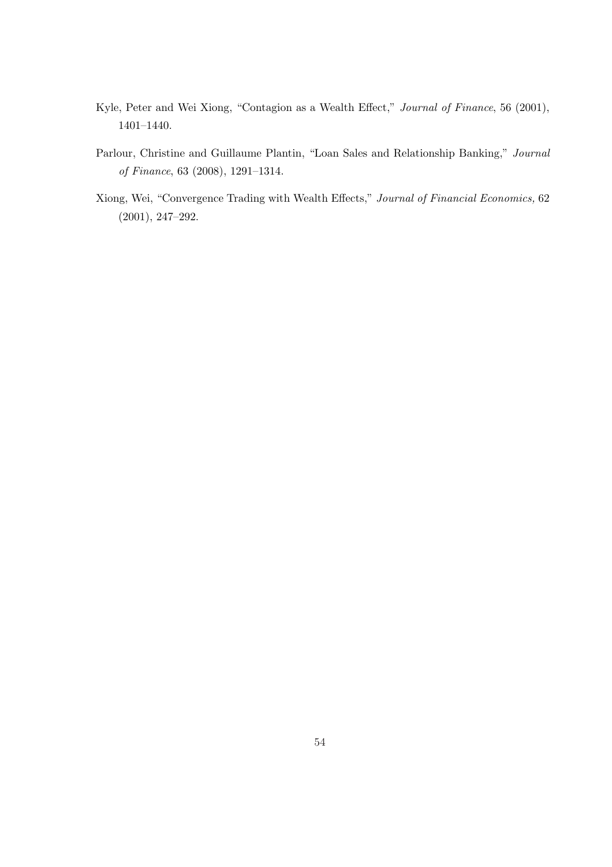- Kyle, Peter and Wei Xiong, "Contagion as a Wealth Effect," Journal of Finance, 56 (2001), 1401–1440.
- Parlour, Christine and Guillaume Plantin, "Loan Sales and Relationship Banking," Journal of Finance, 63 (2008), 1291–1314.
- Xiong, Wei, "Convergence Trading with Wealth Effects," Journal of Financial Economics, 62 (2001), 247–292.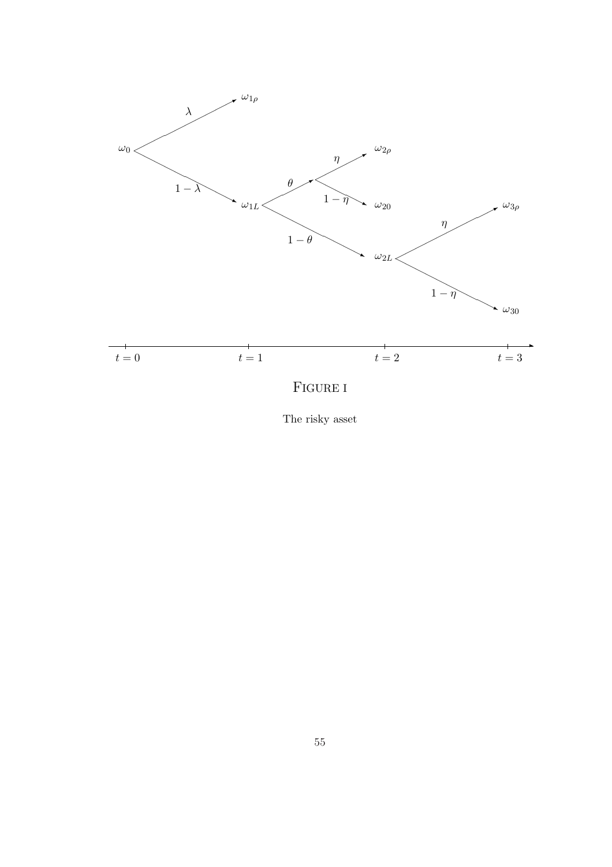

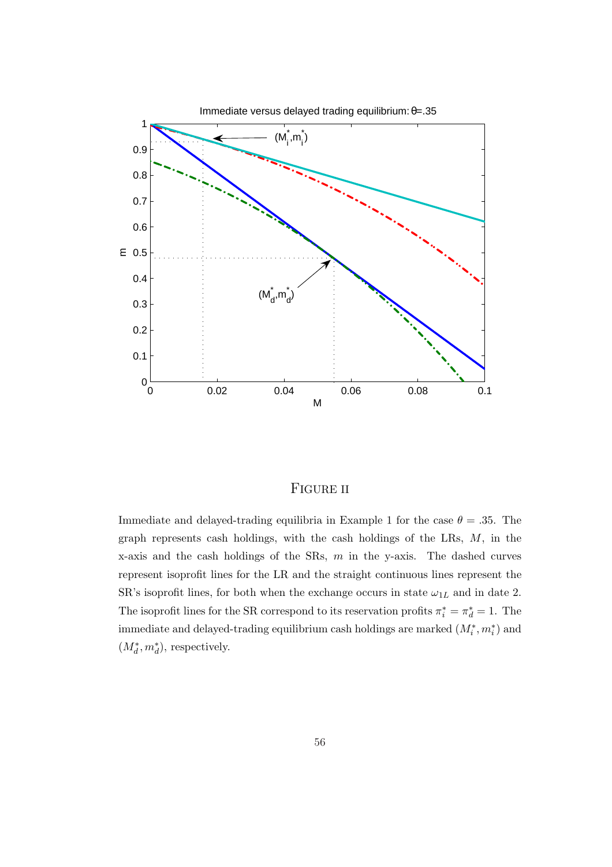

# FIGURE II

Immediate and delayed-trading equilibria in Example 1 for the case  $\theta = .35$ . The graph represents cash holdings, with the cash holdings of the LRs, M, in the x-axis and the cash holdings of the SRs,  $m$  in the y-axis. The dashed curves represent isoprofit lines for the LR and the straight continuous lines represent the SR's isoprofit lines, for both when the exchange occurs in state  $\omega_{1L}$  and in date 2. The isoprofit lines for the SR correspond to its reservation profits  $\pi_i^* = \pi_d^* = 1$ . The immediate and delayed-trading equilibrium cash holdings are marked  $(M_i^*, m_i^*)$  and  $(M_d^*, m_d^*)$ , respectively.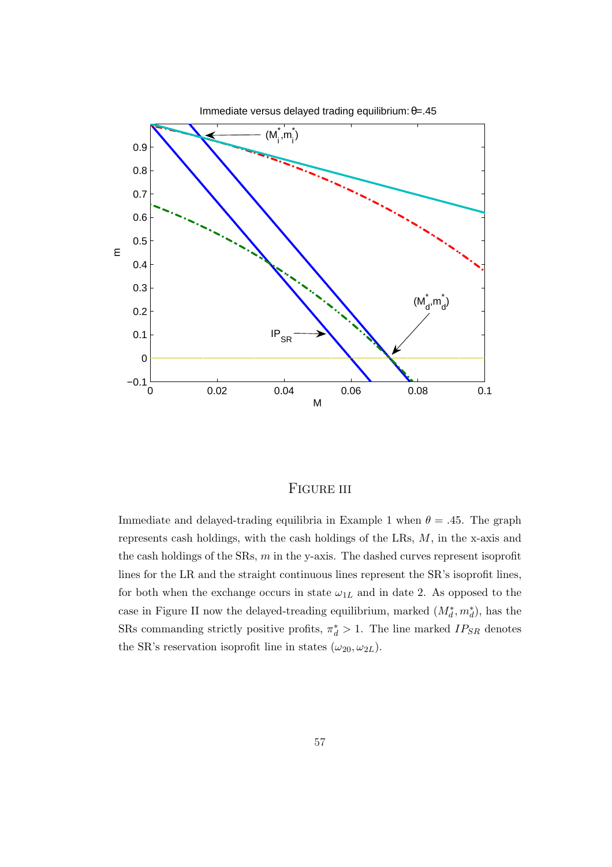

# FIGURE III

Immediate and delayed-trading equilibria in Example 1 when  $\theta = .45$ . The graph represents cash holdings, with the cash holdings of the LRs, M, in the x-axis and the cash holdings of the  $S\mathbb{R}s$ ,  $m$  in the y-axis. The dashed curves represent isoprofit lines for the LR and the straight continuous lines represent the SR's isoprofit lines, for both when the exchange occurs in state  $\omega_{1L}$  and in date 2. As opposed to the case in Figure II now the delayed-treading equilibrium, marked  $(M_d^*, m_d^*)$ , has the SRs commanding strictly positive profits,  $\pi_d^* > 1$ . The line marked  $IP_{SR}$  denotes the SR's reservation isoprofit line in states  $(\omega_{20}, \omega_{2L})$ .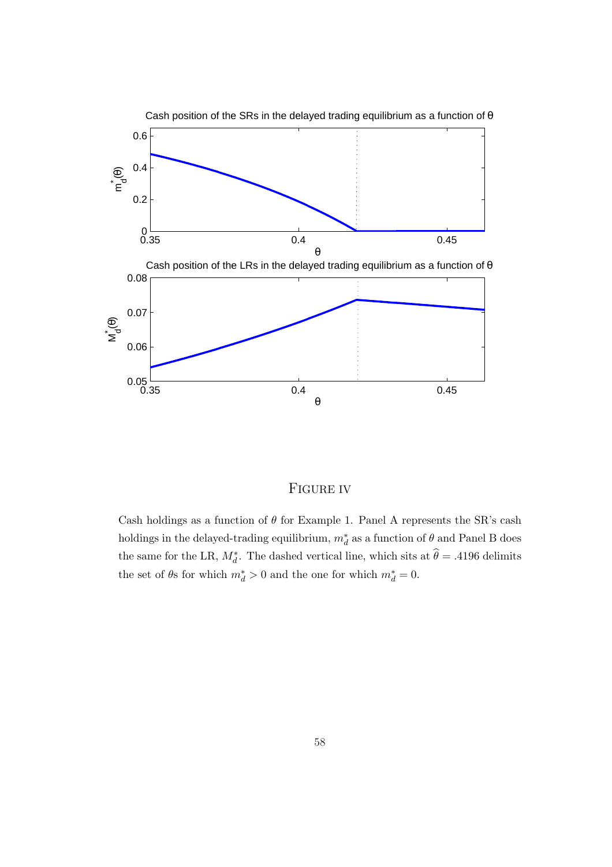

## FIGURE IV

Cash holdings as a function of  $\theta$  for Example 1. Panel A represents the SR's cash holdings in the delayed-trading equilibrium,  $m_d^*$  as a function of  $\theta$  and Panel B does the same for the LR,  $M_d^*$ . The dashed vertical line, which sits at  $\hat{\theta} = .4196$  delimits the set of  $\theta$ s for which  $m_d^* > 0$  and the one for which  $m_d^* = 0$ .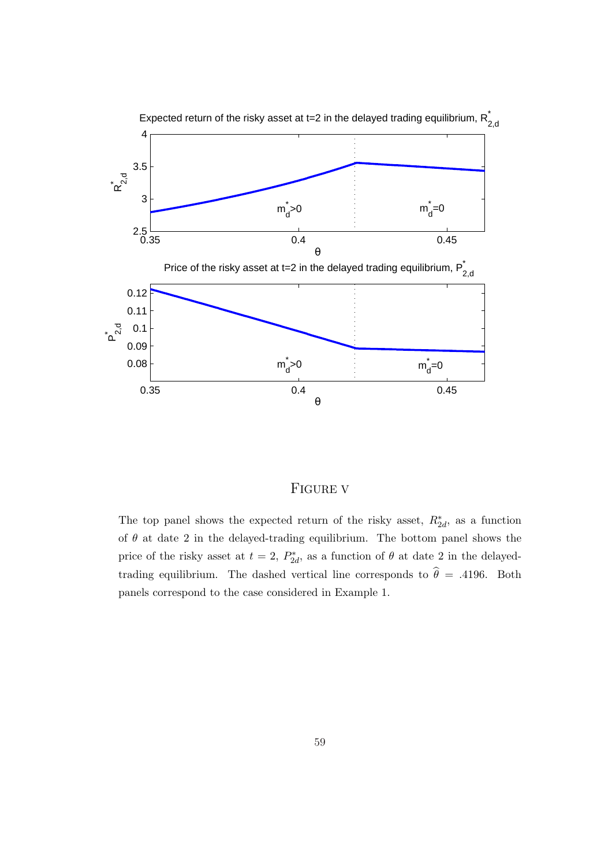

# FIGURE V

The top panel shows the expected return of the risky asset,  $R_{2d}^*$ , as a function of  $\theta$  at date 2 in the delayed-trading equilibrium. The bottom panel shows the price of the risky asset at  $t = 2$ ,  $P_{2d}^*$ , as a function of  $\theta$  at date 2 in the delayedtrading equilibrium. The dashed vertical line corresponds to  $\hat{\theta} = .4196$ . Both panels correspond to the case considered in Example 1.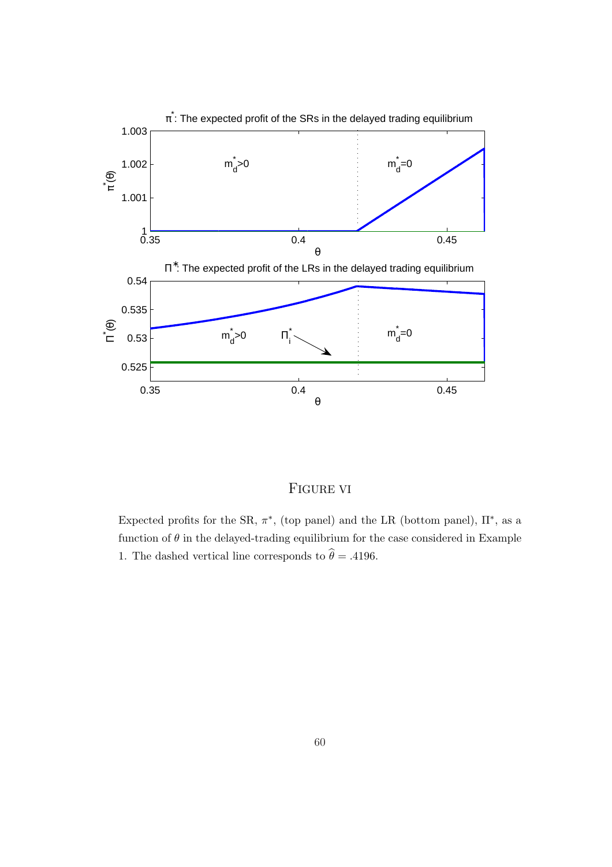

# FIGURE VI

Expected profits for the SR,  $\pi^*$ , (top panel) and the LR (bottom panel),  $\Pi^*$ , as a function of  $\theta$  in the delayed-trading equilibrium for the case considered in Example 1. The dashed vertical line corresponds to  $\hat{\theta} = .4196$ .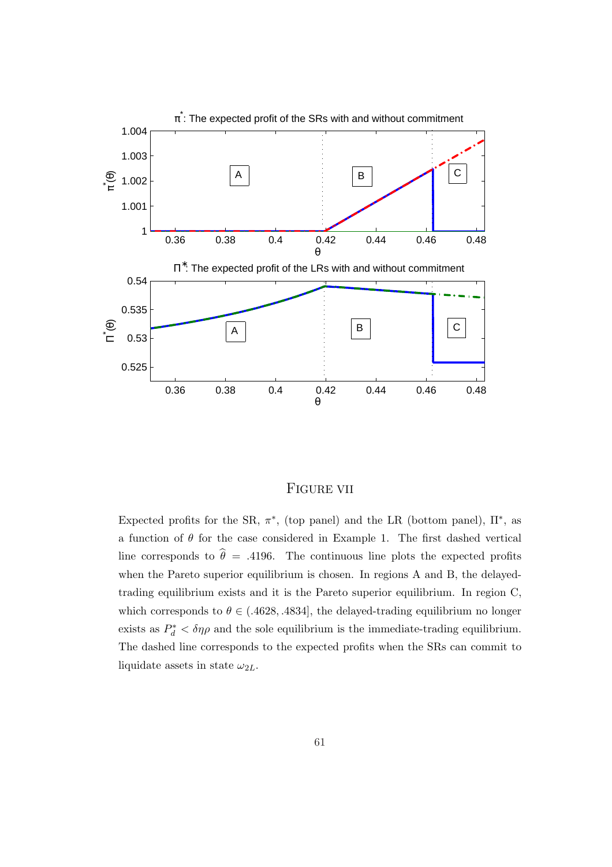

## FIGURE VII

Expected profits for the SR,  $\pi^*$ , (top panel) and the LR (bottom panel),  $\Pi^*$ , as a function of  $\theta$  for the case considered in Example 1. The first dashed vertical line corresponds to  $\hat{\theta} = .4196$ . The continuous line plots the expected profits when the Pareto superior equilibrium is chosen. In regions A and B, the delayedtrading equilibrium exists and it is the Pareto superior equilibrium. In region C, which corresponds to  $\theta \in (0.4628, 0.4834]$ , the delayed-trading equilibrium no longer exists as  $P_d^* < \delta \eta \rho$  and the sole equilibrium is the immediate-trading equilibrium. The dashed line corresponds to the expected profits when the SRs can commit to liquidate assets in state  $\omega_{2L}$ .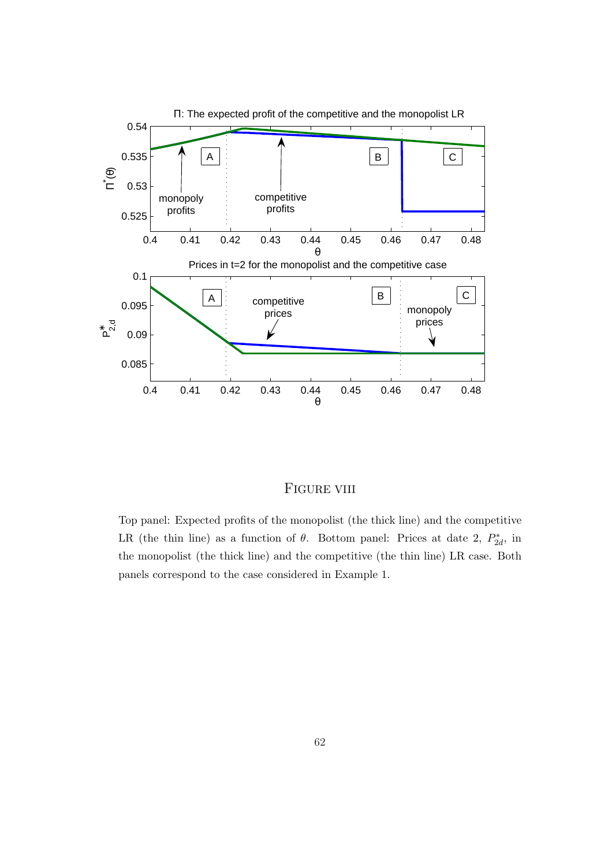

## FIGURE VIII

Top panel: Expected profits of the monopolist (the thick line) and the competitive LR (the thin line) as a function of  $\theta$ . Bottom panel: Prices at date 2,  $P_{2d}^*$ , in the monopolist (the thick line) and the competitive (the thin line) LR case. Both panels correspond to the case considered in Example 1.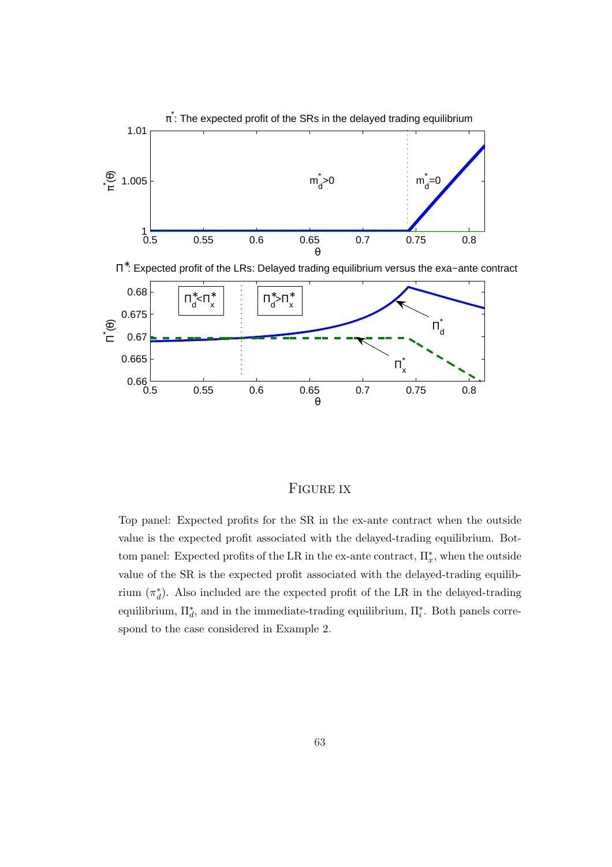

## FIGURE IX

Top panel: Expected profits for the SR in the ex-ante contract when the outside value is the expected profit associated with the delayed-trading equilibrium. Bottom panel: Expected profits of the LR in the ex-ante contract,  $\Pi_x^*$ , when the outside value of the SR is the expected profit associated with the delayed-trading equilibrium  $(\pi_d^*)$ . Also included are the expected profit of the LR in the delayed-trading equilibrium,  $\Pi_d^*$ , and in the immediate-trading equilibrium,  $\Pi_i^*$ . Both panels correspond to the case considered in Example 2.